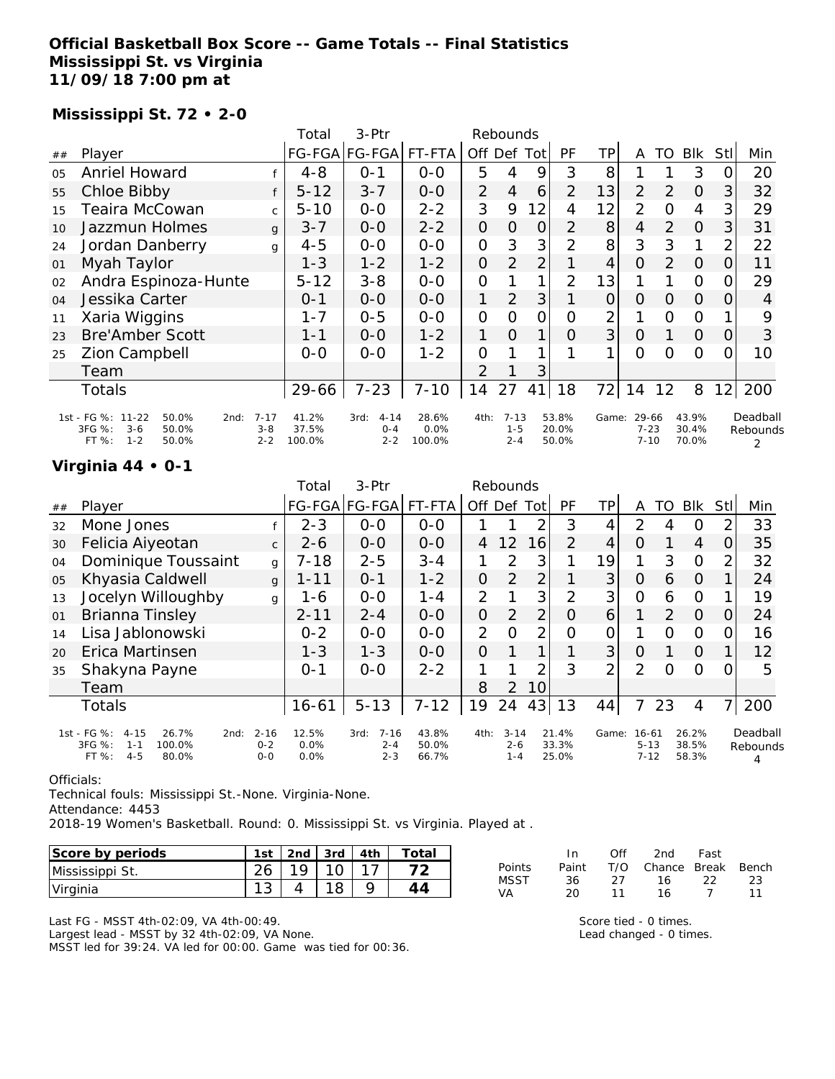### **Official Basketball Box Score -- Game Totals -- Final Statistics Mississippi St. vs Virginia 11/09/18 7:00 pm at**

#### **Mississippi St. 72 • 2-0**

|                |                                                                                               |                                | Total                    | 3-Ptr                                  |                         |                | Rebounds                       |                |                         |                |                               |                |                         |      |                           |
|----------------|-----------------------------------------------------------------------------------------------|--------------------------------|--------------------------|----------------------------------------|-------------------------|----------------|--------------------------------|----------------|-------------------------|----------------|-------------------------------|----------------|-------------------------|------|---------------------------|
| ##             | Player                                                                                        |                                |                          | FG-FGA FG-FGA                          | FT-FTA                  |                | Off Def Tot                    |                | PF                      | ΤP             | A                             | TO             | <b>Blk</b>              | Stll | Min                       |
| O <sub>5</sub> | <b>Anriel Howard</b>                                                                          |                                | $4 - 8$                  | $0 - 1$                                | $0 - 0$                 | 5              | 4                              | 9              | 3                       | 8              |                               |                | 3                       | 0    | 20                        |
| 55             | Chloe Bibby                                                                                   |                                | $5 - 12$                 | $3 - 7$                                | $O-O$                   | $\overline{2}$ | 4                              | 6              | $\overline{2}$          | 13             | 2                             | 2              | $\Omega$                | 3    | 32                        |
| 15             | Teaira McCowan                                                                                | $\mathsf{C}$                   | $5 - 10$                 | $0 - 0$                                | $2 - 2$                 | 3              | 9                              | 12             | 4                       | 12             | 2                             | O              | 4                       | 3    | 29                        |
| 10             | Jazzmun Holmes                                                                                | $\mathbf{q}$                   | $3 - 7$                  | $0 - 0$                                | $2 - 2$                 | $\overline{O}$ | $\Omega$                       | $\Omega$       | $\overline{2}$          | 8              | $\overline{4}$                | $\overline{2}$ | $\Omega$                | 3    | 31                        |
| 24             | Jordan Danberry                                                                               | g                              | $4 - 5$                  | $O-O$                                  | $O-O$                   | $\mathbf{O}$   | 3                              | 3              | $\overline{2}$          | 8              | 3                             | 3              | 1                       | 2    | 22                        |
| 01             | Myah Taylor                                                                                   |                                | $1 - 3$                  | $1 - 2$                                | $1 - 2$                 | 0              | $\overline{2}$                 | $\overline{2}$ |                         | 4              | $\overline{O}$                | 2              | 0                       | 0    | 11                        |
| 02             | Andra Espinoza-Hunte                                                                          |                                | $5 - 12$                 | $3 - 8$                                | $0-0$                   | $\mathcal{O}$  |                                | 1              | 2                       | 13             |                               |                | $\Omega$                | O.   | 29                        |
| 04             | Jessika Carter                                                                                |                                | $0 - 1$                  | $0 - 0$                                | $0-0$                   | 1              | $\overline{2}$                 | 3              |                         | $\overline{O}$ | $\Omega$                      | 0              | $\Omega$                | 0    | 4                         |
| 11             | Xaria Wiggins                                                                                 |                                | $1 - 7$                  | $0 - 5$                                | $0 - 0$                 | $\mathcal{O}$  | 0                              | $\mathcal{O}$  | 0                       | 2              | 1                             | O              | $\Omega$                |      | 9                         |
| 23             | <b>Bre'Amber Scott</b>                                                                        |                                | $1 - 1$                  | $0 - 0$                                | $1 - 2$                 | 1              | $\Omega$                       | 1              | O                       | 3              | $\Omega$                      |                | $\Omega$                | 0    | 3                         |
| 25             | <b>Zion Campbell</b>                                                                          |                                | $0 - 0$                  | $0 - 0$                                | $1 - 2$                 | $\Omega$       |                                | 1              |                         | 1              | $\Omega$                      | Ω              | $\circ$                 | 0    | 10                        |
|                | Team                                                                                          |                                |                          |                                        |                         | 2              |                                | 3              |                         |                |                               |                |                         |      |                           |
|                | Totals                                                                                        |                                | 29-66                    | $7 - 23$                               | $7 - 10$                | 14             | 27                             | 41             | 18                      | 72             | 14                            | 12             | 8                       | 12   | 200                       |
|                | 1st - FG %: 11-22<br>50.0%<br>2nd:<br>3FG %:<br>$3 - 6$<br>50.0%<br>$1 - 2$<br>FT %:<br>50.0% | $7 - 17$<br>$3 - 8$<br>$2 - 2$ | 41.2%<br>37.5%<br>100.0% | $4 - 14$<br>3rd:<br>$O - 4$<br>$2 - 2$ | 28.6%<br>0.0%<br>100.0% | 4th:           | $7 - 13$<br>$1 - 5$<br>$2 - 4$ |                | 53.8%<br>20.0%<br>50.0% | Game:          | 29-66<br>$7 - 23$<br>$7 - 10$ |                | 43.9%<br>30.4%<br>70.0% |      | Deadball<br>Rebounds<br>2 |

### **Virginia 44 • 0-1**

|    |                                                                                                      |                                | Total                 | $3-Ptr$                                |                         |                | Rebounds                       |                |                         |                |                                   |                |                         |          |                           |
|----|------------------------------------------------------------------------------------------------------|--------------------------------|-----------------------|----------------------------------------|-------------------------|----------------|--------------------------------|----------------|-------------------------|----------------|-----------------------------------|----------------|-------------------------|----------|---------------------------|
| ## | Player                                                                                               |                                |                       | FG-FGA FG-FGA                          | FT-FTA                  | Off Def        |                                | Tot            | <b>PF</b>               | ΤP             | A                                 | TO             | <b>Blk</b>              | Stll     | Min                       |
| 32 | Mone Jones                                                                                           |                                | $2 - 3$               | $0 - 0$                                | $0 - 0$                 |                |                                | 2              | 3                       | 4              | 2                                 | 4              | 0                       | っ        | 33                        |
| 30 | Felicia Aiyeotan                                                                                     | $\mathsf{C}$                   | $2 - 6$               | $0 - 0$                                | $0 - 0$                 | 4              | 12                             | 16             | $\overline{2}$          | 4              | O                                 |                | 4                       | $\Omega$ | 35                        |
| 04 | Dominique Toussaint                                                                                  | g                              | $7 - 18$              | $2 - 5$                                | $3 - 4$                 |                | 2                              | 3              |                         | 19             | 1                                 | 3              | $\overline{0}$          | 2        | 32                        |
| 05 | Khyasia Caldwell                                                                                     | $\mathbf{q}$                   | $1 - 11$              | $O - 1$                                | $1 - 2$                 | $\overline{O}$ | $\overline{2}$                 | $\overline{2}$ |                         | 3              | 0                                 | 6              | $\Omega$                |          | 24                        |
| 13 | Jocelyn Willoughby                                                                                   | g                              | 1-6                   | $0-0$                                  | $1 - 4$                 | $\overline{2}$ |                                | 3              | $\overline{2}$          | 3 <sub>1</sub> | $\overline{O}$                    | 6              | $\circ$                 |          | 19                        |
| 01 | Brianna Tinsley                                                                                      |                                | $2 - 11$              | $2 - 4$                                | $0 - 0$                 | $\mathcal{O}$  | $\overline{2}$                 | $\overline{2}$ | O                       | 6              | 1                                 | $\overline{2}$ | $\overline{O}$          | O        | 24                        |
| 14 | Lisa Jablonowski                                                                                     |                                | $0 - 2$               | $0 - 0$                                | $0 - 0$                 | $\overline{2}$ | O                              | 2              | Ω                       | 0              |                                   | Ω              | O                       |          | 16                        |
| 20 | Erica Martinsen                                                                                      |                                | $1 - 3$               | $1 - 3$                                | $O-O$                   | $\Omega$       |                                |                |                         | 3              | 0                                 |                | $\Omega$                |          | 12                        |
| 35 | Shakyna Payne                                                                                        |                                | $0 - 1$               | $0 - 0$                                | $2 - 2$                 | 1              |                                | 2              | 3                       | $\overline{2}$ | $\overline{2}$                    | ∩              | $\Omega$                |          | 5                         |
|    | Team                                                                                                 |                                |                       |                                        |                         | 8              | $\overline{2}$                 | 10             |                         |                |                                   |                |                         |          |                           |
|    | <b>Totals</b>                                                                                        |                                | $16 - 61$             | $5 - 13$                               | $7 - 12$                | 19             | 24                             | 43             | 13                      | 44             | 7                                 | 23             | $\overline{4}$          | 71       | 200                       |
|    | 1st - FG %:<br>$4 - 15$<br>26.7%<br>2nd:<br>3FG %:<br>100.0%<br>$1 - 1$<br>FT %:<br>$4 - 5$<br>80.0% | $2 - 16$<br>$0 - 2$<br>$0 - 0$ | 12.5%<br>0.0%<br>0.0% | $7 - 16$<br>3rd:<br>$2 - 4$<br>$2 - 3$ | 43.8%<br>50.0%<br>66.7% | 4th:           | $3 - 14$<br>$2 - 6$<br>$1 - 4$ |                | 21.4%<br>33.3%<br>25.0% | Game:          | $16 - 61$<br>$5 - 13$<br>$7 - 12$ |                | 26.2%<br>38.5%<br>58.3% |          | Deadball<br>Rebounds<br>4 |

#### Officials:

Technical fouls: Mississippi St.-None. Virginia-None.

Attendance: 4453

2018-19 Women's Basketball. Round: 0. Mississippi St. vs Virginia. Played at .

| Score by periods | 1st |     | 2nd $\sqrt{3}$ 3rd | 14th | Totai |
|------------------|-----|-----|--------------------|------|-------|
| Mississippi St.  |     | 10. |                    |      |       |
| Virginia         |     |     |                    |      |       |

Last FG - MSST 4th-02:09, VA 4th-00:49. Largest lead - MSST by 32 4th-02:09, VA None. MSST led for 39:24. VA led for 00:00. Game was tied for 00:36.

|        | In.   | ∩ff | 2nd                    | Fast |     |
|--------|-------|-----|------------------------|------|-----|
| Points | Paint |     | T/O Chance Break Bench |      |     |
| MSST   | 36.   | -27 | 16                     | - 22 | -23 |
| VA     | 20.   | 11  | 16.                    |      | 11  |

Score tied - 0 times. Lead changed - 0 times.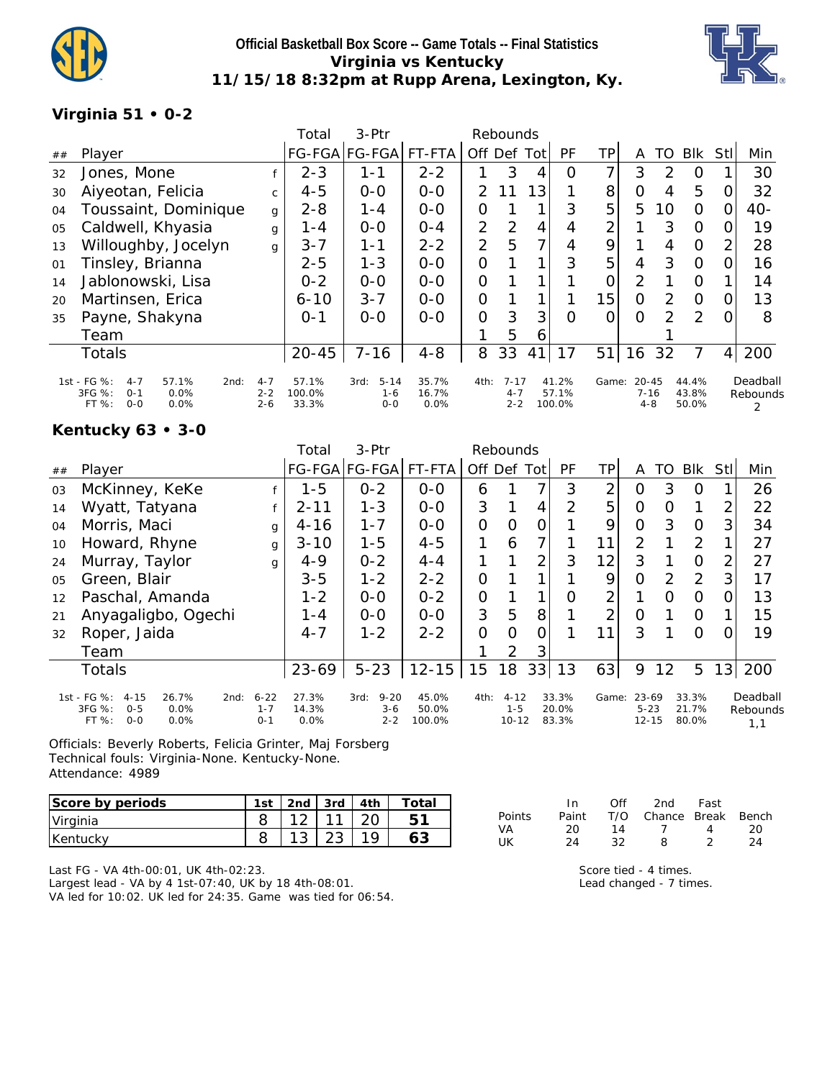

## **Official Basketball Box Score -- Game Totals -- Final Statistics Virginia vs Kentucky 11/15/18 8:32pm at Rupp Arena, Lexington, Ky.**



### **Virginia 51 • 0-2**

|    |                                                                                                |                               | Total                    | $3-Ptr$                              |                        |               | Rebounds                       |     |                          |       |                                  |               |                         |                |                      |
|----|------------------------------------------------------------------------------------------------|-------------------------------|--------------------------|--------------------------------------|------------------------|---------------|--------------------------------|-----|--------------------------|-------|----------------------------------|---------------|-------------------------|----------------|----------------------|
| ## | Player                                                                                         |                               | <b>FG-FGA</b>            | $FG-FGA$                             | FT-FTA                 | Off Def       |                                | Tot | PF                       | ΤP    | A                                | TO            | <b>Blk</b>              | Stll           | Min                  |
| 32 | Jones, Mone                                                                                    |                               | $2 - 3$                  | 1-1                                  | $2 - 2$                |               | 3                              | 4   | O                        | ᄀ     | 3                                | 2             | O                       |                | 30                   |
| 30 | Aiyeotan, Felicia                                                                              | C                             | $4 - 5$                  | $0 - 0$                              | $0-0$                  | $\mathcal{P}$ | 11                             | 13  |                          | 8     | 0                                | 4             | 5                       | 0              | 32                   |
| 04 | Toussaint, Dominique                                                                           | g                             | $2 - 8$                  | 1-4                                  | $0 - 0$                | 0             |                                |     | 3                        | 5     | 5                                | 10            | $\Omega$                | 0              | 40-                  |
| 05 | Caldwell, Khyasia                                                                              | g                             | 1-4                      | $0 - 0$                              | $O - 4$                | 2             | $\overline{2}$                 | 4   | 4                        | っ     |                                  | 3             | 0                       | O              | 19                   |
| 13 | Willoughby, Jocelyn                                                                            | g                             | $3 - 7$                  | $1 - 1$                              | $2 - 2$                | 2             | 5                              | 7   | 4                        | 9     |                                  | 4             | $\Omega$                | $\overline{2}$ | 28                   |
| 01 | Tinsley, Brianna                                                                               |                               | $2 - 5$                  | $1 - 3$                              | $0 - 0$                | 0             |                                |     | 3                        | 5     | 4                                | 3             | 0                       | $\Omega$       | 16                   |
| 14 | Jablonowski, Lisa                                                                              |                               | $0 - 2$                  | $0 - 0$                              | $O - O$                | 0             |                                |     |                          | 0     | 2                                |               | O                       |                | 14                   |
| 20 | Martinsen, Erica                                                                               |                               | $6 - 10$                 | $3 - 7$                              | $0 - 0$                | 0             |                                |     |                          | 15    | 0                                | 2             | $\circ$                 | 0              | 13                   |
| 35 | Payne, Shakyna                                                                                 |                               | $O - 1$                  | $0 - 0$                              | $0 - 0$                | 0             | 3                              | 3   | $\Omega$                 | O     | $\Omega$                         | $\mathcal{P}$ | $\mathcal{P}$           | 0              | 8                    |
|    | Team                                                                                           |                               |                          |                                      |                        |               | 5                              | 6   |                          |       |                                  |               |                         |                |                      |
|    | <b>Totals</b>                                                                                  |                               | $20 - 45$                | $7 - 16$                             | $4 - 8$                | 8             | 33                             | 41  | 17                       | 51    | 16                               | 32            | 7                       | $\overline{4}$ | 200                  |
|    | 1st - FG %:<br>57.1%<br>$4 - 7$<br>2nd:<br>3FG %:<br>0.0%<br>$0 - 1$<br>$0 - 0$<br>0.0%<br>FT% | $4 - 7$<br>$2 - 2$<br>$2 - 6$ | 57.1%<br>100.0%<br>33.3% | $5 - 14$<br>3rd:<br>$1 - 6$<br>$0-0$ | 35.7%<br>16.7%<br>0.0% | 4th:          | $7 - 17$<br>$4 - 7$<br>$2 - 2$ |     | 41.2%<br>57.1%<br>100.0% | Game: | $20 - 45$<br>$7 - 16$<br>$4 - 8$ |               | 44.4%<br>43.8%<br>50.0% |                | Deadball<br>Rebounds |

### **Kentucky 63 • 3-0**

|    |                                                                                                   |                                | Total                  | $3-$ Ptr                               |                          |                | Rebounds                         |                |                         |       |                                |    |                         |     |                             |
|----|---------------------------------------------------------------------------------------------------|--------------------------------|------------------------|----------------------------------------|--------------------------|----------------|----------------------------------|----------------|-------------------------|-------|--------------------------------|----|-------------------------|-----|-----------------------------|
| ## | Player                                                                                            |                                |                        | FG-FGA FG-FGA                          | FT-FTA                   | Off Def        |                                  | Tot            | PF                      | TP.   | A                              | TO | <b>Blk</b>              | Stl | Min                         |
| 03 | McKinney, KeKe                                                                                    |                                | $1 - 5$                | $0 - 2$                                | $0-0$                    | 6              |                                  |                | 3                       | 2     | 0                              | 3  | 0                       |     | 26                          |
| 14 | Wyatt, Tatyana                                                                                    |                                | $2 - 11$               | $1 - 3$                                | $0 - 0$                  | 3              |                                  | 4              | 2                       | 5     | O                              | O  | 1                       | 2   | 22                          |
| 04 | Morris, Maci                                                                                      | g                              | $4 - 16$               | $1 - 7$                                | $0-0$                    | $\overline{O}$ | O                                | 0              |                         | 9     | Ο                              | 3  | $\Omega$                | 3   | 34                          |
| 10 | Howard, Rhyne                                                                                     | g                              | $3 - 10$               | $1 - 5$                                | $4 - 5$                  |                | 6                                | 7              |                         | 11    | $\overline{2}$                 |    | 2                       |     | 27                          |
| 24 | Murray, Taylor                                                                                    | g                              | $4 - 9$                | $0 - 2$                                | $4 - 4$                  |                |                                  | $\overline{2}$ | 3                       | 12    | 3                              |    | $\Omega$                | 2   | 27                          |
| 05 | Green, Blair                                                                                      |                                | $3 - 5$                | $1 - 2$                                | $2 - 2$                  | O              |                                  |                |                         | 9     | Ο                              | 2  | 2                       | 3   | 17                          |
| 12 | Paschal, Amanda                                                                                   |                                | $1 - 2$                | $0-0$                                  | $0 - 2$                  | 0              |                                  |                | Ο                       | 2     |                                | O  | $\Omega$                | O   | 13                          |
| 21 | Anyagaligbo, Ogechi                                                                               |                                | $1 - 4$                | $0 - 0$                                | $0 - 0$                  | 3              | 5                                | 8              |                         | 2     | Ο                              |    | $\Omega$                |     | 15                          |
| 32 | Roper, Jaida                                                                                      |                                | $4 - 7$                | $1 - 2$                                | $2 - 2$                  | $\overline{O}$ | Ω                                | 0              |                         | 11    | 3                              |    | 0                       |     | 19                          |
|    | Team                                                                                              |                                |                        |                                        |                          |                | $\mathcal{P}$                    | 3              |                         |       |                                |    |                         |     |                             |
|    | <b>Totals</b>                                                                                     |                                | $23 - 69$              | $5 - 23$                               | $12 - 15$                | 15             | 18                               | 33             | 13                      | 63    | 9                              | 12 | 5                       | 13  | 200                         |
|    | 1st - FG %:<br>$4 - 15$<br>26.7%<br>2nd:<br>3FG %:<br>$0 - 5$<br>0.0%<br>$0 - 0$<br>0.0%<br>FT %: | $6 - 22$<br>$1 - 7$<br>$O - 1$ | 27.3%<br>14.3%<br>0.0% | $9 - 20$<br>3rd:<br>$3 - 6$<br>$2 - 2$ | 45.0%<br>50.0%<br>100.0% | 4th:           | $4 - 12$<br>$1 - 5$<br>$10 - 12$ |                | 33.3%<br>20.0%<br>83.3% | Game: | 23-69<br>$5 - 23$<br>$12 - 15$ |    | 33.3%<br>21.7%<br>80.0% |     | Deadball<br>Rebounds<br>1,1 |

Officials: Beverly Roberts, Felicia Grinter, Maj Forsberg Technical fouls: Virginia-None. Kentucky-None. Attendance: 4989

| Score by periods | 1st | 2nd | 3rd   4th | Total |
|------------------|-----|-----|-----------|-------|
| Virginia         |     |     |           |       |
| Kentucky         |     |     |           |       |

In Off 2nd Fast Points Paint T/O Chance Break Bench VA 20 14 7 4 20 UK 24 32 8 2 24

Last FG - VA 4th-00:01, UK 4th-02:23. Largest lead - VA by 4 1st-07:40, UK by 18 4th-08:01.

VA led for 10:02. UK led for 24:35. Game was tied for 06:54.

Score tied - 4 times. Lead changed - 7 times.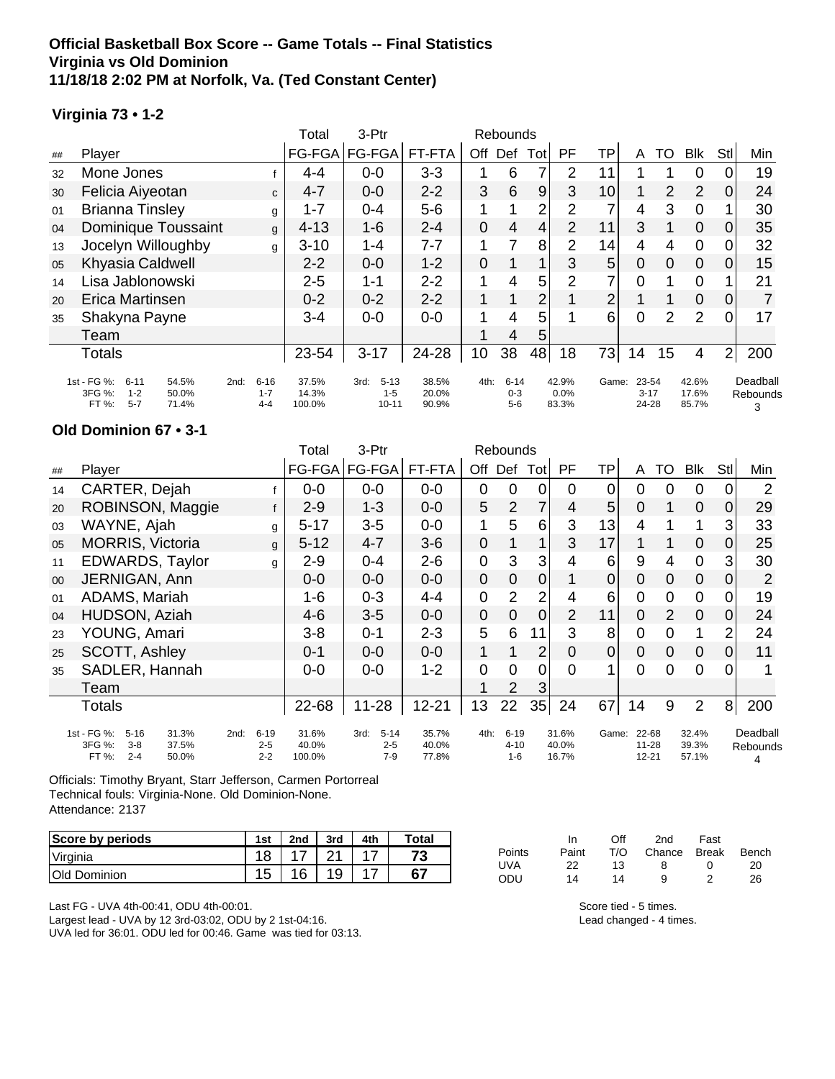### **Official Basketball Box Score -- Game Totals -- Final Statistics Virginia vs Old Dominion 11/18/18 2:02 PM at Norfolk, Va. (Ted Constant Center)**

#### **Virginia 73 • 1-2**

|    |                                                                                             |                                        | Total                    | 3-Ptr                                    |                         |      | Rebounds                     |                |                        |                 |                            |                |                         |                |                           |
|----|---------------------------------------------------------------------------------------------|----------------------------------------|--------------------------|------------------------------------------|-------------------------|------|------------------------------|----------------|------------------------|-----------------|----------------------------|----------------|-------------------------|----------------|---------------------------|
| ## | Player                                                                                      |                                        | FG-FGA                   | FG-FGA                                   | FT-FTA                  | Off  | Def                          | Tot            | PF                     | TP              | A                          | то             | <b>Blk</b>              | Stl            | Min                       |
| 32 | Mone Jones                                                                                  |                                        | 4-4                      | $0-0$                                    | $3 - 3$                 |      | 6                            |                | 2                      | 11              |                            |                | 0                       |                | 19                        |
| 30 | Felicia Aiyeotan                                                                            | C                                      | $4 - 7$                  | $0 - 0$                                  | $2 - 2$                 | 3    | 6                            | 9              | 3                      | 10 <sup>1</sup> |                            | 2              | 2                       | <sup>O</sup>   | 24                        |
| 01 | <b>Brianna Tinsley</b>                                                                      | g                                      | $1 - 7$                  | $0 - 4$                                  | $5-6$                   |      |                              | $\overline{2}$ | 2                      |                 | 4                          | 3              | 0                       |                | 30                        |
| 04 | Dominique Toussaint                                                                         | g                                      | $4 - 13$                 | $1 - 6$                                  | $2 - 4$                 | 0    | 4                            | 4              | $\overline{2}$         | 11              | 3                          |                | $\mathbf 0$             | 0              | 35                        |
| 13 | Jocelyn Willoughby                                                                          | g                                      | $3 - 10$                 | $1 - 4$                                  | 7-7                     |      | 7                            | 8              | $\overline{2}$         | 14              | 4                          | 4              | 0                       | $\Omega$       | 32                        |
| 05 | Khyasia Caldwell                                                                            |                                        | $2 - 2$                  | $0-0$                                    | $1 - 2$                 | 0    |                              |                | 3                      | 5               | $\mathbf 0$                | $\overline{0}$ | $\overline{0}$          | $\Omega$       | 15                        |
| 14 | Lisa Jablonowski                                                                            |                                        | $2 - 5$                  | 1-1                                      | $2 - 2$                 |      | 4                            | 5              | 2                      |                 | 0                          |                | 0                       |                | 21                        |
| 20 | Erica Martinsen                                                                             |                                        | $0 - 2$                  | $0 - 2$                                  | $2 - 2$                 | 1    |                              | 2              |                        | $\overline{2}$  |                            |                | $\mathbf 0$             | $\Omega$       | 7                         |
| 35 | Shakyna Payne                                                                               |                                        | $3 - 4$                  | $0 - 0$                                  | $0-0$                   |      | 4                            | 5              |                        | 6               | $\Omega$                   | 2              | $\overline{2}$          | $\Omega$       | 17                        |
|    | Team                                                                                        |                                        |                          |                                          |                         |      | 4                            | 5              |                        |                 |                            |                |                         |                |                           |
|    | <b>Totals</b>                                                                               |                                        | 23-54                    | $3 - 17$                                 | 24-28                   | 10   | 38                           | 48             | 18                     | 73              | 14                         | 15             | 4                       | 2 <sup>1</sup> | 200                       |
|    | 1st - FG %:<br>$6 - 11$<br>54.5%<br>3FG %:<br>$1 - 2$<br>50.0%<br>FT %:<br>$5 - 7$<br>71.4% | $6 - 16$<br>2nd:<br>$1 - 7$<br>$4 - 4$ | 37.5%<br>14.3%<br>100.0% | $5 - 13$<br>3rd:<br>$1 - 5$<br>$10 - 11$ | 38.5%<br>20.0%<br>90.9% | 4th: | $6 - 14$<br>$0 - 3$<br>$5-6$ |                | 42.9%<br>0.0%<br>83.3% | Game:           | 23-54<br>$3 - 17$<br>24-28 |                | 42.6%<br>17.6%<br>85.7% |                | Deadball<br>Rebounds<br>3 |

#### **Old Dominion 67 • 3-1**

|                |                                                                                             |                                        | Total                    | 3-Ptr                                |                         |                | Rebounds                        |                |                         |                |                                 |                |                         |                |                           |
|----------------|---------------------------------------------------------------------------------------------|----------------------------------------|--------------------------|--------------------------------------|-------------------------|----------------|---------------------------------|----------------|-------------------------|----------------|---------------------------------|----------------|-------------------------|----------------|---------------------------|
| ##             | Player                                                                                      |                                        | $FG-FGA$                 | <b>FG-FGA</b>                        | FT-FTA                  | Off            |                                 | Def Tot        | PF.                     | TP             | A                               | TO             | Blk                     | Stl            | Min                       |
| 14             | CARTER, Dejah                                                                               |                                        | $0 - 0$                  | $0-0$                                | $0-0$                   | 0              | 0                               | 0              | 0                       | 0              | 0                               | 0              | 0                       | 0              | 2                         |
| 20             | ROBINSON, Maggie                                                                            |                                        | $2 - 9$                  | $1 - 3$                              | $0-0$                   | 5              | $\overline{2}$                  | $\overline{7}$ | $\overline{4}$          | 5              | $\mathbf 0$                     | 1              | $\mathbf 0$             | 0              | 29                        |
| 03             | WAYNE, Ajah                                                                                 | g                                      | $5 - 17$                 | $3-5$                                | $0-0$                   |                | 5                               | 6              | 3                       | 13             | 4                               |                |                         | 3              | 33                        |
| 05             | <b>MORRIS, Victoria</b>                                                                     | g                                      | $5 - 12$                 | $4 - 7$                              | $3-6$                   | $\mathbf 0$    |                                 | 1              | 3                       | 17             | 1                               | 1              | $\mathbf 0$             | 0              | 25                        |
| 11             | EDWARDS, Taylor                                                                             | g                                      | $2 - 9$                  | $0 - 4$                              | $2 - 6$                 | $\mathbf 0$    | 3                               | 3              | 4                       | 6              | 9                               | 4              | $\mathbf 0$             | $\mathbf{3}$   | 30                        |
| 0 <sup>0</sup> | JERNIGAN, Ann                                                                               |                                        | $0 - 0$                  | $0 - 0$                              | $0 - 0$                 | $\mathbf 0$    | $\boldsymbol{0}$                | $\overline{0}$ |                         | $\overline{0}$ | $\overline{0}$                  | $\Omega$       | $\mathbf 0$             | $\Omega$       | $\overline{2}$            |
| 01             | ADAMS, Mariah                                                                               |                                        | 1-6                      | $0 - 3$                              | $4 - 4$                 | $\mathbf 0$    | $\overline{2}$                  | $\overline{2}$ | 4                       | 6              | $\overline{0}$                  | $\mathbf 0$    | $\mathbf 0$             | 0              | 19                        |
| 04             | HUDSON, Aziah                                                                               |                                        | 4-6                      | $3-5$                                | $0-0$                   | $\mathbf 0$    | $\mathbf 0$                     | $\overline{0}$ | $\overline{2}$          | 11             | $\overline{0}$                  | 2              | $\mathbf 0$             | $\overline{0}$ | 24                        |
| 23             | YOUNG, Amari                                                                                |                                        | 3-8                      | $0 - 1$                              | $2 - 3$                 | 5              | 6                               | 11             | 3                       | 8              | $\overline{0}$                  | $\overline{0}$ | 1                       | $\overline{2}$ | 24                        |
| 25             | SCOTT, Ashley                                                                               |                                        | $0 - 1$                  | $0 - 0$                              | $0 - 0$                 | 1              | 1                               | $\overline{2}$ | $\overline{0}$          | $\overline{0}$ | $\mathbf 0$                     | $\mathbf 0$    | $\mathbf 0$             | $\Omega$       | 11                        |
| 35             | SADLER, Hannah                                                                              |                                        | $0-0$                    | $0-0$                                | $1 - 2$                 | $\overline{0}$ | $\overline{0}$                  | $\mathbf 0$    | $\Omega$                |                | $\Omega$                        | $\Omega$       | $\overline{0}$          | $\Omega$       |                           |
|                | Team                                                                                        |                                        |                          |                                      |                         |                | 2                               | 3              |                         |                |                                 |                |                         |                |                           |
|                | Totals                                                                                      |                                        | 22-68                    | $11 - 28$                            | $12 - 21$               | 13             | 22                              | 35             | 24                      | 67             | 14                              | 9              | $\overline{2}$          | 8 <sup>1</sup> | 200                       |
|                | 1st - FG %:<br>$5 - 16$<br>31.3%<br>3FG %:<br>37.5%<br>$3 - 8$<br>$2 - 4$<br>FT %:<br>50.0% | $6 - 19$<br>2nd:<br>$2 - 5$<br>$2 - 2$ | 31.6%<br>40.0%<br>100.0% | $5 - 14$<br>3rd:<br>$2 - 5$<br>$7-9$ | 35.7%<br>40.0%<br>77.8% | 4th:           | $6 - 19$<br>$4 - 10$<br>$1 - 6$ |                | 31.6%<br>40.0%<br>16.7% | Game:          | 22-68<br>$11 - 28$<br>$12 - 21$ |                | 32.4%<br>39.3%<br>57.1% |                | Deadball<br>Rebounds<br>4 |

Officials: Timothy Bryant, Starr Jefferson, Carmen Portorreal Technical fouls: Virginia-None. Old Dominion-None. Attendance: 2137

| Score by periods    | 1st | 2nd | 3rd | 4th | <b>Total</b> |
|---------------------|-----|-----|-----|-----|--------------|
| Virginia            |     |     | ິ   |     | 73           |
| <b>Old Dominion</b> | 15  |     |     |     | 67           |

Last FG - UVA 4th-00:41, ODU 4th-00:01. Largest lead - UVA by 12 3rd-03:02, ODU by 2 1st-04:16. UVA led for 36:01. ODU led for 00:46. Game was tied for 03:13.

|        | In    | Off | 2nd          | Fast        |       |
|--------|-------|-----|--------------|-------------|-------|
| Points | Paint | T/O | Chance Break |             | Bench |
| UVA    | 22    | 13  | 8            | $^{\prime}$ | 20    |
| ODU    | 14    | 14  | a            |             | 26    |

Score tied - 5 times. Lead changed - 4 times.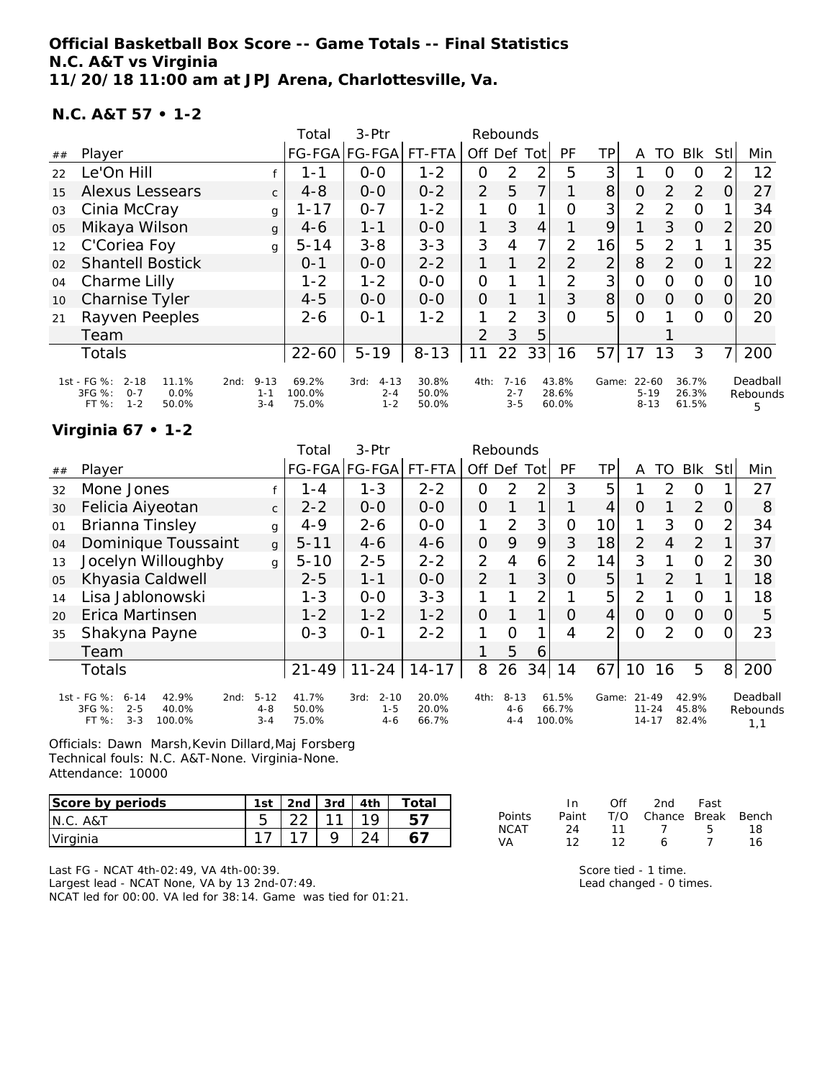**Official Basketball Box Score -- Game Totals -- Final Statistics N.C. A&T vs Virginia 11/20/18 11:00 am at JPJ Arena, Charlottesville, Va.**

#### **N.C. A&T 57 • 1-2**

|    |                                                                                            |                                        | Total                    | $3-$ Ptr                               |                         |                | Rebounds                       |                |                         |                |                                   |               |                         |                |                           |
|----|--------------------------------------------------------------------------------------------|----------------------------------------|--------------------------|----------------------------------------|-------------------------|----------------|--------------------------------|----------------|-------------------------|----------------|-----------------------------------|---------------|-------------------------|----------------|---------------------------|
| ## | Player                                                                                     |                                        |                          | FG-FGA FG-FGA                          | FT-FTA                  | Off            | Def                            | Tot            | PF                      | TP             | A                                 | TO            | <b>BIK</b>              | <b>Stll</b>    | Min                       |
| 22 | Le'On Hill                                                                                 |                                        | 1 - 1                    | $0-0$                                  | $1 - 2$                 | 0              | 2                              | 2              | 5                       | 3              |                                   | O             | O                       | 2              | 12                        |
| 15 | <b>Alexus Lessears</b>                                                                     | $\mathsf{C}$                           | $4 - 8$                  | $0 - 0$                                | $0 - 2$                 | $\overline{2}$ | 5                              | 7              |                         | 8 <sup>1</sup> | $\overline{O}$                    | 2             | 2                       | 0              | 27                        |
| 03 | Cinia McCray                                                                               | g                                      | $1 - 17$                 | $0 - 7$                                | $1 - 2$                 | 1              | O                              | $\mathbf{1}$   | $\Omega$                | 3 <sup>1</sup> | $\overline{2}$                    | 2             | $\Omega$                |                | 34                        |
| 05 | Mikaya Wilson                                                                              | $\mathbf{q}$                           | $4-6$                    | $1 - 1$                                | $0 - 0$                 |                | 3                              | 4              |                         | 9              |                                   | 3             | $\Omega$                | 2              | 20                        |
| 12 | C'Coriea Foy                                                                               | g                                      | $5 - 14$                 | $3 - 8$                                | $3 - 3$                 | 3              | 4                              | 7              | 2                       | 16             | 5                                 | $\mathcal{P}$ |                         |                | 35                        |
| 02 | <b>Shantell Bostick</b>                                                                    |                                        | $0 - 1$                  | $0-0$                                  | $2 - 2$                 |                |                                | $\overline{2}$ | 2                       | $\overline{2}$ | 8                                 | 2             | $\Omega$                |                | 22                        |
| 04 | Charme Lilly                                                                               |                                        | $1 - 2$                  | $1 - 2$                                | $0 - 0$                 | $\overline{O}$ |                                | 1              | 2                       | 3              | $\Omega$                          | $\Omega$      | $\Omega$                | $\Omega$       | 10                        |
| 10 | <b>Charnise Tyler</b>                                                                      |                                        | $4 - 5$                  | $0 - 0$                                | $0 - 0$                 | $\Omega$       |                                | 1              | 3                       | 8 <sup>1</sup> | $\Omega$                          | $\Omega$      | $\Omega$                | $\Omega$       | 20                        |
| 21 | Rayven Peeples                                                                             |                                        | $2 - 6$                  | $O - 1$                                | $1 - 2$                 |                | $\mathcal{P}$                  | 3              | $\Omega$                | 5              | O                                 |               | $\Omega$                | 0              | 20                        |
|    | Team                                                                                       |                                        |                          |                                        |                         | $\mathcal{P}$  | 3                              | 5              |                         |                |                                   |               |                         |                |                           |
|    | Totals                                                                                     |                                        | $22 - 60$                | $5 - 19$                               | $8 - 13$                | 11             | 22                             | 33             | 16                      | 57             | 17                                | 13            | 3                       | 7 <sub>l</sub> | 200                       |
|    | 1st - FG %:<br>$2 - 18$<br>11.1%<br>3FG %:<br>$0 - 7$<br>0.0%<br>$1 - 2$<br>FT %:<br>50.0% | $9 - 13$<br>2nd:<br>$1 - 1$<br>$3 - 4$ | 69.2%<br>100.0%<br>75.0% | $4 - 13$<br>3rd:<br>$2 - 4$<br>$1 - 2$ | 30.8%<br>50.0%<br>50.0% | 4th:           | $7 - 16$<br>$2 - 7$<br>$3 - 5$ |                | 43.8%<br>28.6%<br>60.0% | Game:          | $22 - 60$<br>$5 - 19$<br>$8 - 13$ |               | 36.7%<br>26.3%<br>61.5% |                | Deadball<br>Rebounds<br>5 |

**Virginia 67 • 1-2**

|    |                                                                                                      |                                | Total                   | $3-$ Ptr                               |                         |                | Rebounds                       |     |                          |       |                                     |          |                         |          |                             |
|----|------------------------------------------------------------------------------------------------------|--------------------------------|-------------------------|----------------------------------------|-------------------------|----------------|--------------------------------|-----|--------------------------|-------|-------------------------------------|----------|-------------------------|----------|-----------------------------|
| ## | Player                                                                                               |                                |                         | FG-FGA FG-FGA                          | FT-FTA                  | Off            | Def                            | Tot | PF                       | TP.   | A                                   | TO       | <b>Blk</b>              | Stll     | Min                         |
| 32 | Mone Jones                                                                                           |                                | 1 - 4                   | $1 - 3$                                | $2 - 2$                 | 0              | 2                              | 2   | 3                        | 5     |                                     | 2        | 0                       |          | 27                          |
| 30 | Felicia Aiyeotan                                                                                     | $\mathsf{C}$                   | $2 - 2$                 | $0 - 0$                                | $0 - 0$                 | $\overline{O}$ |                                |     |                          | 4     | Ο                                   |          | 2                       | $\Omega$ | 8                           |
| 01 | Brianna Tinsley                                                                                      | g                              | $4 - 9$                 | $2 - 6$                                | $O-O$                   | 1              | 2                              | 3   | 0                        | 10    | 1                                   | 3        | $\Omega$                | 2        | 34                          |
| 04 | Dominique Toussaint                                                                                  | $\mathbf{q}$                   | $5 - 11$                | $4 - 6$                                | $4 - 6$                 | $\overline{O}$ | 9                              | 9   | 3                        | 18    | $\overline{2}$                      | 4        | 2                       |          | 37                          |
| 13 | Jocelyn Willoughby                                                                                   | g                              | $5 - 10$                | $2 - 5$                                | $2 - 2$                 | $\overline{2}$ | 4                              | 6   | $\overline{2}$           | 14    | 3                                   | 1        | 0                       | 2        | 30                          |
| 05 | Khyasia Caldwell                                                                                     |                                | $2 - 5$                 | $1 - 1$                                | $0 - 0$                 | 2              |                                | 3   | Ω                        | 5     | 1                                   | 2        | 1                       |          | 18                          |
| 14 | Lisa Jablonowski                                                                                     |                                | $1 - 3$                 | $0 - 0$                                | $3 - 3$                 |                |                                | 2   |                          | 5     | 2                                   |          | $\Omega$                |          | 18                          |
| 20 | Erica Martinsen                                                                                      |                                | $1 - 2$                 | $1 - 2$                                | $1 - 2$                 | $\Omega$       |                                | 1   | Ω                        | 4     | Ω                                   | $\Omega$ | $\Omega$                | 0        | 5                           |
| 35 | Shakyna Payne                                                                                        |                                | $0 - 3$                 | $O - 1$                                | $2 - 2$                 |                | Ω                              |     | 4                        | っ     | Ω                                   | 2        | $\Omega$                |          | 23                          |
|    | Team                                                                                                 |                                |                         |                                        |                         |                | 5                              | 6   |                          |       |                                     |          |                         |          |                             |
|    | <b>Totals</b>                                                                                        |                                | $21 - 49$               | $11 - 24$                              | $14 - 17$               | 8              | 26                             | 34  | 14                       | 67    | 10                                  | 16       | 5                       | 8        | 200                         |
|    | 1st - FG %:<br>42.9%<br>$6 - 14$<br>2nd:<br>3FG %:<br>$2 - 5$<br>40.0%<br>$3 - 3$<br>FT %:<br>100.0% | $5 - 12$<br>$4 - 8$<br>$3 - 4$ | 41.7%<br>50.0%<br>75.0% | $2 - 10$<br>3rd:<br>$1 - 5$<br>$4 - 6$ | 20.0%<br>20.0%<br>66.7% | 4th:           | $8 - 13$<br>$4 - 6$<br>$4 - 4$ |     | 61.5%<br>66.7%<br>100.0% | Game: | $21 - 49$<br>$11 - 24$<br>$14 - 17$ |          | 42.9%<br>45.8%<br>82.4% |          | Deadball<br>Rebounds<br>1,1 |

Officials: Dawn Marsh,Kevin Dillard,Maj Forsberg Technical fouls: N.C. A&T-None. Virginia-None. Attendance: 10000

| Score by periods | 1st | $ 2nd $ 3rd $ 4th $ |  | Total |
|------------------|-----|---------------------|--|-------|
| N.C. A&T         |     |                     |  |       |
| Virginia         |     |                     |  |       |

Last FG - NCAT 4th-02:49, VA 4th-00:39.

Largest lead - NCAT None, VA by 13 2nd-07:49. NCAT led for 00:00. VA led for 38:14. Game was tied for 01:21.

|        | In.   | Off | 2nd                    | Fast |     |
|--------|-------|-----|------------------------|------|-----|
| Points | Paint |     | T/O Chance Break Bench |      |     |
| NCAT   | 24    | 11  | $\overline{1}$         | -5-  | 18. |
| VA     | 12    | 12  | 6                      | 7    | 16  |

Score tied - 1 time. Lead changed - 0 times.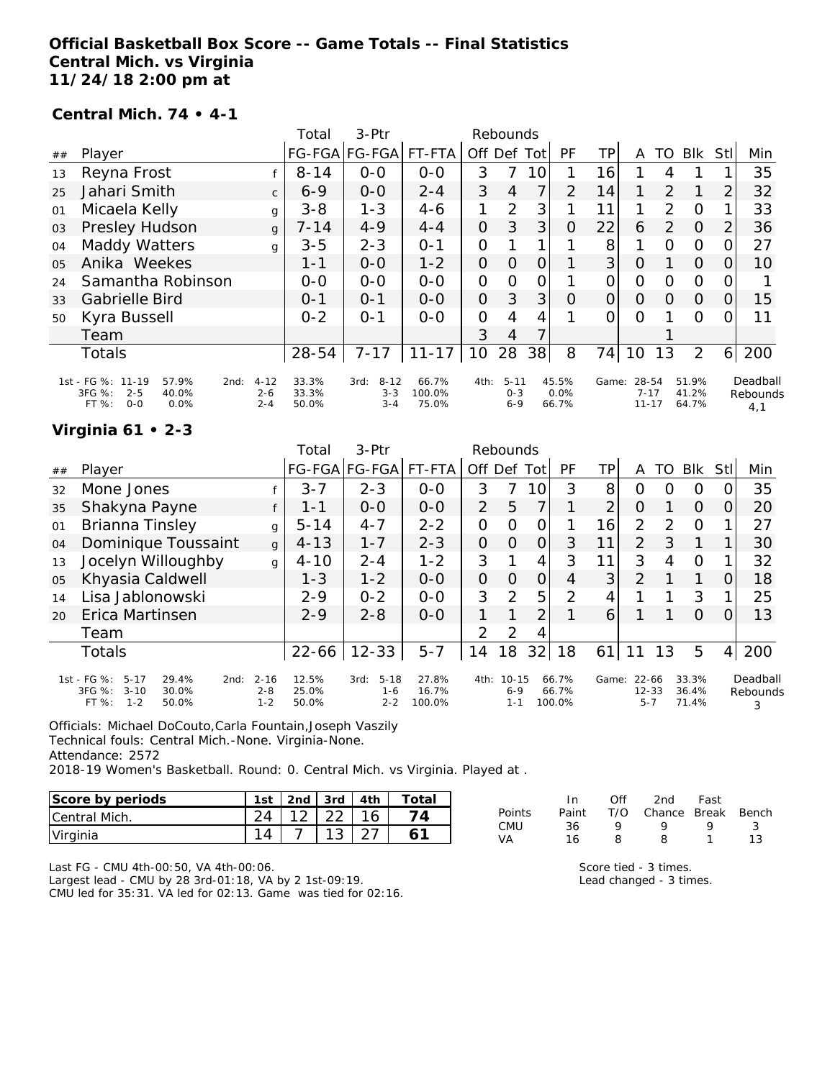### **Official Basketball Box Score -- Game Totals -- Final Statistics Central Mich. vs Virginia 11/24/18 2:00 pm at**

#### **Central Mich. 74 • 4-1**

|                |                                                                                              |                                | Total                   | 3-Ptr                                  |                          |                | Rebounds                       |          |                        |          |                                |                |                         |                |                             |
|----------------|----------------------------------------------------------------------------------------------|--------------------------------|-------------------------|----------------------------------------|--------------------------|----------------|--------------------------------|----------|------------------------|----------|--------------------------------|----------------|-------------------------|----------------|-----------------------------|
| ##             | Player                                                                                       |                                |                         | FG-FGA FG-FGA                          | FT-FTA                   | Off            | Def                            | Totl     | PF                     | ΤP       | A                              | TO             | Blk                     | Stl            | Min                         |
| 13             | Reyna Frost                                                                                  |                                | $8 - 14$                | $0 - 0$                                | $0 - 0$                  | 3              |                                | 10       |                        | 16       |                                | 4              |                         |                | 35                          |
| 25             | Jahari Smith                                                                                 | $\mathsf{C}$                   | $6 - 9$                 | $0 - 0$                                | $2 - 4$                  | 3              | 4                              | 7        | 2                      | 14       | 1                              | 2              | 1                       | $\overline{2}$ | 32                          |
| 01             | Micaela Kelly                                                                                | g                              | $3 - 8$                 | $1 - 3$                                | $4-6$                    |                | 2                              | 3        |                        | 11       | 1                              | 2              | $\Omega$                | 1              | 33                          |
| 03             | Presley Hudson                                                                               | q                              | $7 - 14$                | $4 - 9$                                | $4 - 4$                  | $\Omega$       | 3                              | 3        | $\Omega$               | 22       | 6                              | 2              | $\overline{O}$          | $\overline{2}$ | 36                          |
| 04             | <b>Maddy Watters</b>                                                                         | q                              | $3 - 5$                 | $2 - 3$                                | $O - 1$                  | 0              |                                |          |                        | 8        | 1                              | $\Omega$       | $\Omega$                | 0              | 27                          |
| 0 <sub>5</sub> | Anika Weekes                                                                                 |                                | 1-1                     | $0 - 0$                                | $1 - 2$                  | $\Omega$       | $\Omega$                       | $\Omega$ |                        | 3        | $\Omega$                       |                | $\Omega$                | $\Omega$       | 10                          |
| 24             | Samantha Robinson                                                                            |                                | $O-O$                   | $0 - 0$                                | $O-O$                    | $\Omega$       | $\Omega$                       | 0        |                        | 0        | $\mathcal{O}$                  | $\Omega$       | $\Omega$                | 0              |                             |
| 33             | Gabrielle Bird                                                                               |                                | $0 - 1$                 | $O - 1$                                | $0 - 0$                  | $\overline{O}$ | 3                              | 3        | $\Omega$               | 0        | $\Omega$                       | $\overline{O}$ | $\overline{O}$          | 0              | 15                          |
| 50             | Kyra Bussell                                                                                 |                                | $0 - 2$                 | $O - 1$                                | $0 - 0$                  | $\Omega$       | 4                              | 4        |                        | $\Omega$ | $\Omega$                       |                | $\Omega$                | 0              | 11                          |
|                | Team                                                                                         |                                |                         |                                        |                          | 3              | 4                              |          |                        |          |                                |                |                         |                |                             |
|                | Totals                                                                                       |                                | 28-54                   | $7 - 17$                               | $11 - 17$                | 10             | 28                             | 38       | 8                      | 74       | 10                             | 13             | 2                       | 6              | 200                         |
|                | 1st - FG %: 11-19<br>57.9%<br>2nd:<br>3FG %:<br>$2 - 5$<br>40.0%<br>FT %:<br>$0 - 0$<br>0.0% | $4 - 12$<br>$2 - 6$<br>$2 - 4$ | 33.3%<br>33.3%<br>50.0% | $8 - 12$<br>3rd:<br>$3 - 3$<br>$3 - 4$ | 66.7%<br>100.0%<br>75.0% | 4th:           | $5 - 11$<br>$0 - 3$<br>$6 - 9$ |          | 45.5%<br>0.0%<br>66.7% | Game:    | 28-54<br>$7 - 17$<br>$11 - 17$ |                | 51.9%<br>41.2%<br>64.7% |                | Deadball<br>Rebounds<br>4,1 |

### **Virginia 61 • 2-3**

|    | $\sim$ $\sim$ $\sim$ $\sim$ $\sim$                                                                   |                                |                         |                                        |                          |                |                                 |                |                          |       |                                   |               |                         |                |                           |
|----|------------------------------------------------------------------------------------------------------|--------------------------------|-------------------------|----------------------------------------|--------------------------|----------------|---------------------------------|----------------|--------------------------|-------|-----------------------------------|---------------|-------------------------|----------------|---------------------------|
|    |                                                                                                      |                                | Total                   | 3-Ptr                                  |                          | Rebounds       |                                 |                |                          |       |                                   |               |                         |                |                           |
| ## | Player                                                                                               |                                |                         | FG-FGA FG-FGA                          | FT-FTA                   | Off Def        |                                 | Totl           | <b>PF</b>                | TΡ    | A                                 | TO            | Blk                     | StII           | Min                       |
| 32 | Mone Jones                                                                                           |                                | $3 - 7$                 | $2 - 3$                                | $0 - 0$                  | 3              | 7                               | 10             | 3                        | 8     | Ω                                 | Ω             | O                       |                | 35                        |
| 35 | Shakyna Payne                                                                                        |                                | $1 - 1$                 | $0-0$                                  | $0-0$                    | $\overline{2}$ | 5                               | 7              |                          | 2     | O                                 |               | $\overline{O}$          | O              | 20                        |
| 01 | Brianna Tinsley                                                                                      | g                              | $5 - 14$                | $4 - 7$                                | $2 - 2$                  | 0              | $\Omega$                        | 0              |                          | 16    | 2                                 | $\mathcal{D}$ | $\Omega$                |                | 27                        |
| 04 | Dominique Toussaint                                                                                  | $\mathsf{g}$                   | $4 - 13$                | $1 - 7$                                | $2 - 3$                  | $\overline{O}$ | $\Omega$                        | $\Omega$       | 3                        | 11    | $\overline{2}$                    | 3             | 1                       |                | 30                        |
| 13 | Jocelyn Willoughby                                                                                   | $\mathbf{q}$                   | $4 - 10$                | $2 - 4$                                | $1 - 2$                  | 3              |                                 | 4              | 3                        | 11    | 3                                 | 4             | $\circ$                 |                | 32                        |
| 05 | Khyasia Caldwell                                                                                     |                                | $1 - 3$                 | $1 - 2$                                | $0 - 0$                  | $\overline{O}$ | $\Omega$                        | $\overline{O}$ | 4                        | 3     | 2                                 |               | 1                       | Ο              | 18                        |
| 14 | Lisa Jablonowski                                                                                     |                                | $2 - 9$                 | $0 - 2$                                | $0-0$                    | 3              | 2                               | 5              | 2                        | 4     |                                   |               | 3                       |                | 25                        |
| 20 | Erica Martinsen                                                                                      |                                | $2 - 9$                 | $2 - 8$                                | $0-0$                    |                | 1                               | $\overline{2}$ |                          | 6     |                                   |               | $\Omega$                | Ω              | 13                        |
|    | Team                                                                                                 |                                |                         |                                        |                          | 2              | 2                               | 4              |                          |       |                                   |               |                         |                |                           |
|    | <b>Totals</b>                                                                                        |                                | 22-66                   | $12 - 33$                              | $5 - 7$                  | 14             | 18                              | 32             | 18                       | 61    | 11                                | 13            | 5                       | 4 <sub>1</sub> | 200                       |
|    | 1st - FG %:<br>$5 - 17$<br>29.4%<br>2nd:<br>3FG %:<br>$3 - 10$<br>30.0%<br>$1 - 2$<br>FT %:<br>50.0% | $2 - 16$<br>$2 - 8$<br>$1 - 2$ | 12.5%<br>25.0%<br>50.0% | $5 - 18$<br>3rd:<br>$1 - 6$<br>$2 - 2$ | 27.8%<br>16.7%<br>100.0% | 4th:           | $10 - 15$<br>$6 - 9$<br>$1 - 1$ |                | 66.7%<br>66.7%<br>100.0% | Game: | $22 - 66$<br>$12 - 33$<br>$5 - 7$ |               | 33.3%<br>36.4%<br>71.4% |                | Deadball<br>Rebounds<br>3 |

Officials: Michael DoCouto,Carla Fountain,Joseph Vaszily

Technical fouls: Central Mich.-None. Virginia-None.

Attendance: 2572

2018-19 Women's Basketball. Round: 0. Central Mich. vs Virginia. Played at .

| Score by periods      | 1st | 2 <sub>nd</sub> | 3rd | 4th | ™otai |
|-----------------------|-----|-----------------|-----|-----|-------|
| <b>ICentral Mich.</b> |     |                 |     |     |       |
| Virginia              |     |                 |     |     |       |

|               | In.   | Off | 2nd                    | Fast |    |
|---------------|-------|-----|------------------------|------|----|
| <b>Points</b> | Paint |     | T/O Chance Break Bench |      |    |
| CMU           | 36.   | o   | o                      | o    |    |
| VА            | 16    | Ω   | Զ                      |      | 13 |

Last FG - CMU 4th-00:50, VA 4th-00:06. Largest lead - CMU by 28 3rd-01:18, VA by 2 1st-09:19. CMU led for 35:31. VA led for 02:13. Game was tied for 02:16. Score tied - 3 times.

Lead changed - 3 times.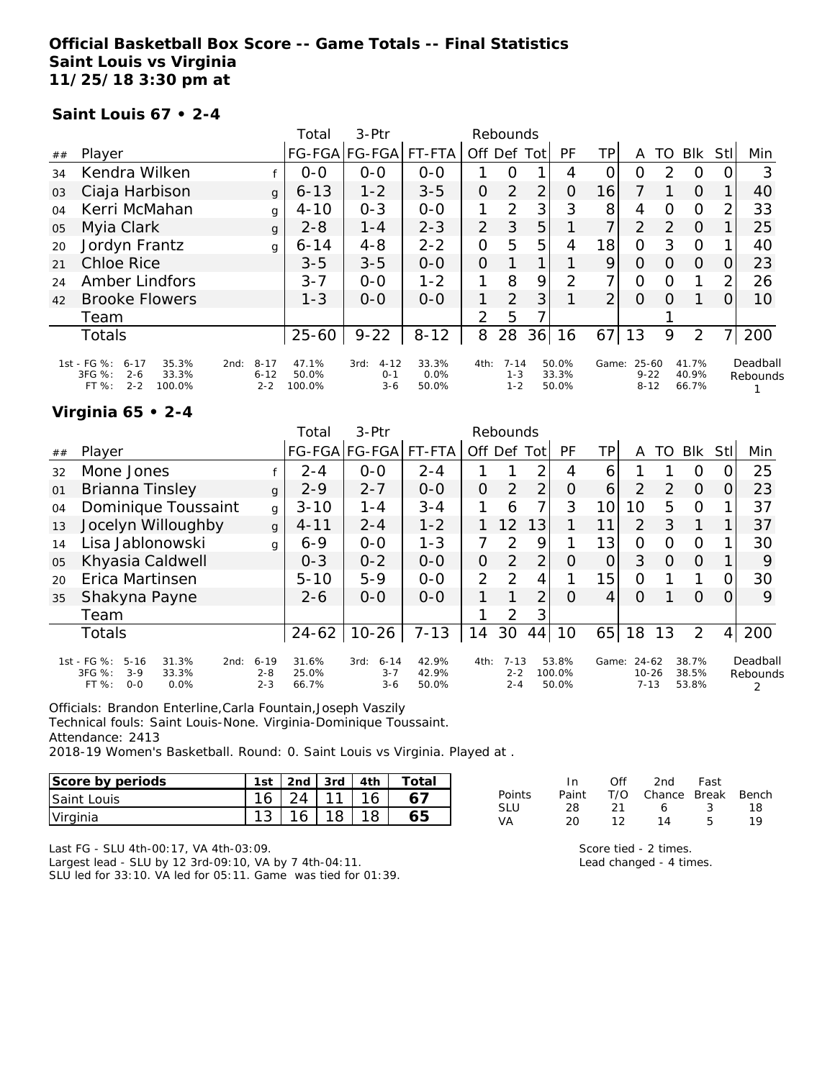### **Official Basketball Box Score -- Game Totals -- Final Statistics Saint Louis vs Virginia 11/25/18 3:30 pm at**

#### **Saint Louis 67 • 2-4**

|    |                                                                                            |                                         | Total                    | 3-Ptr                                  |                        |                | Rebounds                       |      |                         |                |                                   |               |                         |      |                      |
|----|--------------------------------------------------------------------------------------------|-----------------------------------------|--------------------------|----------------------------------------|------------------------|----------------|--------------------------------|------|-------------------------|----------------|-----------------------------------|---------------|-------------------------|------|----------------------|
| ## | Player                                                                                     |                                         |                          | FG-FGA FG-FGA                          | FT-FTA                 | Off Def        |                                | Totl | <b>PF</b>               | TPI            | A                                 | TO            | <b>BIK</b>              | StII | Min                  |
| 34 | Kendra Wilken                                                                              |                                         | $0 - 0$                  | $0-0$                                  | $0-0$                  |                | 0                              |      | 4                       | 0              | 0                                 | 2             | O                       | O    | 3                    |
| 03 | Ciaja Harbison                                                                             | $\mathbf{q}$                            | $6 - 13$                 | $1 - 2$                                | $3 - 5$                | 0              | $\overline{2}$                 | 2    | 0                       | 16             |                                   |               | $\Omega$                |      | 40                   |
| 04 | Kerri McMahan                                                                              | g                                       | $4 - 10$                 | $0 - 3$                                | $0 - 0$                | 1              | $\mathcal{P}$                  | 3    | 3                       | 8              | 4                                 | $\Omega$      | $\circ$                 | 2    | 33                   |
| 05 | Myia Clark                                                                                 | $\mathbf{q}$                            | $2 - 8$                  | $1 - 4$                                | $2 - 3$                | $\overline{2}$ | 3                              | 5    |                         | 7              | $\mathcal{P}$                     | $\mathcal{P}$ | $\Omega$                |      | 25                   |
| 20 | Jordyn Frantz                                                                              | g                                       | $6 - 14$                 | $4 - 8$                                | $2 - 2$                | 0              | 5                              | 5    | 4                       | 18             | 0                                 | 3             | $\Omega$                |      | 40                   |
| 21 | <b>Chloe Rice</b>                                                                          |                                         | $3 - 5$                  | $3 - 5$                                | $0 - 0$                | $\Omega$       |                                |      |                         | 9              | $\Omega$                          | $\Omega$      | $\Omega$                | 0    | 23                   |
| 24 | Amber Lindfors                                                                             |                                         | $3 - 7$                  | $0 - 0$                                | $1 - 2$                | 1              | 8                              | 9    | 2                       | 7              | 0                                 | Ω             |                         | 2    | 26                   |
| 42 | <b>Brooke Flowers</b>                                                                      |                                         | $1 - 3$                  | $0 - 0$                                | $0 - 0$                | 1              | $\overline{2}$                 | 3    |                         | $\overline{2}$ | $\Omega$                          | O             |                         | 0    | 10                   |
|    | Team                                                                                       |                                         |                          |                                        |                        | $\mathcal{P}$  | 5                              |      |                         |                |                                   |               |                         |      |                      |
|    | <b>Totals</b>                                                                              |                                         | $25 - 60$                | $9 - 22$                               | $8 - 12$               | 8              | 28                             | 36   | 16                      | 67             | 13                                | 9             | 2                       |      | 200                  |
|    | 1st - FG %:<br>35.3%<br>$6 - 17$<br>3FG %:<br>33.3%<br>$2 - 6$<br>$2 - 2$<br>100.0%<br>FT% | $8 - 17$<br>2nd:<br>$6 - 12$<br>$2 - 2$ | 47.1%<br>50.0%<br>100.0% | $4 - 12$<br>3rd:<br>$0 - 1$<br>$3 - 6$ | 33.3%<br>0.0%<br>50.0% | 4th:           | $7 - 14$<br>$1 - 3$<br>$1 - 2$ |      | 50.0%<br>33.3%<br>50.0% | Game:          | $25 - 60$<br>$9 - 22$<br>$8 - 12$ |               | 41.7%<br>40.9%<br>66.7% |      | Deadball<br>Rebounds |

#### **Virginia 65 • 2-4**

|    |                                                                                                    |                                | Total                   | $3-Ptr$                                |                         |          | Rebounds                       |                |                          |         |                                |          |                         |                |                      |
|----|----------------------------------------------------------------------------------------------------|--------------------------------|-------------------------|----------------------------------------|-------------------------|----------|--------------------------------|----------------|--------------------------|---------|--------------------------------|----------|-------------------------|----------------|----------------------|
| ## | Player                                                                                             |                                |                         | FG-FGA FG-FGA  FT-FTA                  |                         | Off      | Def Tot                        |                | PF                       | TP      | Α                              | TO       | <b>BIK</b>              | Stl            | Min                  |
| 32 | Mone Jones                                                                                         |                                | $2 - 4$                 | $0 - 0$                                | $2 - 4$                 |          |                                | ⌒              | 4                        | 6       |                                |          | 0                       |                | 25                   |
| 01 | Brianna Tinsley                                                                                    | $\mathbf{q}$                   | $2 - 9$                 | $2 - 7$                                | $0 - 0$                 | $\Omega$ | $\overline{2}$                 | $\overline{2}$ | $\Omega$                 | 6       | 2                              | 2        | $\Omega$                | O              | 23                   |
| 04 | Dominique Toussaint                                                                                | g                              | $3 - 10$                | $1 - 4$                                | $3 - 4$                 | 1        | 6                              | 7              | 3                        | 10      | 10                             | 5        | $\Omega$                |                | 37                   |
| 13 | Jocelyn Willoughby                                                                                 | $\mathbf{q}$                   | $4 - 11$                | $2 - 4$                                | $1 - 2$                 |          | 12                             | 13             |                          | 11      | 2                              | 3        | 1                       |                | 37                   |
| 14 | Lisa Jablonowski                                                                                   | q                              | $6 - 9$                 | $0 - 0$                                | $1 - 3$                 | 7        | 2                              | 9              |                          | 13      | O                              | O        | $\Omega$                |                | 30                   |
| 05 | Khyasia Caldwell                                                                                   |                                | $0 - 3$                 | $0 - 2$                                | $0 - 0$                 | 0        | 2                              | 2              | Ο                        |         | 3                              | $\Omega$ | $\Omega$                |                | 9                    |
| 20 | Erica Martinsen                                                                                    |                                | $5 - 10$                | $5-9$                                  | $0 - 0$                 | 2        | 2                              | 4              |                          | 15      | $\overline{O}$                 |          | 1                       |                | 30                   |
| 35 | Shakyna Payne                                                                                      |                                | $2 - 6$                 | $0 - 0$                                | $0 - 0$                 |          |                                | 2              | $\Omega$                 | $\vert$ | O                              |          | $\Omega$                | 0              | 9                    |
|    | Team                                                                                               |                                |                         |                                        |                         |          | 2                              | 3              |                          |         |                                |          |                         |                |                      |
|    | Totals                                                                                             |                                |                         | $24-62$   10-26                        | $7 - 13$                | 14       | 30                             | 44             | 10                       | 65      | 18                             | 13       | 2                       | 4 <sup>1</sup> | 200                  |
|    | 1st - FG %:<br>$5 - 16$<br>31.3%<br>2nd:<br>3FG %:<br>$3 - 9$<br>33.3%<br>$0 - 0$<br>FT %:<br>0.0% | $6 - 19$<br>$2 - 8$<br>$2 - 3$ | 31.6%<br>25.0%<br>66.7% | $6 - 14$<br>3rd:<br>$3 - 7$<br>$3 - 6$ | 42.9%<br>42.9%<br>50.0% | 4th:     | $7 - 13$<br>$2 - 2$<br>$2 - 4$ |                | 53.8%<br>100.0%<br>50.0% | Game:   | 24-62<br>$10 - 26$<br>$7 - 13$ |          | 38.7%<br>38.5%<br>53.8% |                | Deadball<br>Rebounds |

Officials: Brandon Enterline,Carla Fountain,Joseph Vaszily Technical fouls: Saint Louis-None. Virginia-Dominique Toussaint.

Attendance: 2413

2018-19 Women's Basketball. Round: 0. Saint Louis vs Virginia. Played at .

| Score by periods   | 1st | 2 <sub>nd</sub> | 3rd | 4th | Total |
|--------------------|-----|-----------------|-----|-----|-------|
| <b>Saint Louis</b> | 16  |                 | -11 |     |       |
| Virginia           | ◡   |                 |     |     |       |

|            | In.   | Off  | 2nd                    | Fast |    |
|------------|-------|------|------------------------|------|----|
| Points     | Paint |      | T/O Chance Break Bench |      |    |
| <b>SLU</b> | 28.   | -21- | 6.                     | -3   | 18 |
| VA         | 20    | 12.  | 14                     | 5.   | 19 |

Last FG - SLU 4th-00:17, VA 4th-03:09.

Largest lead - SLU by 12 3rd-09:10, VA by 7 4th-04:11. SLU led for 33:10. VA led for 05:11. Game was tied for 01:39. Score tied - 2 times. Lead changed - 4 times.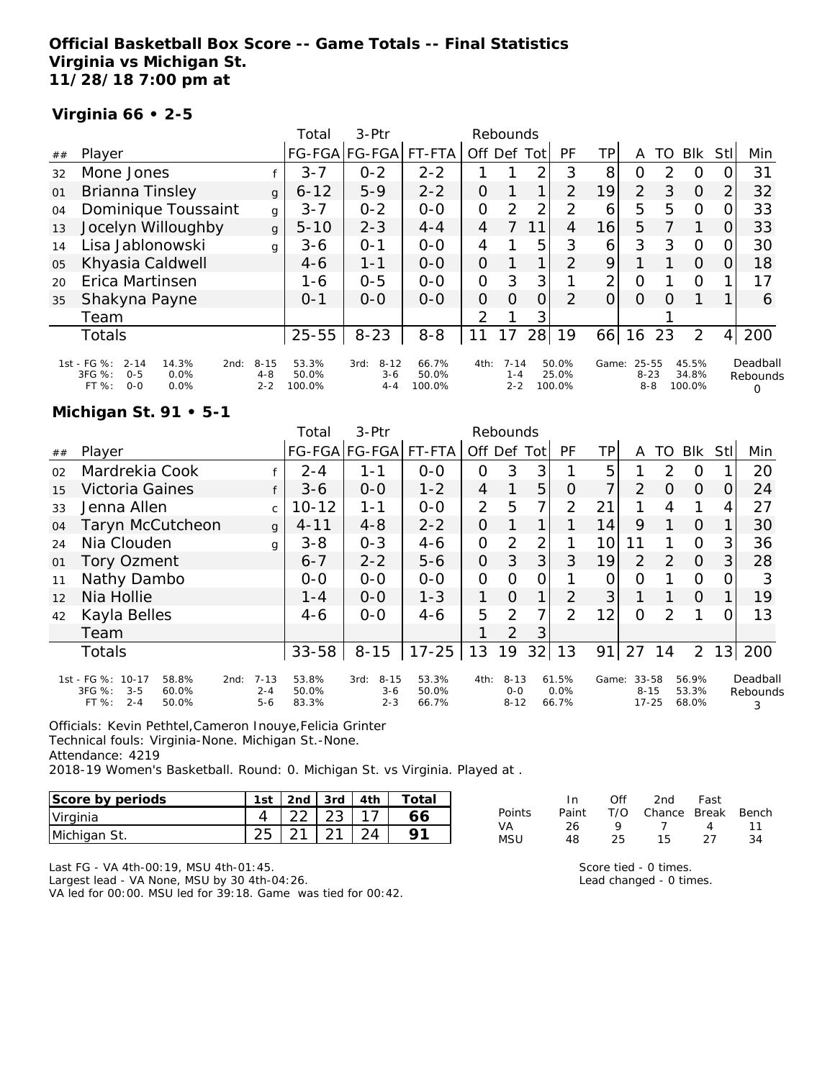### **Official Basketball Box Score -- Game Totals -- Final Statistics Virginia vs Michigan St. 11/28/18 7:00 pm at**

### **Virginia 66 • 2-5**

|    |                                                                                                 |                                | Total                    | 3-Ptr                                  |                          | Rebounds       |                                |                |                          |                |                                  |               |                          |      |                           |
|----|-------------------------------------------------------------------------------------------------|--------------------------------|--------------------------|----------------------------------------|--------------------------|----------------|--------------------------------|----------------|--------------------------|----------------|----------------------------------|---------------|--------------------------|------|---------------------------|
| ## | Player                                                                                          |                                | <b>FG-FGA</b>            | FG-FGA                                 | FT-FTA                   | Off Def        |                                | Tot            | PF                       | ΤP             | Α                                | TO            | <b>BIK</b>               | Stll | Min                       |
| 32 | Mone Jones                                                                                      |                                | $3 - 7$                  | $0 - 2$                                | $2 - 2$                  |                |                                | 2              | 3                        | 8              | O                                | $\mathcal{P}$ | O                        | 0    | 31                        |
| 01 | Brianna Tinsley                                                                                 | $\mathbf{q}$                   | $6 - 12$                 | $5 - 9$                                | $2 - 2$                  | 0              |                                | 1.             | 2                        | 19             | $\overline{2}$                   | 3             | $\Omega$                 | 2    | 32                        |
| 04 | Dominique Toussaint                                                                             | g                              | $3 - 7$                  | $0 - 2$                                | $0 - 0$                  | 0              | $\mathcal{P}$                  | 2              | 2                        | 6              | 5                                | 5             | O                        | 0    | 33                        |
| 13 | Jocelyn Willoughby                                                                              | $\mathbf{q}$                   | $5 - 10$                 | $2 - 3$                                | $4 - 4$                  | 4              |                                | 11             | 4                        | 16             | 5                                |               |                          | O    | 33                        |
| 14 | Lisa Jablonowski                                                                                | g                              | $3 - 6$                  | $O - 1$                                | $O - O$                  | 4              |                                | 5              | 3                        | 6              | 3                                | 3             | $\Omega$                 | 0    | 30                        |
| 05 | Khyasia Caldwell                                                                                |                                | $4 - 6$                  | $1 - 1$                                | $0 - 0$                  | $\overline{O}$ |                                | 1              | $\overline{2}$           | 9              |                                  |               | $\Omega$                 | 0    | 18                        |
| 20 | Erica Martinsen                                                                                 |                                | 1-6                      | $0 - 5$                                | $O - O$                  | 0              | 3                              | 3              |                          | 2              | $\Omega$                         |               | O                        |      | 17                        |
| 35 | Shakyna Payne                                                                                   |                                | $O - 1$                  | $0 - 0$                                | $O-O$                    | 0              | $\Omega$                       | $\overline{O}$ | 2                        | $\overline{O}$ | $\Omega$                         | O             |                          |      | 6                         |
|    | Team                                                                                            |                                |                          |                                        |                          | 2              |                                | 3              |                          |                |                                  |               |                          |      |                           |
|    | Totals                                                                                          |                                | $25 - 55$                | $8 - 23$                               | $8 - 8$                  | 11             | 17                             | 28             | 19                       | 66             | 16                               | 23            | 2                        | 4    | 200                       |
|    | 1st - FG %:<br>$2 - 14$<br>14.3%<br>2nd:<br>3FG %:<br>0.0%<br>$0 - 5$<br>$0 - 0$<br>FT%<br>0.0% | $8 - 15$<br>$4 - 8$<br>$2 - 2$ | 53.3%<br>50.0%<br>100.0% | $8 - 12$<br>3rd:<br>$3 - 6$<br>$4 - 4$ | 66.7%<br>50.0%<br>100.0% | 4th:           | $7 - 14$<br>$1 - 4$<br>$2 - 2$ |                | 50.0%<br>25.0%<br>100.0% | Game:          | $25 - 55$<br>$8 - 23$<br>$8 - 8$ |               | 45.5%<br>34.8%<br>100.0% |      | Deadball<br>Rebounds<br>Ω |

#### **Michigan St. 91 • 5-1**

|    |                                                                                       |                                        | Total                   | $3-Ptr$                                |                         |                | Rebounds                        |                |                        |       |                                |               |                         |                |                           |
|----|---------------------------------------------------------------------------------------|----------------------------------------|-------------------------|----------------------------------------|-------------------------|----------------|---------------------------------|----------------|------------------------|-------|--------------------------------|---------------|-------------------------|----------------|---------------------------|
| ## | Player                                                                                |                                        |                         | FG-FGA FG-FGA                          | FT-FTA                  | Off Def        |                                 | Tot            | PF                     | TP.   | A                              | TO            | <b>BIK</b>              | Stll           | Min                       |
| 02 | Mardrekia Cook                                                                        |                                        | $2 - 4$                 | $1 - 1$                                | $0-0$                   | 0              | 3                               | 3              |                        | 5     |                                | 2             | 0                       |                | 20                        |
| 15 | Victoria Gaines                                                                       |                                        | $3-6$                   | $0-0$                                  | $1 - 2$                 | 4              |                                 | 5              | 0                      | 7     | 2                              | O             | 0                       | $\Omega$       | 24                        |
| 33 | Jenna Allen                                                                           | $\mathsf{C}$                           | $10 - 12$               | $1 - 1$                                | $0-0$                   | $\overline{2}$ | 5                               | 7              | $\overline{2}$         | 21    |                                | 4             |                         | 4              | 27                        |
| 04 | Taryn McCutcheon                                                                      | $\mathbf{q}$                           | $4 - 11$                | $4 - 8$                                | $2 - 2$                 | $\overline{O}$ |                                 | 1              |                        | 14    | 9                              |               | $\Omega$                |                | 30                        |
| 24 | Nia Clouden                                                                           | g                                      | $3 - 8$                 | $0 - 3$                                | $4 - 6$                 | $\mathcal{O}$  | 2                               | $\overline{2}$ |                        | 10    | 11                             |               | $\Omega$                | 3              | 36                        |
| 01 | Tory Ozment                                                                           |                                        | $6 - 7$                 | $2 - 2$                                | $5 - 6$                 | $\overline{O}$ | 3                               | 3              | 3                      | 19    | 2                              | $\mathcal{P}$ | $\overline{O}$          | $\overline{3}$ | 28                        |
| 11 | Nathy Dambo                                                                           |                                        | $0 - 0$                 | $0 - 0$                                | $0 - 0$                 | $\mathbf{O}$   | O                               | $\mathcal{O}$  |                        | O     | O                              |               | $\Omega$                | 0              | 3                         |
| 12 | Nia Hollie                                                                            |                                        | $1 - 4$                 | $O-O$                                  | $1 - 3$                 | $\mathbf{1}$   | $\Omega$                        | 1              | $\overline{2}$         | 3     |                                |               | $\Omega$                |                | 19                        |
| 42 | Kayla Belles                                                                          |                                        | $4-6$                   | $0 - 0$                                | $4-6$                   | 5              | 2                               | 7 <sub>1</sub> | $\mathcal{P}$          | 12    | $\Omega$                       | 2             |                         | O.             | 13                        |
|    | Team                                                                                  |                                        |                         |                                        |                         |                | 2                               | 3              |                        |       |                                |               |                         |                |                           |
|    | <b>Totals</b>                                                                         |                                        | $33 - 58$               | $8 - 15$                               | $17 - 25$               | 13             | 19                              | 32             | 13                     | 91    | 27                             | 14            | $\overline{2}$          |                | 13 200                    |
|    | 1st - FG %: 10-17<br>58.8%<br>3FG %:<br>$3 - 5$<br>60.0%<br>FT %:<br>$2 - 4$<br>50.0% | $7 - 13$<br>2nd:<br>$2 - 4$<br>$5 - 6$ | 53.8%<br>50.0%<br>83.3% | $8 - 15$<br>3rd:<br>$3 - 6$<br>$2 - 3$ | 53.3%<br>50.0%<br>66.7% | 4th:           | $8 - 13$<br>$0 - 0$<br>$8 - 12$ |                | 61.5%<br>0.0%<br>66.7% | Game: | 33-58<br>$8 - 15$<br>$17 - 25$ |               | 56.9%<br>53.3%<br>68.0% |                | Deadball<br>Rebounds<br>3 |

Officials: Kevin Pethtel,Cameron Inouye,Felicia Grinter

Technical fouls: Virginia-None. Michigan St.-None.

Attendance: 4219

2018-19 Women's Basketball. Round: 0. Michigan St. vs Virginia. Played at .

| Score by periods | 1st | 2nd $\sqrt{3}$ 3rd $\sqrt{4}$ 4th | Total |
|------------------|-----|-----------------------------------|-------|
| Virginia         |     | $22 \mid 23$                      |       |
| Michigan St.     | 25  |                                   |       |

|        | In.   | ∩ff | 2nd                    | Fast              |    |
|--------|-------|-----|------------------------|-------------------|----|
| Points | Paint |     | T/O Chance Break Bench |                   |    |
| VA     | 26.   | o   | $\overline{7}$         | $\mathbf{\Delta}$ | 11 |
| MSU    | 48    | 25. | 15.                    | フフ                | 34 |

Last FG - VA 4th-00:19, MSU 4th-01:45.

Largest lead - VA None, MSU by 30 4th-04:26.

VA led for 00:00. MSU led for 39:18. Game was tied for 00:42.

Score tied - 0 times.

Lead changed - 0 times.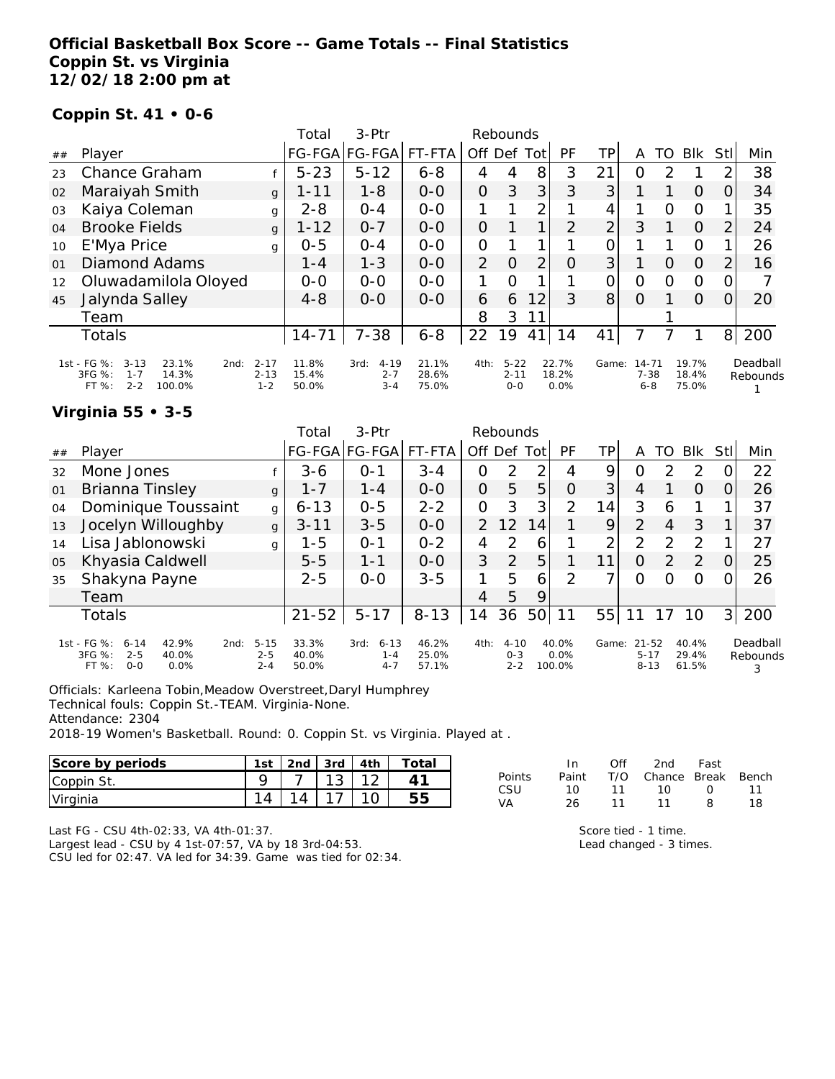### **Official Basketball Box Score -- Game Totals -- Final Statistics Coppin St. vs Virginia 12/02/18 2:00 pm at**

#### **Coppin St. 41 • 0-6**

|    |                                                                                                    |                                 | Total                   | $3-Ptr$                                |                         |                | Rebounds                        |                |                        |                |                                  |    |                         |                |                      |
|----|----------------------------------------------------------------------------------------------------|---------------------------------|-------------------------|----------------------------------------|-------------------------|----------------|---------------------------------|----------------|------------------------|----------------|----------------------------------|----|-------------------------|----------------|----------------------|
| ## | Player                                                                                             |                                 |                         | FG-FGA FG-FGA                          | FT-FTA                  | Off Def        |                                 | Totl           | PF                     | ΤP             | A                                | TO | <b>BIK</b>              | Stll           | Min                  |
| 23 | Chance Graham                                                                                      |                                 | $5 - 23$                | $5 - 12$                               | $6 - 8$                 | 4              | 4                               | 8              | 3                      | 21             | O                                | っ  |                         | っ              | 38                   |
| 02 | Maraiyah Smith                                                                                     | g                               | $1 - 11$                | $1 - 8$                                | $0-0$                   | $\overline{O}$ | 3                               | 3 <sup>1</sup> | 3                      | 3              |                                  |    | 0                       | O              | 34                   |
| 03 | Kaiya Coleman                                                                                      | g                               | $2 - 8$                 | $O - 4$                                | $0 - 0$                 |                |                                 | 2              |                        | 4              |                                  | Ω  | O                       |                | 35                   |
| 04 | <b>Brooke Fields</b>                                                                               | $\mathbf{q}$                    | $1 - 12$                | $0 - 7$                                | $0 - 0$                 | $\Omega$       |                                 | 1              | 2                      | $\overline{2}$ | 3                                |    | $\circ$                 | 2              | 24                   |
| 10 | E'Mya Price                                                                                        | g                               | $0 - 5$                 | $0 - 4$                                | $0 - 0$                 | $\mathcal{O}$  |                                 |                |                        | 0              |                                  |    | 0                       |                | 26                   |
| 01 | Diamond Adams                                                                                      |                                 | $1 - 4$                 | $1 - 3$                                | $0 - 0$                 | $\overline{2}$ | $\Omega$                        | $\overline{2}$ | 0                      | 3              |                                  | O  | $\circ$                 | 2              | 16                   |
| 12 | Oluwadamilola Oloyed                                                                               |                                 | $0-0$                   | $0 - 0$                                | $0-0$                   | 1              | $\Omega$                        |                |                        | 0              | 0                                | Ω  | O                       |                |                      |
| 45 | Jalynda Salley                                                                                     |                                 | $4 - 8$                 | $0 - 0$                                | $0 - 0$                 | 6              | 6                               | 12             | 3                      | 8 <sup>1</sup> | Ω                                |    | $\Omega$                | Ω              | 20                   |
|    | Team                                                                                               |                                 |                         |                                        |                         | 8              | 3                               |                |                        |                |                                  |    |                         |                |                      |
|    | Totals                                                                                             |                                 | $14 - 71$               | $7 - 38$                               | $6 - 8$                 | 22             | 19                              | 41             | 14                     | 41             | 7                                |    |                         | 8 <sup>1</sup> | 200                  |
|    | 1st - FG %:<br>$3 - 13$<br>23.1%<br>2nd:<br>3FG %:<br>14.3%<br>$1 - 7$<br>$2 - 2$<br>FT%<br>100.0% | $2 - 17$<br>$2 - 13$<br>$1 - 2$ | 11.8%<br>15.4%<br>50.0% | $4 - 19$<br>3rd:<br>$2 - 7$<br>$3 - 4$ | 21.1%<br>28.6%<br>75.0% | 4th:           | $5 - 22$<br>$2 - 11$<br>$0 - 0$ |                | 22.7%<br>18.2%<br>0.0% | Game:          | $14 - 71$<br>$7 - 38$<br>$6 - 8$ |    | 19.7%<br>18.4%<br>75.0% |                | Deadball<br>Rebounds |

### **Virginia 55 • 3-5**

|    |                                                                                                     |                                | Total                   | $3-Ptr$                                |                         |               | Rebounds                       |      |                         |       |                                   |               |                         |                |                           |
|----|-----------------------------------------------------------------------------------------------------|--------------------------------|-------------------------|----------------------------------------|-------------------------|---------------|--------------------------------|------|-------------------------|-------|-----------------------------------|---------------|-------------------------|----------------|---------------------------|
| ## | Player                                                                                              |                                |                         | FG-FGA FG-FGA  FT-FTA                  |                         | Off           | Def                            | Totl | PF                      | TР    | A                                 | TO            | Blk                     | Stl            | Min                       |
| 32 | Mone Jones                                                                                          |                                | $3 - 6$                 | 0-1                                    | $3 - 4$                 | 0             | 2                              | 2    | 4                       | 9     | Ο                                 |               | 2                       |                | 22                        |
| 01 | Brianna Tinsley                                                                                     | $\mathbf{q}$                   | $1 - 7$                 | $1 - 4$                                | $0 - 0$                 | 0             | 5                              | 5    | O                       | 3     | 4                                 |               | $\Omega$                |                | 26                        |
| 04 | Dominique Toussaint                                                                                 | g                              | $6 - 13$                | $0 - 5$                                | $2 - 2$                 | 0             | 3                              | 3    | $\mathcal{P}$           | 14.   | 3                                 | 6             |                         |                | 37                        |
| 13 | Jocelyn Willoughby                                                                                  | $\mathbf{g}$                   | $3 - 11$                | $3 - 5$                                | $O-O$                   | $\mathcal{P}$ | 12                             | 14   |                         | 9     | $\overline{2}$                    | 4             | 3                       |                | 37                        |
| 14 | Lisa Jablonowski                                                                                    | q                              | $1 - 5$                 | $O - 1$                                | $0 - 2$                 | 4             | $\mathcal{P}$                  | 6    |                         | 2     | 2                                 | $\mathcal{P}$ | 2                       |                | 27                        |
| 05 | Khyasia Caldwell                                                                                    |                                | $5 - 5$                 | 1-1                                    | $O-O$                   | 3             | 2                              | 5    |                         | 11    | $\Omega$                          | $\mathcal{P}$ | 2                       |                | 25                        |
| 35 | Shakyna Payne                                                                                       |                                | $2 - 5$                 | $0 - 0$                                | $3 - 5$                 |               | 5                              | 6    | $\mathcal{P}$           |       | 0                                 | 0             | $\Omega$                |                | 26                        |
|    | Team                                                                                                |                                |                         |                                        |                         | 4             | 5                              | 9    |                         |       |                                   |               |                         |                |                           |
|    | Totals                                                                                              |                                | $21 - 52$               | $5 - 17$                               | $8 - 13$                | 14            | 36                             | 50   | 11                      | 55    | 11                                | 17            | 10                      | 3 <sup>1</sup> | 200                       |
|    | 1st - FG %:<br>42.9%<br>$6 - 14$<br>2nd:<br>3FG %:<br>$2 - 5$<br>40.0%<br>$O-O$<br>$0.0\%$<br>FT %: | $5 - 15$<br>$2 - 5$<br>$2 - 4$ | 33.3%<br>40.0%<br>50.0% | $6 - 13$<br>3rd:<br>$1 - 4$<br>$4 - 7$ | 46.2%<br>25.0%<br>57.1% | 4th:          | $4 - 10$<br>$O - 3$<br>$2 - 2$ |      | 40.0%<br>0.0%<br>100.0% | Game: | $21 - 52$<br>$5 - 17$<br>$8 - 13$ |               | 40.4%<br>29.4%<br>61.5% |                | Deadball<br>Rebounds<br>3 |

Officials: Karleena Tobin,Meadow Overstreet,Daryl Humphrey Technical fouls: Coppin St.-TEAM. Virginia-None.

Attendance: 2304

2018-19 Women's Basketball. Round: 0. Coppin St. vs Virginia. Played at .

| Score by periods              | ∣st | 2nd | 3rd         | 4th         | $\tau$ otal |           | In    | Off | 2nd    | Fast         |       |
|-------------------------------|-----|-----|-------------|-------------|-------------|-----------|-------|-----|--------|--------------|-------|
| Coppin St.                    |     |     | $\sim$<br>ັ | $\sim$<br>_ |             | Points    | Paint | T/O | Chance | <b>Break</b> | Bench |
| <i><u><b>Uirginia</b></u></i> | 4   | Δ   |             | 10          | 55<br>ں ب   | CSU<br>VA |       |     |        | Զ            | 18    |

Last FG - CSU 4th-02:33, VA 4th-01:37.

Largest lead - CSU by 4 1st-07:57, VA by 18 3rd-04:53. CSU led for 02:47. VA led for 34:39. Game was tied for 02:34. Score tied - 1 time. Lead changed - 3 times.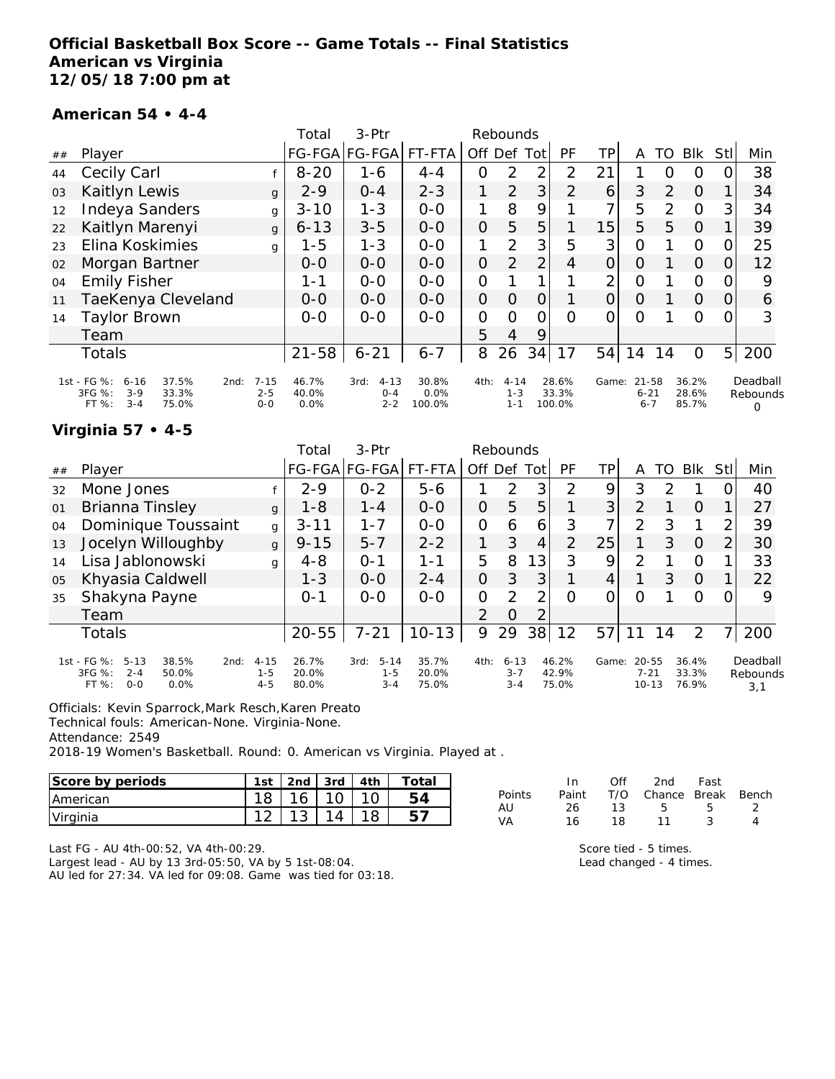### **Official Basketball Box Score -- Game Totals -- Final Statistics American vs Virginia 12/05/18 7:00 pm at**

#### **American 54 • 4-4**

|    |                                                                                                   |                                | Total                  | $3-Ptr$                                |                         |                | Rebounds                       |                |                          |                |                              |                |                         |                |                           |
|----|---------------------------------------------------------------------------------------------------|--------------------------------|------------------------|----------------------------------------|-------------------------|----------------|--------------------------------|----------------|--------------------------|----------------|------------------------------|----------------|-------------------------|----------------|---------------------------|
| ## | Player                                                                                            |                                |                        | FG-FGA FG-FGA                          | FT-FTA                  | Off            | Def                            | Tot            | PF                       | TP             | A                            | TO             | Blk                     | <b>Stl</b>     | Min                       |
| 44 | Cecily Carl                                                                                       |                                | $8 - 20$               | 1-6                                    | $4 - 4$                 | 0              | 2                              | 2              | $\overline{2}$           | 21             |                              | O              | O                       | O              | 38                        |
| 03 | Kaitlyn Lewis                                                                                     | g                              | $2 - 9$                | $0 - 4$                                | $2 - 3$                 | 1              | 2                              | 3              | 2                        | 6              | 3                            | 2              | $\Omega$                |                | 34                        |
| 12 | Indeya Sanders                                                                                    | g                              | $3 - 10$               | $1 - 3$                                | $0-0$                   | 1              | 8                              | 9              |                          | 7              | 5                            | $\overline{2}$ | $\Omega$                | 3              | 34                        |
| 22 | Kaitlyn Marenyi                                                                                   | $\mathbf{q}$                   | $6 - 13$               | $3 - 5$                                | $0 - 0$                 | $\overline{O}$ | 5                              | 5              |                          | 15             | 5                            | 5              | $\Omega$                |                | 39                        |
| 23 | Elina Koskimies                                                                                   | g                              | $1 - 5$                | $1 - 3$                                | $0-0$                   | $\mathbf{1}$   | 2                              | 3              | 5                        | 3              | $\overline{O}$               |                | $\Omega$                | 0              | 25                        |
| 02 | Morgan Bartner                                                                                    |                                | $0 - 0$                | $0-0$                                  | $0-0$                   | $\mathbf 0$    | 2                              | $\overline{2}$ | 4                        | $\overline{O}$ | $\overline{O}$               |                | $\overline{O}$          | $\Omega$       | 12                        |
| 04 | <b>Emily Fisher</b>                                                                               |                                | 1 - 1                  | $0 - 0$                                | $0 - 0$                 | $\overline{O}$ |                                |                |                          | $\overline{2}$ | $\Omega$                     |                | $\Omega$                | 0              | 9                         |
| 11 | TaeKenya Cleveland                                                                                |                                | $0 - 0$                | $0-0$                                  | $0 - 0$                 | $\overline{O}$ | $\Omega$                       | 0              |                          | $\Omega$       | $\Omega$                     |                | $\Omega$                | 0              | 6                         |
| 14 | Taylor Brown                                                                                      |                                | $0 - 0$                | $0 - 0$                                | $0 - 0$                 | 0              | $\Omega$                       | 0              | $\Omega$                 | 0              | O                            |                | $\Omega$                | 0              | 3                         |
|    | Team                                                                                              |                                |                        |                                        |                         | 5              | 4                              | 9              |                          |                |                              |                |                         |                |                           |
|    | Totals                                                                                            |                                | $21 - 58$              | $6 - 21$                               | $6 - 7$                 | 8              | 26                             | 34             | 17                       | 54             | 14                           | 14             | $\Omega$                | 5 <sup>1</sup> | 200                       |
|    | 1st - FG %:<br>37.5%<br>$6 - 16$<br>2nd:<br>3FG %:<br>$3-9$<br>33.3%<br>FT %:<br>$3 - 4$<br>75.0% | $7 - 15$<br>$2 - 5$<br>$0 - 0$ | 46.7%<br>40.0%<br>0.0% | $4 - 13$<br>3rd:<br>$O - 4$<br>$2 - 2$ | 30.8%<br>0.0%<br>100.0% | 4th:           | $4 - 14$<br>$1 - 3$<br>$1 - 1$ |                | 28.6%<br>33.3%<br>100.0% | Game:          | 21-58<br>$6 - 21$<br>$6 - 7$ |                | 36.2%<br>28.6%<br>85.7% |                | Deadball<br>Rebounds<br>Ω |

### **Virginia 57 • 4-5**

|    |                                                                                                       |                                | Total                   | $3-Ptr$                                |                         |         | Rebounds                       |            |                         |       |                                    |    |                         |     |                             |
|----|-------------------------------------------------------------------------------------------------------|--------------------------------|-------------------------|----------------------------------------|-------------------------|---------|--------------------------------|------------|-------------------------|-------|------------------------------------|----|-------------------------|-----|-----------------------------|
| ## | Player                                                                                                |                                |                         | FG-FGA FG-FGA                          | FT-FTA                  | Off Def |                                | <b>Tot</b> | PF                      | TP.   | А                                  | TO | <b>Blk</b>              | Stl | Min                         |
| 32 | Mone Jones                                                                                            |                                | $2 - 9$                 | $0 - 2$                                | $5 - 6$                 |         | 2                              | 3          | 2                       | 9     | 3                                  |    |                         |     | 40                          |
| 01 | Brianna Tinsley                                                                                       | $\mathbf{q}$                   | $1 - 8$                 | $1 - 4$                                | $0 - 0$                 | 0       | 5                              | 5          |                         | 3     | 2                                  |    | $\Omega$                |     | 27                          |
| 04 | Dominique Toussaint                                                                                   | g                              | $3 - 11$                | $1 - 7$                                | $0 - 0$                 | 0       | 6                              | 6          | 3                       |       | $\mathcal{P}$                      | 3  | 1                       | ⌒   | 39                          |
| 13 | Jocelyn Willoughby                                                                                    | $\mathbf{q}$                   | $9 - 15$                | $5 - 7$                                | $2 - 2$                 |         | 3                              | 4          | 2                       | 25    |                                    | 3  | $\Omega$                | 2   | 30                          |
| 14 | Lisa Jablonowski                                                                                      | g                              | $4 - 8$                 | $O - 1$                                | 1-1                     | 5       | 8                              | 13         | 3                       | 9     | 2                                  |    | O                       |     | 33                          |
| 05 | Khyasia Caldwell                                                                                      |                                | $1 - 3$                 | $0 - 0$                                | $2 - 4$                 | 0       | 3                              | 3          |                         | 4     | 1                                  | 3  | $\Omega$                |     | 22                          |
| 35 | Shakyna Payne                                                                                         |                                | $0 - 1$                 | $0 - 0$                                | $0-0$                   | 0       | 2                              | っ          | Ω                       |       | Ω                                  |    | Ω                       |     | 9                           |
|    | Team                                                                                                  |                                |                         |                                        |                         | 2       | O                              | っ          |                         |       |                                    |    |                         |     |                             |
|    | <b>Totals</b>                                                                                         |                                | $20 - 55$               | $7 - 21$                               | $10 - 13$               | 9       | 29                             | 38         | 12                      | 57    |                                    | 14 | $\overline{2}$          |     | 200                         |
|    | 1st - FG %:<br>$5 - 13$<br>38.5%<br>2nd:<br>3FG %:<br>$2 - 4$<br>50.0%<br>$0 - 0$<br>FT %:<br>$0.0\%$ | $4 - 15$<br>$1 - 5$<br>$4 - 5$ | 26.7%<br>20.0%<br>80.0% | $5 - 14$<br>3rd:<br>$1 - 5$<br>$3 - 4$ | 35.7%<br>20.0%<br>75.0% | 4th:    | $6 - 13$<br>$3 - 7$<br>$3 - 4$ |            | 46.2%<br>42.9%<br>75.0% | Game: | $20 - 55$<br>$7 - 21$<br>$10 - 13$ |    | 36.4%<br>33.3%<br>76.9% |     | Deadball<br>Rebounds<br>3,1 |

Officials: Kevin Sparrock,Mark Resch,Karen Preato

Technical fouls: American-None. Virginia-None.

Attendance: 2549

2018-19 Women's Basketball. Round: 0. American vs Virginia. Played at .

| Score by periods | 1st | 2 <sub>nd</sub> | l 3rd | 4th | $\tau$ otai |
|------------------|-----|-----------------|-------|-----|-------------|
| <b>IAmerican</b> |     | 16              |       |     |             |
| Virginia         |     | 10              |       |     |             |

Last FG - AU 4th-00:52, VA 4th-00:29.

Largest lead - AU by 13 3rd-05:50, VA by 5 1st-08:04. AU led for 27:34. VA led for 09:08. Game was tied for 03:18.

|        | In. | Off | 2nd Fast                     |    |   |
|--------|-----|-----|------------------------------|----|---|
| Points |     |     | Paint T/O Chance Break Bench |    |   |
| AU     | 26. | 13  | 5 <sub>5</sub>               | -5 |   |
| VA     | 16  | 18. | 11                           | ્ર | Λ |
|        |     |     |                              |    |   |

Score tied - 5 times. Lead changed - 4 times.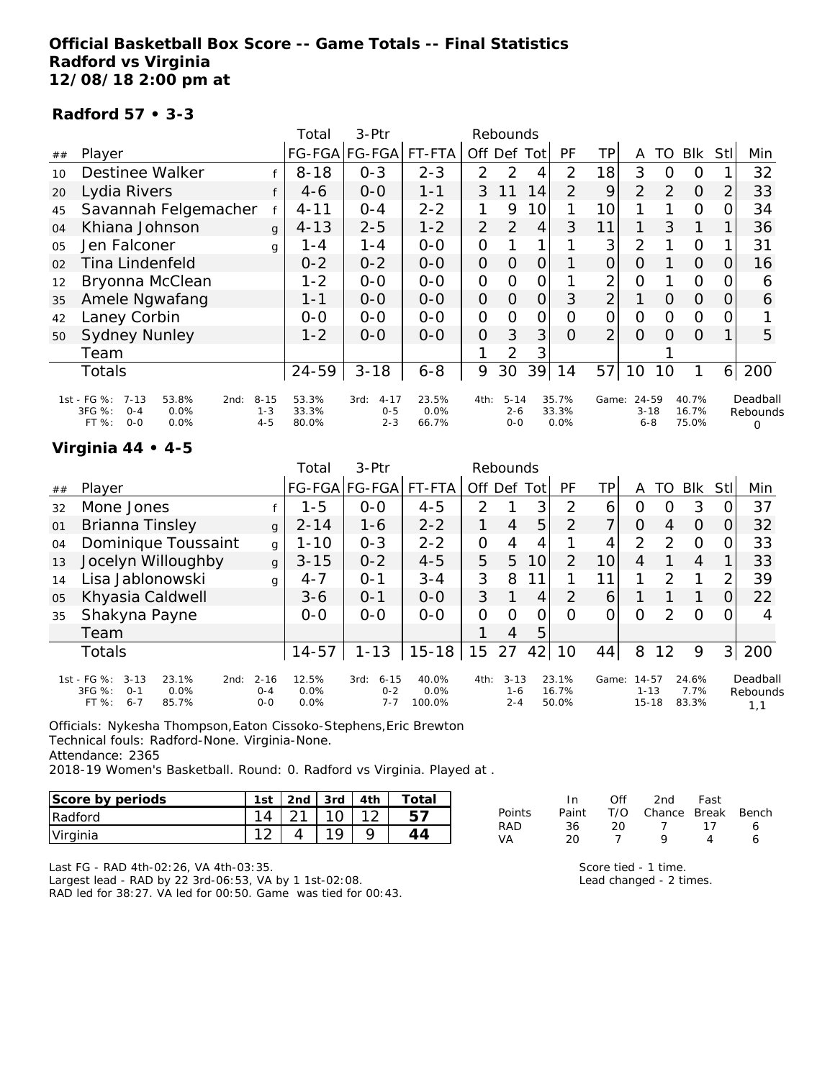### **Official Basketball Box Score -- Game Totals -- Final Statistics Radford vs Virginia 12/08/18 2:00 pm at**

#### **Radford 57 • 3-3**

|                |                                                                                                   |                                | Total                   | 3-Ptr                                  |                        |                | Rebounds                       |               |                        |                |                              |          |                         |                |                           |
|----------------|---------------------------------------------------------------------------------------------------|--------------------------------|-------------------------|----------------------------------------|------------------------|----------------|--------------------------------|---------------|------------------------|----------------|------------------------------|----------|-------------------------|----------------|---------------------------|
| ##             | Player                                                                                            |                                |                         | FG-FGA FG-FGA                          | FT-FTA                 | Off            | Def                            | Tot           | <b>PF</b>              | TР             | A                            | TO       | <b>BIK</b>              | Stll           | Min                       |
| 10             | <b>Destinee Walker</b>                                                                            |                                | $8 - 18$                | $0 - 3$                                | $2 - 3$                | $\mathcal{P}$  | 2                              | 4             | $\overline{2}$         | 18             | 3                            | 0        | 0                       |                | 32                        |
| 20             | Lydia Rivers                                                                                      |                                | $4-6$                   | $0-0$                                  | $1 - 1$                | 3              | 11                             | 14            | 2                      | 9              | 2                            | 2        | $\Omega$                | 2              | 33                        |
| 45             | Savannah Felgemacher                                                                              |                                | $4 - 11$                | $0 - 4$                                | $2 - 2$                |                | 9                              | 10            |                        | 10             |                              |          | $\circ$                 | 0              | 34                        |
| 04             | Khiana Johnson                                                                                    | $\mathbf{q}$                   | $4 - 13$                | $2 - 5$                                | $1 - 2$                | 2              | 2                              | 4             | 3                      | 11             |                              | 3        |                         |                | 36                        |
| O <sub>5</sub> | Jen Falconer                                                                                      | g                              | 1 - 4                   | $1 - 4$                                | $0 - 0$                | $\mathcal{O}$  |                                |               |                        | 3              | $\overline{2}$               |          | $\Omega$                |                | 31                        |
| 02             | Tina Lindenfeld                                                                                   |                                | $0 - 2$                 | $0 - 2$                                | $0-0$                  | $\overline{O}$ | $\Omega$                       | 0             |                        | 0              | O                            |          | $\Omega$                | O              | 16                        |
| 12             | Bryonna McClean                                                                                   |                                | $1 - 2$                 | $0 - 0$                                | $0-0$                  | $\mathbf{O}$   | O                              | 0             |                        | 2              | 0                            |          | 0                       | O              | 6                         |
| 35             | Amele Ngwafang                                                                                    |                                | $1 - 1$                 | $0 - 0$                                | $0-0$                  | $\overline{O}$ | $\Omega$                       | 0             | 3                      | $\overline{2}$ |                              | 0        | $\Omega$                | O              | 6                         |
| 42             | Laney Corbin                                                                                      |                                | $0-0$                   | $O-O$                                  | $0-0$                  | $\mathcal{O}$  | $\Omega$                       | $\mathcal{O}$ | Ω                      | 0              | O                            | Ω        | $\Omega$                | 0              |                           |
| 50             | <b>Sydney Nunley</b>                                                                              |                                | $1 - 2$                 | $0 - 0$                                | $0 - 0$                | $\Omega$       | 3                              | 3             | $\Omega$               | $\overline{2}$ | $\Omega$                     | $\Omega$ | $\Omega$                |                | 5                         |
|                | Team                                                                                              |                                |                         |                                        |                        |                | 2                              | 3             |                        |                |                              |          |                         |                |                           |
|                | <b>Totals</b>                                                                                     |                                | $24 - 59$               | $3 - 18$                               | $6 - 8$                | 9              | 30                             | 39            | 14                     | 57             | 10                           | 10       |                         | 6 <sup>1</sup> | 200                       |
|                | 1st - FG %:<br>$7 - 13$<br>53.8%<br>2nd:<br>3FG %:<br>$0 - 4$<br>0.0%<br>FT %:<br>$O - O$<br>0.0% | $8 - 15$<br>$1 - 3$<br>$4 - 5$ | 53.3%<br>33.3%<br>80.0% | $4 - 17$<br>3rd:<br>$0 - 5$<br>$2 - 3$ | 23.5%<br>0.0%<br>66.7% | 4th:           | $5 - 14$<br>$2 - 6$<br>$0 - 0$ |               | 35.7%<br>33.3%<br>0.0% | Game:          | 24-59<br>$3 - 18$<br>$6 - 8$ |          | 40.7%<br>16.7%<br>75.0% |                | Deadball<br>Rebounds<br>Ω |

#### **Virginia 44 • 4-5**

|    |                                                                                                       |                                | Total                 | $3-Ptr$                                |                         |          | Rebounds                   |                 |                         |       |                                |               |                        |      |                             |
|----|-------------------------------------------------------------------------------------------------------|--------------------------------|-----------------------|----------------------------------------|-------------------------|----------|----------------------------|-----------------|-------------------------|-------|--------------------------------|---------------|------------------------|------|-----------------------------|
| ## | Player                                                                                                |                                |                       | FG-FGA FG-FGA                          | FT-FTA                  | Off Def  |                            | Totl            | PF                      | TP.   | А                              | TO            | Blk                    | Stll | Min                         |
| 32 | Mone Jones                                                                                            |                                | 1-5                   | $0 - 0$                                | $4 - 5$                 | 2        |                            | 3               | 2                       | 6     | Ο                              |               | 3                      |      | 37                          |
| 01 | Brianna Tinsley                                                                                       | g                              | $2 - 14$              | $1 - 6$                                | $2 - 2$                 |          | $\overline{4}$             | 5               | $\overline{2}$          | ᄀ     | 0                              | 4             | $\Omega$               |      | 32                          |
| 04 | Dominique Toussaint                                                                                   | g                              | $1 - 10$              | $0 - 3$                                | $2 - 2$                 | O        | 4                          | 4               |                         | 4     | $\overline{2}$                 | っ             | O                      |      | 33                          |
| 13 | Jocelyn Willoughby                                                                                    | g                              | $3 - 15$              | $0 - 2$                                | $4 - 5$                 | 5        | 5                          | 10              | $\overline{2}$          | 10    | 4                              |               | 4                      |      | 33                          |
| 14 | Lisa Jablonowski                                                                                      | q                              | $4 - 7$               | $O - 1$                                | $3 - 4$                 | 3        | 8                          |                 |                         | 11    | 1                              | $\mathcal{P}$ |                        | ⌒    | 39                          |
| 05 | Khyasia Caldwell                                                                                      |                                | $3 - 6$               | $O - 1$                                | $O-O$                   | 3        |                            | 4               | 2                       | 6     |                                |               |                        |      | 22                          |
| 35 | Shakyna Payne                                                                                         |                                | $O-O$                 | $0 - 0$                                | $0 - 0$                 | $\Omega$ | ∩                          | Ω               | O                       | Ω     | Ω                              | $\mathcal{P}$ | $\Omega$               |      | 4                           |
|    | Team                                                                                                  |                                |                       |                                        |                         |          | 4                          | 5               |                         |       |                                |               |                        |      |                             |
|    | Totals                                                                                                |                                | $14 - 57$             | $1 - 13$                               | $15 - 18$               | 15       | 27                         | 42 <sub>1</sub> | 10                      | 44    | 8                              | 12            | 9                      | 3    | 200                         |
|    | 1st - FG %:<br>23.1%<br>$3 - 13$<br>2nd:<br>3FG %:<br>$0.0\%$<br>$O - 1$<br>FT %:<br>$6 - 7$<br>85.7% | $2 - 16$<br>$O - 4$<br>$0 - 0$ | 12.5%<br>0.0%<br>0.0% | $6 - 15$<br>3rd:<br>$0 - 2$<br>$7 - 7$ | 40.0%<br>0.0%<br>100.0% | 4th:     | $3 - 13$<br>1-6<br>$2 - 4$ |                 | 23.1%<br>16.7%<br>50.0% | Game: | 14-57<br>$1 - 13$<br>$15 - 18$ |               | 24.6%<br>7.7%<br>83.3% |      | Deadball<br>Rebounds<br>1,1 |

Officials: Nykesha Thompson,Eaton Cissoko-Stephens,Eric Brewton Technical fouls: Radford-None. Virginia-None. Attendance: 2365

2018-19 Women's Basketball. Round: 0. Radford vs Virginia. Played at .

| Score by periods | 1st | 2nd | 3rd | Ath | otal |
|------------------|-----|-----|-----|-----|------|
| Radford          |     |     |     |     | ∽    |
| Virginia         |     |     |     |     |      |

In Off 2nd Fast Points Paint T/O Chance Break Bench RAD 36 20 7 17 6 VA 20 7 9 4 6

Last FG - RAD 4th-02:26, VA 4th-03:35.

Largest lead - RAD by 22 3rd-06:53, VA by 1 1st-02:08. RAD led for 38:27. VA led for 00:50. Game was tied for 00:43. Score tied - 1 time.

Lead changed - 2 times.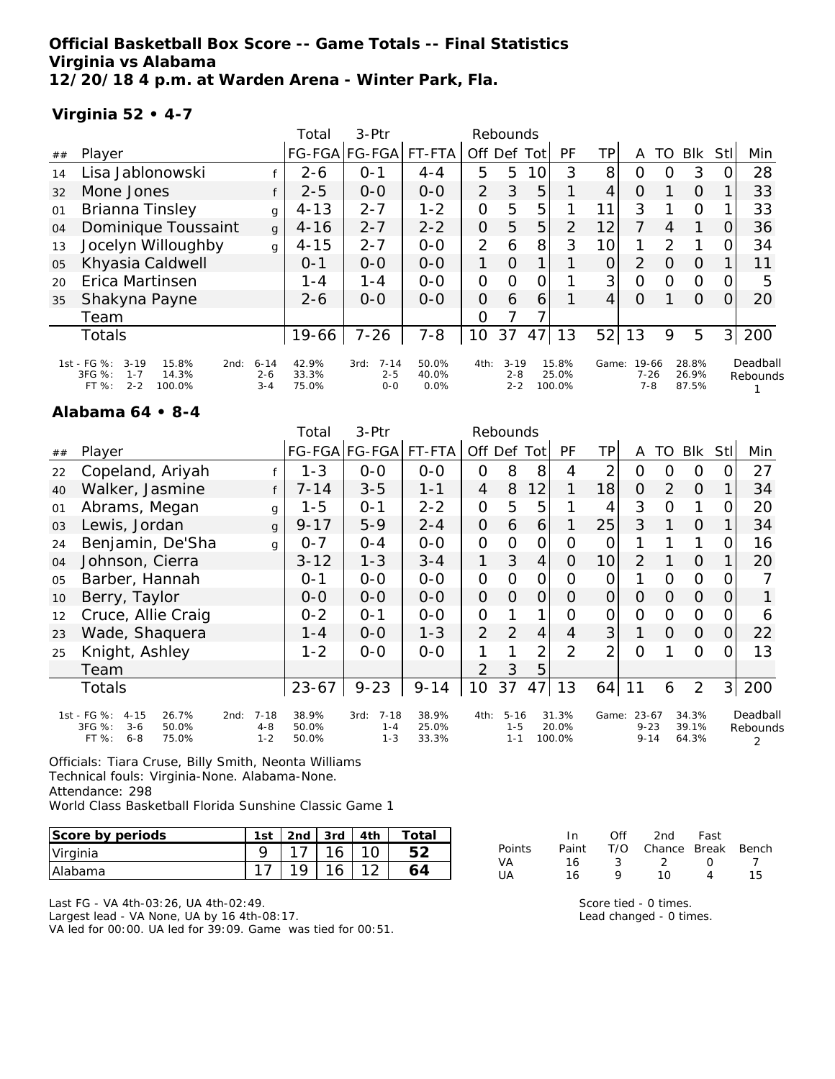### **Official Basketball Box Score -- Game Totals -- Final Statistics Virginia vs Alabama 12/20/18 4 p.m. at Warden Arena - Winter Park, Fla.**

#### **Virginia 52 • 4-7**

|    |                                                                                                    |                                | Total                   | 3-Ptr                                  |                        |                | Rebounds                       |     |                          |       |                          |               |                         |                |                      |
|----|----------------------------------------------------------------------------------------------------|--------------------------------|-------------------------|----------------------------------------|------------------------|----------------|--------------------------------|-----|--------------------------|-------|--------------------------|---------------|-------------------------|----------------|----------------------|
| ## | Player                                                                                             |                                | <b>FG-FGA</b>           | FG-FGA                                 | FT-FTA                 | Off Def        |                                | Tot | PF                       | ΤP    | Α                        | TO            | <b>BIK</b>              | Stll           | Min                  |
| 14 | Lisa Jablonowski                                                                                   |                                | $2 - 6$                 | $O - 1$                                | $4 - 4$                | 5              | 5                              | 10  | 3                        | 8     | 0                        | O             | 3                       | 0              | 28                   |
| 32 | Mone Jones                                                                                         |                                | $2 - 5$                 | $0 - 0$                                | $0-0$                  | $\overline{2}$ | 3                              | 5   |                          | 4     | 0                        |               | 0                       |                | 33                   |
| 01 | Brianna Tinsley                                                                                    | $\mathbf{q}$                   | $4 - 13$                | $2 - 7$                                | $1 - 2$                | 0              | 5                              | 5   |                          | 11    | 3                        |               | $\circ$                 |                | 33                   |
| 04 | Dominique Toussaint                                                                                | $\mathbf{q}$                   | $4 - 16$                | $2 - 7$                                | $2 - 2$                | 0              | 5                              | 5   | 2                        | 12    | 7                        | 4             | 1                       | O              | 36                   |
| 13 | Jocelyn Willoughby                                                                                 | g                              | $4 - 15$                | $2 - 7$                                | $0 - 0$                | $\overline{2}$ | 6                              | 8   | 3                        | 10    |                          | $\mathcal{P}$ |                         | 0              | 34                   |
| 05 | Khyasia Caldwell                                                                                   |                                | $O - 1$                 | $0 - 0$                                | $0 - 0$                | 1.             | $\overline{O}$                 |     |                          | 0     | 2                        | O             | $\Omega$                |                | 11                   |
| 20 | Erica Martinsen                                                                                    |                                | $1 - 4$                 | $1 - 4$                                | $O - O$                | 0              | $\Omega$                       | 0   |                          | 3     | $\Omega$                 | $\Omega$      | $\circ$                 | 0              | 5                    |
| 35 | Shakyna Payne                                                                                      |                                | $2 - 6$                 | $0 - 0$                                | $O-O$                  | $\overline{O}$ | 6                              | 6   |                          | 4     | O                        |               | $\Omega$                | 0              | 20                   |
|    | Team                                                                                               |                                |                         |                                        |                        | O              |                                |     |                          |       |                          |               |                         |                |                      |
|    | Totals                                                                                             |                                | $19 - 66$               | $7 - 26$                               | $7 - 8$                | 10             | 37                             | 47  | 13                       | 52    | 13                       | 9             | 5                       | 3 <sup>1</sup> | 200                  |
|    | 1st - FG %:<br>$3 - 19$<br>15.8%<br>2nd:<br>3FG %:<br>14.3%<br>$1 - 7$<br>$2 - 2$<br>FT%<br>100.0% | $6 - 14$<br>$2 - 6$<br>$3 - 4$ | 42.9%<br>33.3%<br>75.0% | $7 - 14$<br>3rd:<br>$2 - 5$<br>$0 - 0$ | 50.0%<br>40.0%<br>0.0% | 4th:           | $3 - 19$<br>$2 - 8$<br>$2 - 2$ |     | 15.8%<br>25.0%<br>100.0% | Game: | 19-66<br>7-26<br>$7 - 8$ |               | 28.8%<br>26.9%<br>87.5% |                | Deadball<br>Rebounds |

#### **Alabama 64 • 8-4**

|    |                                                                                             |                                        | Total                   | 3-Ptr                                  |                         |                | Rebounds                       |                |                          |                |                                   |                |                         |                |                           |
|----|---------------------------------------------------------------------------------------------|----------------------------------------|-------------------------|----------------------------------------|-------------------------|----------------|--------------------------------|----------------|--------------------------|----------------|-----------------------------------|----------------|-------------------------|----------------|---------------------------|
| ## | Player                                                                                      |                                        |                         | FG-FGA FG-FGA                          | FT-FTA                  |                | Off Def                        | Tot            | <b>PF</b>                | ΤP             | A                                 | TO             | Blk                     | Stll           | Min                       |
| 22 | Copeland, Ariyah                                                                            |                                        | $1 - 3$                 | $0-0$                                  | $O-O$                   | $\mathbf{O}$   | 8                              | 8              | 4                        | 2              | O                                 | Ω              | O                       | 0              | 27                        |
| 40 | Walker, Jasmine                                                                             |                                        | $7 - 14$                | $3 - 5$                                | $1 - 1$                 | 4              | 8                              | 12             |                          | 18             | $\overline{O}$                    | $\overline{2}$ | $\Omega$                |                | 34                        |
| 01 | Abrams, Megan                                                                               | g                                      | $1 - 5$                 | $0 - 1$                                | $2 - 2$                 | $\mathbf{O}$   | 5                              | 5              |                          | 4              | 3                                 | 0              | 1                       | 0              | 20                        |
| 03 | Lewis, Jordan                                                                               | $\mathbf{q}$                           | $9 - 17$                | $5 - 9$                                | $2 - 4$                 | $\overline{O}$ | 6                              | 6              |                          | 25             | 3                                 |                | $\Omega$                |                | 34                        |
| 24 | Benjamin, De'Sha                                                                            | g                                      | $0 - 7$                 | $0 - 4$                                | $0-0$                   | $\mathbf{O}$   | $\Omega$                       | $\mathcal{O}$  | $\overline{O}$           | 0              |                                   |                | 1                       | 0              | 16                        |
| 04 | Johnson, Cierra                                                                             |                                        | $3 - 12$                | $1 - 3$                                | $3 - 4$                 | 1              | 3                              | 4              | 0                        | 10             | 2                                 |                | $\Omega$                |                | 20                        |
| 05 | Barber, Hannah                                                                              |                                        | $0 - 1$                 | $0-0$                                  | $0-0$                   | $\mathcal{O}$  | O                              | $\mathcal{O}$  | O                        | O              |                                   | Ο              | 0                       | 0              |                           |
| 10 | Berry, Taylor                                                                               |                                        | $0 - 0$                 | $O-O$                                  | $O-O$                   | $\overline{O}$ | $\Omega$                       | $\overline{O}$ | 0                        | $\overline{O}$ | $\overline{O}$                    | 0              | $\Omega$                | $\Omega$       |                           |
| 12 | Cruce, Allie Craig                                                                          |                                        | $0 - 2$                 | $0 - 1$                                | $O-O$                   | $\mathcal{O}$  |                                | 1              | 0                        | 0              | $\overline{O}$                    | 0              | $\Omega$                | 0              | 6                         |
| 23 | Wade, Shaquera                                                                              |                                        | $1 - 4$                 | $0 - 0$                                | $1 - 3$                 | $\overline{2}$ | 2                              | $\overline{4}$ | 4                        | 3              |                                   | $\Omega$       | $\overline{O}$          | 0              | 22                        |
| 25 | Knight, Ashley                                                                              |                                        | $1 - 2$                 | $0 - 0$                                | $0 - 0$                 | 1              |                                | 2              | $\mathcal{P}$            | 2              | $\Omega$                          |                | O                       | O              | 13                        |
|    | Team                                                                                        |                                        |                         |                                        |                         | $\mathcal{P}$  | 3                              | 5              |                          |                |                                   |                |                         |                |                           |
|    | Totals                                                                                      |                                        | $23 - 67$               | $9 - 23$                               | $9 - 14$                | 10             | 37                             | 47             | 13                       | 64             | 11                                | 6              | 2                       | 3 <sup>1</sup> | 200                       |
|    | 1st - FG %:<br>26.7%<br>$4 - 15$<br>3FG %:<br>$3 - 6$<br>50.0%<br>FT %:<br>$6 - 8$<br>75.0% | $7 - 18$<br>2nd:<br>$4 - 8$<br>$1 - 2$ | 38.9%<br>50.0%<br>50.0% | $7 - 18$<br>3rd:<br>$1 - 4$<br>$1 - 3$ | 38.9%<br>25.0%<br>33.3% | 4th:           | $5 - 16$<br>$1 - 5$<br>$1 - 1$ |                | 31.3%<br>20.0%<br>100.0% | Game:          | $23 - 67$<br>$9 - 23$<br>$9 - 14$ |                | 34.3%<br>39.1%<br>64.3% |                | Deadball<br>Rebounds<br>2 |

Officials: Tiara Cruse, Billy Smith, Neonta Williams Technical fouls: Virginia-None. Alabama-None. Attendance: 298 World Class Basketball Florida Sunshine Classic Game 1

| Score by periods | 1st | 2nd | 3rd l | 4th | Total |
|------------------|-----|-----|-------|-----|-------|
| Virginia         |     |     |       |     |       |
| <b>IAlabama</b>  |     | 1 Q |       |     |       |

Last FG - VA 4th-03:26, UA 4th-02:49.

Largest lead - VA None, UA by 16 4th-08:17.

VA led for 00:00. UA led for 39:09. Game was tied for 00:51.

|        | In.   | Off | 2nd                    | Fast             |    |
|--------|-------|-----|------------------------|------------------|----|
| Points | Paint |     | T/O Chance Break Bench |                  |    |
| VA     | 16    | -3  | - 2 -                  | $\left( \right)$ |    |
| UA     | 16    | o   | 10                     | Δ                | 15 |

Score tied - 0 times. Lead changed - 0 times.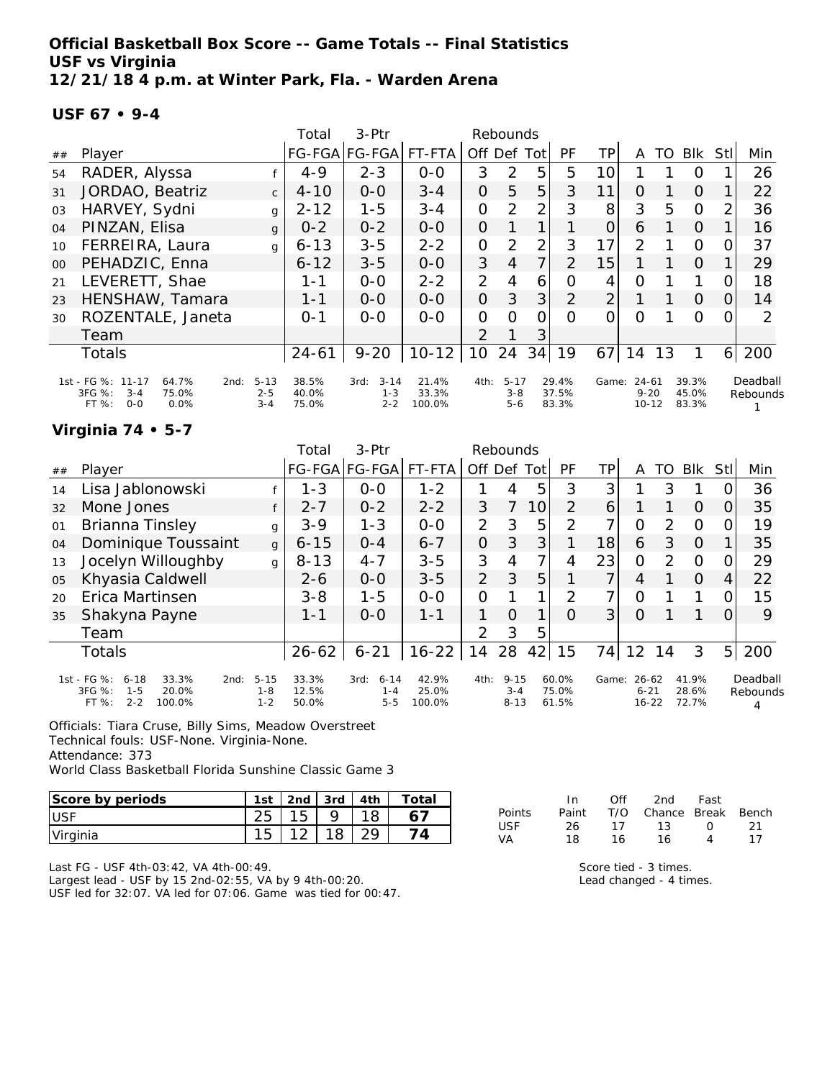**Official Basketball Box Score -- Game Totals -- Final Statistics USF vs Virginia 12/21/18 4 p.m. at Winter Park, Fla. - Warden Arena**

#### **USF 67 • 9-4**

|         |                                                                                            |                                | Total                   | $3-Ptr$                                |                          |                | Rebounds                       |                |                         |                |                                    |    |                         |                |                      |
|---------|--------------------------------------------------------------------------------------------|--------------------------------|-------------------------|----------------------------------------|--------------------------|----------------|--------------------------------|----------------|-------------------------|----------------|------------------------------------|----|-------------------------|----------------|----------------------|
| ##      | Player                                                                                     |                                |                         | FG-FGA FG-FGA                          | FT-FTA                   | Off            | Def                            | Tot            | <b>PF</b>               | TP             | A                                  | TO | Blk                     | Stll           | Min                  |
| 54      | RADER, Alyssa                                                                              |                                | $4 - 9$                 | $2 - 3$                                | $0 - 0$                  | 3              | 2                              | 5              | 5                       | 10             |                                    |    | O                       |                | 26                   |
| 31      | JORDAO, Beatriz                                                                            | $\mathsf{C}$                   | $4 - 10$                | $0 - 0$                                | $3 - 4$                  | 0              | 5                              | 5              | 3                       | 11             | $\Omega$                           |    | $\Omega$                |                | 22                   |
| 03      | HARVEY, Sydni                                                                              | g                              | $2 - 12$                | $1 - 5$                                | $3 - 4$                  | $\overline{O}$ | 2                              | $\overline{2}$ | 3                       | 8              | 3                                  | 5  | $\Omega$                | 2              | 36                   |
| 04      | PINZAN, Elisa                                                                              | g                              | $0 - 2$                 | $0 - 2$                                | $0 - 0$                  | $\Omega$       |                                |                |                         | 0              | 6                                  |    | $\Omega$                |                | 16                   |
| 10      | FERREIRA, Laura                                                                            | g                              | $6 - 13$                | $3 - 5$                                | $2 - 2$                  | $\overline{O}$ | 2                              | 2              | 3                       | 17             | 2                                  |    | $\Omega$                | 0              | 37                   |
| $00 \,$ | PEHADZIC, Enna                                                                             |                                | $6 - 12$                | $3 - 5$                                | $0 - 0$                  | 3              | $\overline{4}$                 | $\overline{7}$ | 2                       | 15             |                                    |    | $\Omega$                |                | 29                   |
| 21      | LEVERETT, Shae                                                                             |                                | $1 - 1$                 | $0 - 0$                                | $2 - 2$                  | 2              | 4                              | 6              | O                       | 4              | 0                                  |    | 1                       | $\Omega$       | 18                   |
| 23      | HENSHAW, Tamara                                                                            |                                | $1 - 1$                 | $0 - 0$                                | $0 - 0$                  | 0              | 3                              | 3              | $\overline{2}$          | $\overline{2}$ |                                    |    | $\Omega$                | $\Omega$       | 14                   |
| 30      | ROZENTALE, Janeta                                                                          |                                | $O - 1$                 | $0 - 0$                                | $0 - 0$                  | 0              | $\Omega$                       | 0              | $\Omega$                | 0              | O                                  |    | $\Omega$                | 0              | $\mathcal{P}$        |
|         | Team                                                                                       |                                |                         |                                        |                          | $\mathcal{P}$  |                                | 3              |                         |                |                                    |    |                         |                |                      |
|         | Totals                                                                                     |                                | $24 - 61$               | $9 - 20$                               | $10 - 12$                | 10             | 24                             | 34             | 19                      | 67             | 14                                 | 13 |                         | 6 <sup>1</sup> | 200                  |
|         | 1st - FG %: 11-17<br>64.7%<br>2nd:<br>3FG %:<br>75.0%<br>$3 - 4$<br>FT %:<br>$O-O$<br>0.0% | $5 - 13$<br>$2 - 5$<br>$3 - 4$ | 38.5%<br>40.0%<br>75.0% | $3 - 14$<br>3rd:<br>$1 - 3$<br>$2 - 2$ | 21.4%<br>33.3%<br>100.0% | 4th:           | $5 - 17$<br>$3 - 8$<br>$5 - 6$ |                | 29.4%<br>37.5%<br>83.3% | Game:          | $24 - 61$<br>$9 - 20$<br>$10 - 12$ |    | 39.3%<br>45.0%<br>83.3% |                | Deadball<br>Rebounds |

### **Virginia 74 • 5-7**

|    |                                                                                                      |                                | Total                   | $3-$ Ptr                               |                          |                | Rebounds                        |    |                         |       |                                    |               |                         |                |                      |
|----|------------------------------------------------------------------------------------------------------|--------------------------------|-------------------------|----------------------------------------|--------------------------|----------------|---------------------------------|----|-------------------------|-------|------------------------------------|---------------|-------------------------|----------------|----------------------|
| ## | Player                                                                                               |                                |                         | FG-FGA FG-FGA                          | FT-FTA                   | Off Def Tot    |                                 |    | <b>PF</b>               | ΤP    | A                                  | TO            | <b>BIK</b>              | Stll           | Min                  |
| 14 | Lisa Jablonowski                                                                                     |                                | $1 - 3$                 | $0 - 0$                                | $1 - 2$                  |                | 4                               | 5  | 3                       | 3     |                                    | 3             |                         |                | 36                   |
| 32 | Mone Jones                                                                                           |                                | $2 - 7$                 | $0 - 2$                                | $2 - 2$                  | 3              | 7                               | 10 | 2                       | 6     |                                    |               | $\overline{O}$          |                | 35                   |
| 01 | <b>Brianna Tinsley</b>                                                                               | g                              | $3 - 9$                 | $1 - 3$                                | $0 - 0$                  | $\overline{2}$ | 3                               | 5  | 2                       | 7     | O                                  | $\mathcal{P}$ | $\circ$                 |                | 19                   |
| 04 | Dominique Toussaint                                                                                  | $\mathsf{q}$                   | $6 - 15$                | $0 - 4$                                | $6 - 7$                  | $\mathcal{O}$  | 3                               | 3  |                         | 18    | 6                                  | 3             | $\Omega$                |                | 35                   |
| 13 | Jocelyn Willoughby                                                                                   | $\mathbf{q}$                   | $8 - 13$                | $4 - 7$                                | $3 - 5$                  | 3              | 4                               | 7  | 4                       | 23    | $\Omega$                           | $\mathcal{P}$ | $\Omega$                |                | 29                   |
| 05 | Khyasia Caldwell                                                                                     |                                | $2 - 6$                 | $0 - 0$                                | $3 - 5$                  | $\overline{2}$ | 3                               | 5  |                         | 7     | 4                                  |               | $\Omega$                | 4              | 22                   |
| 20 | Erica Martinsen                                                                                      |                                | $3 - 8$                 | $1 - 5$                                | $0-0$                    | 0              |                                 | 1  | 2                       | 7     | 0                                  |               | 1                       |                | 15                   |
| 35 | Shakyna Payne                                                                                        |                                | $1 - 1$                 | $0 - 0$                                | $1 - 1$                  |                | $\Omega$                        | 1  | $\Omega$                | 3     | 0                                  |               |                         | Ω              | 9                    |
|    | Team                                                                                                 |                                |                         |                                        |                          | 2              | 3                               | 5  |                         |       |                                    |               |                         |                |                      |
|    | Totals                                                                                               |                                | $26 - 62$               | $6 - 21$                               | $16 - 22$                | 14             | 28                              | 42 | 15                      | 74    | 12                                 | 14            | 3                       | 5 <sub>l</sub> | 200                  |
|    | 1st - FG %:<br>$6 - 18$<br>33.3%<br>2nd:<br>3FG %:<br>$1 - 5$<br>20.0%<br>FT %:<br>$2 - 2$<br>100.0% | $5 - 15$<br>$1 - 8$<br>$1 - 2$ | 33.3%<br>12.5%<br>50.0% | $6 - 14$<br>3rd:<br>$1 - 4$<br>$5 - 5$ | 42.9%<br>25.0%<br>100.0% | 4th:           | $9 - 15$<br>$3 - 4$<br>$8 - 13$ |    | 60.0%<br>75.0%<br>61.5% | Game: | $26 - 62$<br>$6 - 21$<br>$16 - 22$ |               | 41.9%<br>28.6%<br>72.7% |                | Deadball<br>Rebounds |

Officials: Tiara Cruse, Billy Sims, Meadow Overstreet Technical fouls: USF-None. Virginia-None. Attendance: 373

World Class Basketball Florida Sunshine Classic Game 3

| Score by periods | 1st | 2 <sub>nd</sub> | 3rd | 4th | Tota. |
|------------------|-----|-----------------|-----|-----|-------|
| <b>USF</b>       | 25  | 15              |     |     |       |
| Virginia         | 15  |                 |     |     |       |

Last FG - USF 4th-03:42, VA 4th-00:49.

Largest lead - USF by 15 2nd-02:55, VA by 9 4th-00:20. USF led for 32:07. VA led for 07:06. Game was tied for 00:47.

|               | In.   | Off | 2nd                    | Fast     |     |
|---------------|-------|-----|------------------------|----------|-----|
| <b>Points</b> | Paint |     | T/O Chance Break Bench |          |     |
| USE           | 26.   | 17  | 13                     | $\Omega$ | -21 |
| VA            | 18.   | 16. | 16                     | Δ        | 17  |

Score tied - 3 times.

Lead changed - 4 times.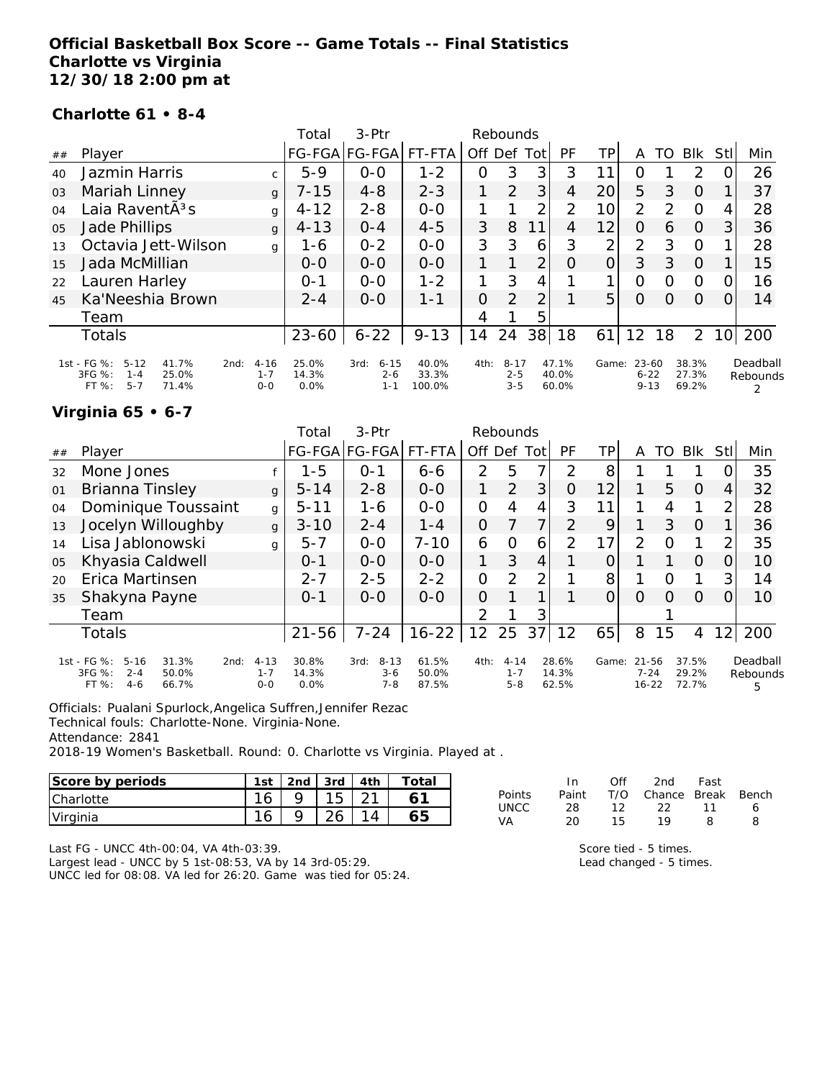### **Official Basketball Box Score -- Game Totals -- Final Statistics Charlotte vs Virginia 12/30/18 2:00 pm at**

#### **Charlotte 61 • 8-4**

|    |                                                                                                   |                                | Total                  | 3-Ptr                                  |                          |                | Rebounds                       |      |                         |                |                                   |               |                         |                 |                      |
|----|---------------------------------------------------------------------------------------------------|--------------------------------|------------------------|----------------------------------------|--------------------------|----------------|--------------------------------|------|-------------------------|----------------|-----------------------------------|---------------|-------------------------|-----------------|----------------------|
| ## | Player                                                                                            |                                |                        | FG-FGA FG-FGA                          | FT-FTA                   | Off Def        |                                | Totl | PF                      | TP             | A                                 | TO            | <b>BIK</b>              | Stll            | Min                  |
| 40 | Jazmin Harris                                                                                     | $\mathsf{C}$                   | $5-9$                  | $0 - 0$                                | $1 - 2$                  | O              | 3                              | 3    | 3                       | 11             | O                                 |               | $\mathcal{P}$           | 0               | 26                   |
| 03 | Mariah Linney                                                                                     | $\mathbf{q}$                   | $7 - 15$               | $4 - 8$                                | $2 - 3$                  |                | 2                              | 3    | 4                       | 20             | 5                                 | 3             | $\Omega$                |                 | 37                   |
| 04 | Laia RaventÃ <sup>3</sup> s                                                                       | g                              | $4 - 12$               | $2 - 8$                                | $0 - 0$                  |                |                                | 2    | 2                       | 10             | 2                                 | $\mathcal{P}$ | $\Omega$                | 4               | 28                   |
| 05 | Jade Phillips                                                                                     | $\mathbf{q}$                   | $4 - 13$               | $0 - 4$                                | $4 - 5$                  | 3              | 8                              | 11   | 4                       | 12             | 0                                 | 6             | $\Omega$                | 3               | 36                   |
| 13 | Octavia Jett-Wilson                                                                               | g                              | 1-6                    | $0 - 2$                                | $0 - 0$                  | 3              | 3                              | 6    | 3                       | $\overline{2}$ | $\overline{2}$                    | 3             | $\Omega$                |                 | 28                   |
| 15 | Jada McMillian                                                                                    |                                | $0 - 0$                | $0 - 0$                                | $0 - 0$                  |                |                                | 2    | O                       | $\Omega$       | 3                                 | 3             | $\Omega$                |                 | 15                   |
| 22 | Lauren Harley                                                                                     |                                | $O - 1$                | $0 - 0$                                | $1 - 2$                  |                | 3                              | 4    |                         |                | $\Omega$                          | $\Omega$      | O                       | 0               | 16                   |
| 45 | Ka'Neeshia Brown                                                                                  |                                | $2 - 4$                | $O-O$                                  | $1 - 1$                  | $\overline{O}$ | $\overline{2}$                 | 2    |                         | 5 <sup>1</sup> | $\Omega$                          | $\Omega$      | $\Omega$                | 0               | 14                   |
|    | Team                                                                                              |                                |                        |                                        |                          | 4              |                                | 5    |                         |                |                                   |               |                         |                 |                      |
|    | Totals                                                                                            |                                | $23 - 60$              | $6 - 22$                               | $9 - 13$                 | 14             | 24                             | 38   | 18                      | 61             | 12                                | 18            | $\overline{2}$          | 10 <sup>1</sup> | 200                  |
|    | 1st - FG %:<br>$5 - 12$<br>41.7%<br>2nd:<br>3FG %:<br>25.0%<br>$1 - 4$<br>$5 - 7$<br>FT%<br>71.4% | $4 - 16$<br>$1 - 7$<br>$0 - 0$ | 25.0%<br>14.3%<br>0.0% | 3rd:<br>$6 - 15$<br>$2 - 6$<br>$1 - 1$ | 40.0%<br>33.3%<br>100.0% | 4th:           | $8 - 17$<br>$2 - 5$<br>$3 - 5$ |      | 47.1%<br>40.0%<br>60.0% | Game:          | $23 - 60$<br>$6 - 22$<br>$9 - 13$ |               | 38.3%<br>27.3%<br>69.2% |                 | Deadball<br>Rebounds |

#### **Virginia 65 • 6-7**

|    |                                                                                                     |                                | Total                  | $3-Ptr$                                |                         |               | Rebounds                       |      |                         |       |                                |          |                         |                 |                           |
|----|-----------------------------------------------------------------------------------------------------|--------------------------------|------------------------|----------------------------------------|-------------------------|---------------|--------------------------------|------|-------------------------|-------|--------------------------------|----------|-------------------------|-----------------|---------------------------|
| ## | Player                                                                                              |                                |                        | FG-FGA FG-FGA                          | FT-FTA                  | Off           | Def                            | Totl | PF                      | ΤP    | Α                              | TO       | <b>BIK</b>              | Stl             | Min                       |
| 32 | Mone Jones                                                                                          |                                | $1 - 5$                | $O - 1$                                | $6 - 6$                 | $\mathcal{P}$ | 5                              | 7    | $\mathcal{P}$           | 8     |                                |          |                         |                 | 35                        |
| 01 | Brianna Tinsley                                                                                     | $\mathbf{q}$                   | $5 - 14$               | $2 - 8$                                | $0 - 0$                 | 1             | 2                              | 3    | Ο                       | 12    |                                | 5        | $\Omega$                | 4               | 32                        |
| 04 | Dominique Toussaint                                                                                 | g                              | $5 - 11$               | 1-6                                    | $0 - 0$                 | O             | 4                              | 4    | 3                       | 11    | 1                              | 4        | 1                       | 2               | 28                        |
| 13 | Jocelyn Willoughby                                                                                  | $\mathbf{q}$                   | $3 - 10$               | $2 - 4$                                | $1 - 4$                 | O             |                                | 7    | $\mathcal{P}$           | 9     | 1                              | 3        | $\Omega$                |                 | 36                        |
| 14 | Lisa Jablonowski                                                                                    | $\mathbf{q}$                   | $5 - 7$                | $0 - 0$                                | $7 - 10$                | 6             | 0                              | 6    | 2                       | 17    | 2                              | $\Omega$ | 1                       | 2               | 35                        |
| 05 | Khyasia Caldwell                                                                                    |                                | $O - 1$                | $0 - 0$                                | $0 - 0$                 | 1             | 3                              | 4    |                         |       |                                |          | $\Omega$                | O               | 10                        |
| 20 | Erica Martinsen                                                                                     |                                | $2 - 7$                | $2 - 5$                                | $2 - 2$                 | 0             | 2                              | 2    |                         | 8     |                                | Ω        | 1                       | 3               | 14                        |
| 35 | Shakyna Payne                                                                                       |                                | $O - 1$                | $0 - 0$                                | $O-O$                   | O             |                                |      |                         | 0     | $\Omega$                       | $\Omega$ | $\Omega$                | 0               | 10                        |
|    | Team                                                                                                |                                |                        |                                        |                         | 2             |                                | 3    |                         |       |                                |          |                         |                 |                           |
|    | <b>Totals</b>                                                                                       |                                | $21 - 56$              | $7 - 24$                               | $16 - 22$               | 12            | 25                             | 37   | 12                      | 65    | 8                              | 15       | 4                       | 12 <sub>l</sub> | 200                       |
|    | 1st - FG %:<br>$5 - 16$<br>31.3%<br>2nd:<br>3FG %:<br>$2 - 4$<br>50.0%<br>FT %:<br>$4 - 6$<br>66.7% | $4 - 13$<br>$1 - 7$<br>$0 - 0$ | 30.8%<br>14.3%<br>0.0% | $8 - 13$<br>3rd:<br>$3 - 6$<br>$7 - 8$ | 61.5%<br>50.0%<br>87.5% | 4th:          | $4 - 14$<br>$1 - 7$<br>$5 - 8$ |      | 28.6%<br>14.3%<br>62.5% | Game: | 21-56<br>$7 - 24$<br>$16 - 22$ |          | 37.5%<br>29.2%<br>72.7% |                 | Deadball<br>Rebounds<br>5 |

Officials: Pualani Spurlock,Angelica Suffren,Jennifer Rezac

Technical fouls: Charlotte-None. Virginia-None.

Attendance: 2841

2018-19 Women's Basketball. Round: 0. Charlotte vs Virginia. Played at .

| Score by periods | 1st    | 2 <sub>nd</sub> | 3rd    | 4th | $\tau$ otai |
|------------------|--------|-----------------|--------|-----|-------------|
| Charlotte        | $\sim$ |                 |        |     |             |
| Virginia         | $\sim$ |                 | $\sim$ |     | 65          |

Last FG - UNCC 4th-00:04, VA 4th-03:39.

Largest lead - UNCC by 5 1st-08:53, VA by 14 3rd-05:29. UNCC led for 08:08. VA led for 26:20. Game was tied for 05:24.

|        | In.          | Off | 2nd                    | Fast |   |
|--------|--------------|-----|------------------------|------|---|
| Points | Paint        |     | T/O Chance Break Bench |      |   |
| UNCC   | 28.          | 12. | -22-                   | - 11 | 6 |
| VA     | $20^{\circ}$ | 15. | 19                     | 8    | я |

Score tied - 5 times. Lead changed - 5 times.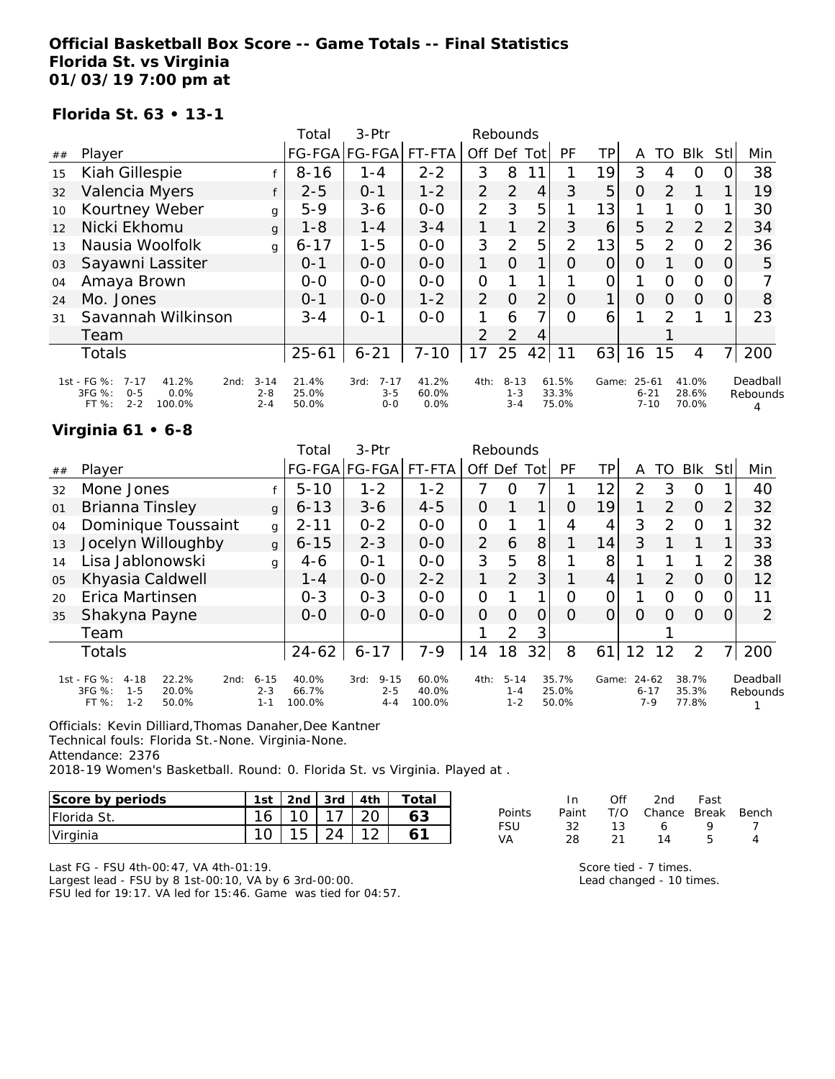### **Official Basketball Box Score -- Game Totals -- Final Statistics Florida St. vs Virginia 01/03/19 7:00 pm at**

#### **Florida St. 63 • 13-1**

|     |                                                                                                     |                                | Total                   | $3-Ptr$                                |                        |                | Rebounds                       |     |                         |       |                                   |               |                         |                |                      |
|-----|-----------------------------------------------------------------------------------------------------|--------------------------------|-------------------------|----------------------------------------|------------------------|----------------|--------------------------------|-----|-------------------------|-------|-----------------------------------|---------------|-------------------------|----------------|----------------------|
| ##  | Player                                                                                              |                                |                         | FG-FGA FG-FGA                          | FT-FTA                 | Off            | Def                            | Tot | PF                      | TP    | A                                 | TO            | Blk                     | Stll           | Min                  |
| 15  | Kiah Gillespie                                                                                      |                                | $8 - 16$                | $1 - 4$                                | $2 - 2$                | 3              | 8                              |     |                         | 19    | 3                                 | 4             | O                       | O              | 38                   |
| 32  | Valencia Myers                                                                                      | f                              | $2 - 5$                 | $0 - 1$                                | $1 - 2$                | $\overline{2}$ | 2                              | 4   | 3                       | 5     | $\overline{O}$                    | $\mathcal{P}$ |                         |                | 19                   |
| 10  | Kourtney Weber                                                                                      | g                              | $5 - 9$                 | $3 - 6$                                | $0-0$                  | $\overline{2}$ | 3                              | 5   |                         | 13    |                                   |               | $\Omega$                |                | 30                   |
| 12  | Nicki Ekhomu                                                                                        | g                              | $1 - 8$                 | $1 - 4$                                | $3 - 4$                | 1              |                                | 2   | 3                       | 6     | 5                                 | 2             | 2                       | $\overline{2}$ | 34                   |
| 1.3 | Nausia Woolfolk                                                                                     | g                              | $6 - 17$                | $1 - 5$                                | $0-0$                  | 3              | 2                              | 5   | 2                       | 13    | 5                                 | 2             | $\Omega$                | $\overline{2}$ | 36                   |
| 03  | Sayawni Lassiter                                                                                    |                                | $0 - 1$                 | $0-0$                                  | $0 - 0$                | 1              | $\Omega$                       |     | O                       | 0     | $\Omega$                          |               | $\Omega$                | $\Omega$       | 5                    |
| 04  | Amaya Brown                                                                                         |                                | $0-0$                   | $0 - 0$                                | $0 - 0$                | $\overline{O}$ |                                |     |                         | 0     |                                   | $\Omega$      | $\circ$                 | $\Omega$       |                      |
| 24  | Mo. Jones                                                                                           |                                | $0 - 1$                 | $0 - 0$                                | $1 - 2$                | $\overline{2}$ | $\Omega$                       | 2   | $\Omega$                | 1     | $\Omega$                          | $\Omega$      | $\Omega$                | 0              | 8                    |
| 31  | Savannah Wilkinson                                                                                  |                                | $3 - 4$                 | $O - 1$                                | $0 - 0$                |                | 6                              | 7   | $\Omega$                | 6     |                                   | $\mathcal{P}$ |                         |                | 23                   |
|     | Team                                                                                                |                                |                         |                                        |                        | 2              | 2                              | 4   |                         |       |                                   |               |                         |                |                      |
|     | Totals                                                                                              |                                | $25 - 61$               | $6 - 21$                               | $7 - 10$               | 17             | 25                             | 42  | 11                      | 63    | 16                                | 15            | 4                       | $\overline{7}$ | 200                  |
|     | 1st - FG %:<br>$7 - 17$<br>41.2%<br>2nd:<br>3FG %:<br>$0 - 5$<br>0.0%<br>$2 - 2$<br>100.0%<br>FT %: | $3 - 14$<br>$2 - 8$<br>$2 - 4$ | 21.4%<br>25.0%<br>50.0% | $7 - 17$<br>3rd:<br>$3 - 5$<br>$0 - 0$ | 41.2%<br>60.0%<br>0.0% | 4th:           | $8 - 13$<br>$1 - 3$<br>$3 - 4$ |     | 61.5%<br>33.3%<br>75.0% | Game: | $25 - 61$<br>$6 - 21$<br>$7 - 10$ |               | 41.0%<br>28.6%<br>70.0% |                | Deadball<br>Rebounds |

### **Virginia 61 • 6-8**

|    |                                                                                                     |                                | Total                    | 3-Ptr                                  |                          |                | Rebounds                       |                |                         |                 |                                  |               |                         |                |                      |
|----|-----------------------------------------------------------------------------------------------------|--------------------------------|--------------------------|----------------------------------------|--------------------------|----------------|--------------------------------|----------------|-------------------------|-----------------|----------------------------------|---------------|-------------------------|----------------|----------------------|
| ## | Player                                                                                              |                                |                          | FG-FGA FG-FGA                          | FT-FTA                   | Off Def Tot    |                                |                | PF                      | TP              | A                                | TO            | Blk                     | StII           | Min                  |
| 32 | Mone Jones                                                                                          |                                | $5 - 10$                 | $1 - 2$                                | $1 - 2$                  | 7              | O                              | 7              |                         | 12 <sub>1</sub> | $\mathcal{P}$                    | 3             | O                       |                | 40                   |
| 01 | <b>Brianna Tinsley</b>                                                                              | $\mathbf{q}$                   | $6 - 13$                 | $3 - 6$                                | $4 - 5$                  | 0              |                                | 1              | $\Omega$                | 19              |                                  | 2             | $\Omega$                | $\overline{2}$ | 32                   |
| 04 | Dominique Toussaint                                                                                 | g                              | $2 - 11$                 | $0 - 2$                                | $0-0$                    | 0              |                                |                | 4                       | 4               | 3                                | $\mathcal{P}$ | $\Omega$                |                | 32                   |
| 13 | Jocelyn Willoughby                                                                                  | $\mathbf{q}$                   | $6 - 15$                 | $2 - 3$                                | $0 - 0$                  | $\overline{2}$ | 6                              | 8              |                         | 14              | 3                                |               |                         |                | 33                   |
| 14 | Lisa Jablonowski                                                                                    | g                              | $4-6$                    | $O - 1$                                | $0 - 0$                  | 3              | 5                              | 8              |                         | 8               |                                  |               |                         | $\overline{2}$ | 38                   |
| 05 | Khyasia Caldwell                                                                                    |                                | $1 - 4$                  | $0 - 0$                                | $2 - 2$                  | 1              | 2                              | 3              |                         | 4               |                                  | $\mathcal{P}$ | $\Omega$                | 0              | 12                   |
| 20 | Erica Martinsen                                                                                     |                                | $0 - 3$                  | $0 - 3$                                | $0-0$                    | $\Omega$       |                                |                | $\Omega$                | 0               |                                  | O             | $\circ$                 | 0              | 11                   |
| 35 | Shakyna Payne                                                                                       |                                | $0 - 0$                  | $0 - 0$                                | $0 - 0$                  | $\Omega$       | $\Omega$                       | $\overline{O}$ | $\Omega$                | $\Omega$        | $\Omega$                         | $\Omega$      | $\Omega$                | 0              | 2                    |
|    | Team                                                                                                |                                |                          |                                        |                          |                | 2                              | 3              |                         |                 |                                  |               |                         |                |                      |
|    | <b>Totals</b>                                                                                       |                                | $24 - 62$                | $6 - 17$                               | $7 - 9$                  | 14             | 18                             | 32             | 8                       | 61              | 12                               | 12            | 2                       |                | 200                  |
|    | 1st - FG %:<br>22.2%<br>$4 - 18$<br>2nd:<br>3FG %:<br>20.0%<br>$1 - 5$<br>FT %:<br>$1 - 2$<br>50.0% | $6 - 15$<br>$2 - 3$<br>$1 - 1$ | 40.0%<br>66.7%<br>100.0% | $9 - 15$<br>3rd:<br>$2 - 5$<br>$4 - 4$ | 60.0%<br>40.0%<br>100.0% | 4th:           | $5 - 14$<br>$1 - 4$<br>$1 - 2$ |                | 35.7%<br>25.0%<br>50.0% | Game:           | $24 - 62$<br>$6 - 17$<br>$7 - 9$ |               | 38.7%<br>35.3%<br>77.8% |                | Deadball<br>Rebounds |

Officials: Kevin Dilliard,Thomas Danaher,Dee Kantner

Technical fouls: Florida St.-None. Virginia-None.

Attendance: 2376

2018-19 Women's Basketball. Round: 0. Florida St. vs Virginia. Played at .

| Score by periods    | 1st | 2nd | 3rd | 4th | Total |
|---------------------|-----|-----|-----|-----|-------|
| <b>IFlorida St.</b> | 16  |     |     |     |       |
| Virginia            |     |     |     |     |       |

In Off 2nd Fast Points Paint T/O Chance Break Bench FSU 32 13 6 9 7 VA 28 21 14 5 4

Last FG - FSU 4th-00:47, VA 4th-01:19.

Largest lead - FSU by 8 1st-00:10, VA by 6 3rd-00:00. FSU led for 19:17. VA led for 15:46. Game was tied for 04:57. Score tied - 7 times.

Lead changed - 10 times.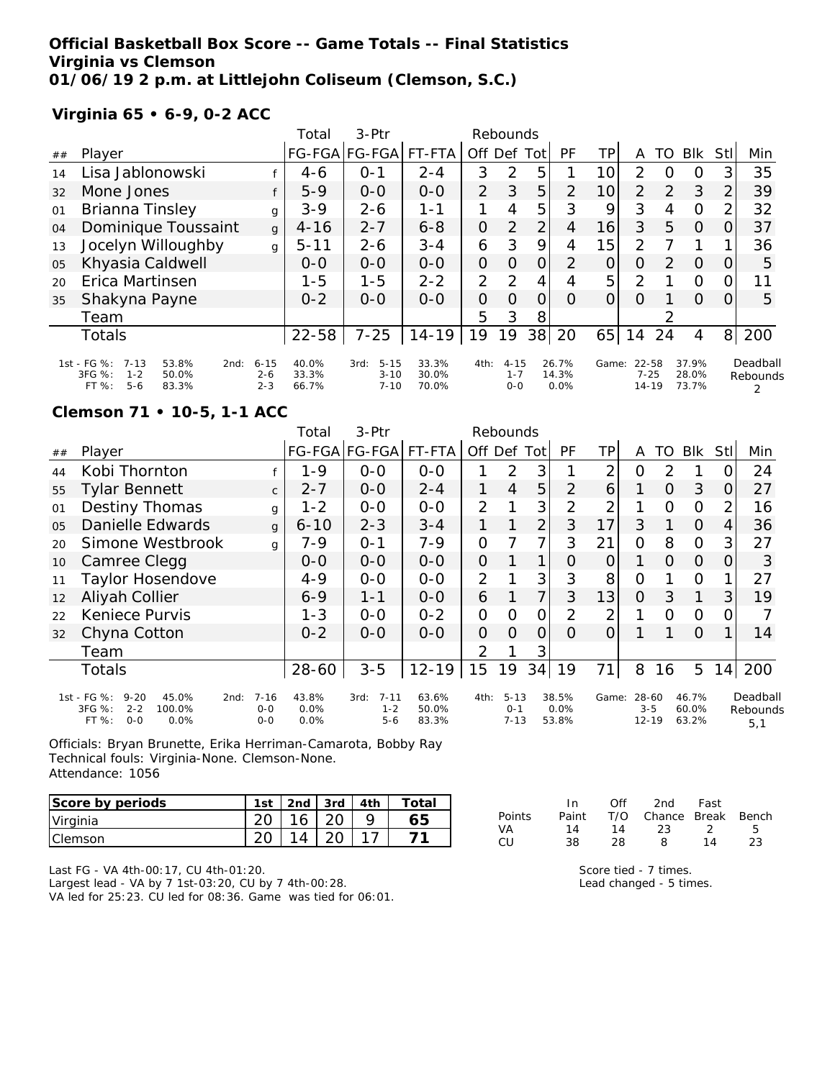### **Official Basketball Box Score -- Game Totals -- Final Statistics Virginia vs Clemson 01/06/19 2 p.m. at Littlejohn Coliseum (Clemson, S.C.)**

### **Virginia 65 • 6-9, 0-2 ACC**

|    |                                                                                                   |                                | Total                   | 3-Ptr                                    |                         |                | Rebounds                       |                |                        |                 |                                |          |                         |                |                      |
|----|---------------------------------------------------------------------------------------------------|--------------------------------|-------------------------|------------------------------------------|-------------------------|----------------|--------------------------------|----------------|------------------------|-----------------|--------------------------------|----------|-------------------------|----------------|----------------------|
| ## | Player                                                                                            |                                | <b>FG-FGA</b>           | FG-FGA                                   | FT-FTA                  | Off Def        |                                | Tot            | PF                     | ΤP              | Α                              | TO       | <b>BIK</b>              | <b>StI</b>     | Min                  |
| 14 | Lisa Jablonowski                                                                                  |                                | 4-6                     | $O - 1$                                  | $2 - 4$                 | 3              | $\mathcal{P}$                  | 5              |                        | 10              | $\mathcal{P}$                  | $\Omega$ | O                       | 3              | 35                   |
| 32 | Mone Jones                                                                                        |                                | $5 - 9$                 | $0-0$                                    | $0-0$                   | $\overline{2}$ | 3                              | 5              | 2                      | 10 <sup>1</sup> | 2                              | 2        | 3                       | $\overline{2}$ | 39                   |
| 01 | Brianna Tinsley                                                                                   | g                              | $3 - 9$                 | $2 - 6$                                  | $1 - 1$                 |                | 4                              | 5              | 3                      | 9               | 3                              | 4        | $\Omega$                | 2              | 32                   |
| 04 | Dominique Toussaint                                                                               | $\mathbf{q}$                   | $4 - 16$                | $2 - 7$                                  | $6 - 8$                 | 0              | $\overline{2}$                 | 2              | $\overline{4}$         | 16              | 3                              | 5        | 0                       | 0              | 37                   |
| 13 | Jocelyn Willoughby                                                                                | g                              | $5 - 11$                | $2 - 6$                                  | $3 - 4$                 | 6              | 3                              | 9              | 4                      | 15              | 2                              |          |                         |                | 36                   |
| 05 | Khyasia Caldwell                                                                                  |                                | $0 - 0$                 | $0 - 0$                                  | $0 - 0$                 | 0              | $\Omega$                       | $\overline{O}$ | 2                      | 0               | O                              | 2        | $\Omega$                | 0              | 5                    |
| 20 | Erica Martinsen                                                                                   |                                | $1 - 5$                 | $1 - 5$                                  | $2 - 2$                 | 2              | 2                              | 4              | 4                      | 5               | $\overline{2}$                 |          | $\circ$                 | 0              | 11                   |
| 35 | Shakyna Payne                                                                                     |                                | $0 - 2$                 | $0 - 0$                                  | $O-O$                   | 0              | $\Omega$                       | 0              | $\Omega$               | O               | $\Omega$                       |          | $\Omega$                | 0              | 5                    |
|    | Team                                                                                              |                                |                         |                                          |                         | 5              | 3                              | 8              |                        |                 |                                | 2        |                         |                |                      |
|    | Totals                                                                                            |                                | $22 - 58$               | $7 - 25$                                 | $14 - 19$               | 19             | 19                             | 38             | 20                     | 65              | 14                             | 24       | 4                       | 8 <sup>1</sup> | 200                  |
|    | 1st - FG %:<br>$7 - 13$<br>53.8%<br>2nd:<br>3FG %:<br>50.0%<br>$1 - 2$<br>$5 - 6$<br>FT%<br>83.3% | $6 - 15$<br>$2 - 6$<br>$2 - 3$ | 40.0%<br>33.3%<br>66.7% | $5 - 15$<br>3rd:<br>$3 - 10$<br>$7 - 10$ | 33.3%<br>30.0%<br>70.0% | 4th:           | $4 - 15$<br>$1 - 7$<br>$0 - 0$ |                | 26.7%<br>14.3%<br>0.0% | Game:           | 22-58<br>$7 - 25$<br>$14 - 19$ |          | 37.9%<br>28.0%<br>73.7% |                | Deadball<br>Rebounds |

#### **Clemson 71 • 10-5, 1-1 ACC**

|                |                                                                                                     |                              | Total                 | 3-Ptr                                  |                         |                | Rebounds                        |                |                        |                |                               |               |                         |      |                             |
|----------------|-----------------------------------------------------------------------------------------------------|------------------------------|-----------------------|----------------------------------------|-------------------------|----------------|---------------------------------|----------------|------------------------|----------------|-------------------------------|---------------|-------------------------|------|-----------------------------|
| ##             | Player                                                                                              |                              |                       | FG-FGA FG-FGA                          | FT-FTA                  | Off.           | Def                             | Tot            | PF                     | TР             | Α                             | TO            | Blk                     | Stll | Min                         |
| 44             | Kobi Thornton                                                                                       |                              | $1 - 9$               | $0 - 0$                                | $0-0$                   |                | $\overline{2}$                  | 3              |                        | $\overline{2}$ | O                             | $\mathcal{P}$ |                         | O    | 24                          |
| 55             | Tylar Bennett                                                                                       | $\mathsf{C}$                 | $2 - 7$               | $0-0$                                  | $2 - 4$                 |                | 4                               | 5              | $\overline{2}$         | 6              |                               | $\Omega$      | 3                       | 0    | 27                          |
| 01             | <b>Destiny Thomas</b>                                                                               | g                            | $1 - 2$               | $0-0$                                  | $0-0$                   | $\overline{2}$ |                                 | 3              | $\overline{2}$         | 2              |                               | 0             | $\mathcal{O}$           | 2    | 16                          |
| O <sub>5</sub> | Danielle Edwards                                                                                    | $\mathbf{q}$                 | $6 - 10$              | $2 - 3$                                | $3 - 4$                 | 1              |                                 | 2              | 3                      | 17             | 3                             |               | $\Omega$                | 4    | 36                          |
| 20             | Simone Westbrook                                                                                    | g                            | 7-9                   | $O - 1$                                | $7 - 9$                 | 0              |                                 | 7              | 3                      | 21             | O                             | 8             | $\mathcal{O}$           | 3    | 27                          |
| 10             | Camree Clegg                                                                                        |                              | 0-0                   | $0-0$                                  | $0-0$                   | $\overline{O}$ |                                 | 1              | 0                      | 0              |                               | $\Omega$      | $\Omega$                | 0    | 3                           |
| 11             | Taylor Hosendove                                                                                    |                              | $4 - 9$               | $0 - 0$                                | $0 - 0$                 | $\overline{2}$ |                                 | 3              | 3                      | 8              | O                             |               | $\Omega$                |      | 27                          |
| 12             | Aliyah Collier                                                                                      |                              | $6 - 9$               | $1 - 1$                                | $0 - 0$                 | 6              |                                 | $\overline{7}$ | 3                      | 13             | $\Omega$                      | 3             | 1                       | 3    | 19                          |
| 22             | Keniece Purvis                                                                                      |                              | $1 - 3$               | $O-O$                                  | $0 - 2$                 | 0              | Ω                               | Ω              | $\overline{2}$         | 2              |                               | O             | $\mathbf{O}$            | Ο    |                             |
| 32             | Chyna Cotton                                                                                        |                              | $0 - 2$               | $0 - 0$                                | $0-0$                   | 0              | $\Omega$                        | Ο              | Ω                      | $\Omega$       |                               |               | $\Omega$                |      | 14                          |
|                | Team                                                                                                |                              |                       |                                        |                         | $\overline{2}$ |                                 | 3              |                        |                |                               |               |                         |      |                             |
|                | Totals                                                                                              |                              | 28-60                 | $3 - 5$                                | $12 - 19$               | 15             | 19                              | 34             | 19                     | 71 l           | 8                             | 16            | 5                       | 141  | 200                         |
|                | 1st - FG %:<br>$9 - 20$<br>45.0%<br>2nd:<br>3FG %:<br>$2 - 2$<br>100.0%<br>FT %:<br>$O - O$<br>0.0% | $7 - 16$<br>$O-O$<br>$0 - 0$ | 43.8%<br>0.0%<br>0.0% | $7 - 11$<br>3rd:<br>$1 - 2$<br>$5 - 6$ | 63.6%<br>50.0%<br>83.3% | 4th:           | $5 - 13$<br>$0 - 1$<br>$7 - 13$ |                | 38.5%<br>0.0%<br>53.8% | Game:          | 28-60<br>$3 - 5$<br>$12 - 19$ |               | 46.7%<br>60.0%<br>63.2% |      | Deadball<br>Rebounds<br>5.1 |

Officials: Bryan Brunette, Erika Herriman-Camarota, Bobby Ray Technical fouls: Virginia-None. Clemson-None. Attendance: 1056

| Score by periods | 1st | 2nd | -3rd | 4th | Total |
|------------------|-----|-----|------|-----|-------|
| Virginia         |     | 16  |      |     |       |
| <b>Clemson</b>   |     |     |      |     |       |

|               | In.   | Off | 2nd                    | Fast           |    |
|---------------|-------|-----|------------------------|----------------|----|
| <b>Points</b> | Paint |     | T/O Chance Break Bench |                |    |
| VA.           | 14    | 14  | 23.                    | $\overline{2}$ | -5 |
| CU            | 38.   | 28  | 8                      | 14             | 23 |

Last FG - VA 4th-00:17, CU 4th-01:20. Largest lead - VA by 7 1st-03:20, CU by 7 4th-00:28. VA led for 25:23. CU led for 08:36. Game was tied for 06:01.

| Score tied - 7 times.        |  |  |
|------------------------------|--|--|
| $I \land A$ changed $F + im$ |  |  |

Lead changed - 5 times.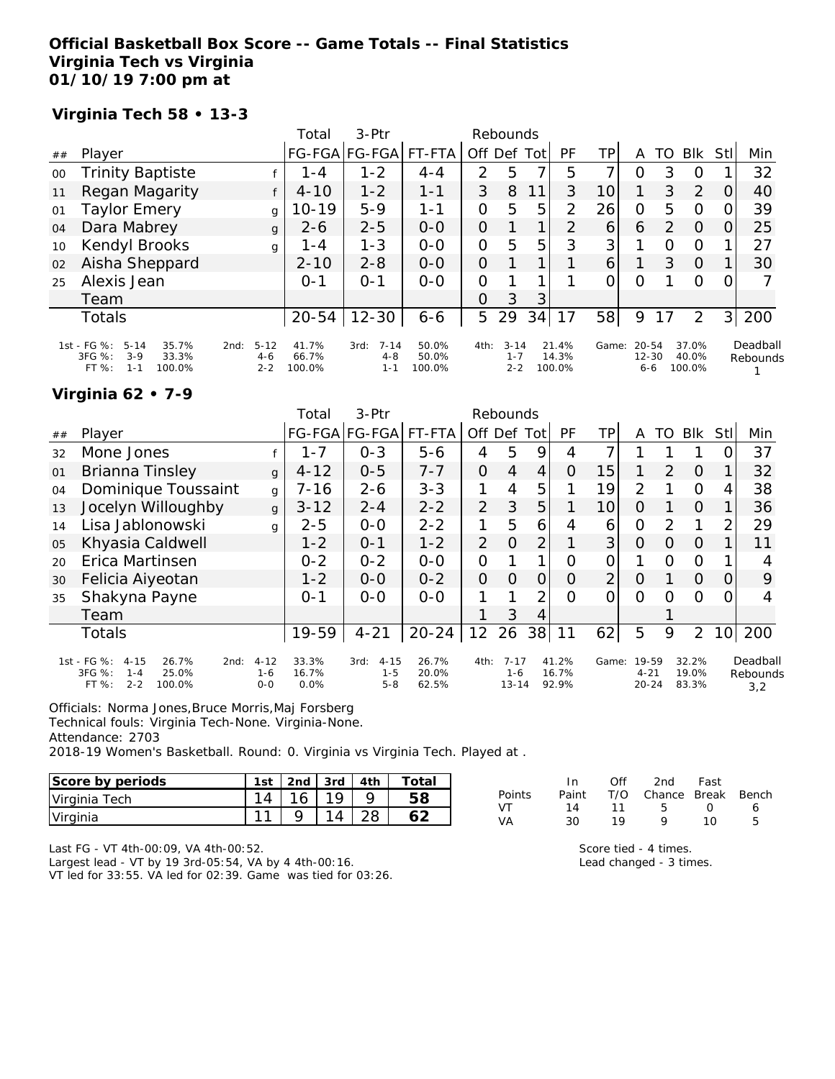### **Official Basketball Box Score -- Game Totals -- Final Statistics Virginia Tech vs Virginia 01/10/19 7:00 pm at**

**Virginia Tech 58 • 13-3**

|    |                                                                                            |                                        | Total                    | $3-Ptr$                                |                          | Rebounds       |                                |      |                          |                 |                                   |    |                          |          |                      |
|----|--------------------------------------------------------------------------------------------|----------------------------------------|--------------------------|----------------------------------------|--------------------------|----------------|--------------------------------|------|--------------------------|-----------------|-----------------------------------|----|--------------------------|----------|----------------------|
| ## | Player                                                                                     |                                        |                          | FG-FGA FG-FGA                          | FT-FTA                   | Off Def        |                                | Totl | PF                       | TP              | Α                                 | TO | Blk                      | Stll     | Min                  |
| 00 | <b>Trinity Baptiste</b>                                                                    |                                        | 1-4                      | $1 - 2$                                | $4 - 4$                  | 2              | 5                              |      | 5                        | 7               | Ο                                 | 3  | O                        |          | 32                   |
| 11 | Regan Magarity                                                                             | f                                      | $4 - 10$                 | $1 - 2$                                | 1-1                      | 3              | 8                              | 11   | 3                        | 10              |                                   | 3  | 2                        | $\Omega$ | 40                   |
| 01 | <b>Taylor Emery</b>                                                                        | g                                      | $10 - 19$                | $5 - 9$                                | $1 - 1$                  | O              | 5                              | 5    | $\mathcal{P}$            | 26              | 0                                 | 5  | O                        | $\Omega$ | 39                   |
| 04 | Dara Mabrey                                                                                | g                                      | 2-6                      | $2 - 5$                                | $0 - 0$                  | O              |                                |      | 2                        | 6               | 6                                 | 2  | $\Omega$                 |          | 25                   |
| 10 | Kendyl Brooks                                                                              | g                                      | 1 - 4                    | $1 - 3$                                | $0 - 0$                  | $\overline{O}$ | 5                              | 5    | 3                        | 3               |                                   | Ω  | $\Omega$                 |          | 27                   |
| 02 | Aisha Sheppard                                                                             |                                        | $2 - 10$                 | $2 - 8$                                | $0 - 0$                  | $\overline{O}$ |                                |      |                          | $\vert 6 \vert$ |                                   | 3  | $\Omega$                 |          | 30                   |
| 25 | Alexis Jean                                                                                |                                        | $O - 1$                  | $0 - 1$                                | $O-O$                    | $\Omega$       |                                |      |                          | $\Omega$        | O                                 |    | $\Omega$                 | 0        |                      |
|    | Team                                                                                       |                                        |                          |                                        |                          | 0              | 3                              | 3    |                          |                 |                                   |    |                          |          |                      |
|    | Totals                                                                                     |                                        | $20 - 54$                | $12 - 30$                              | $6 - 6$                  | 5              | 29                             | 34   | 17                       | 58              | 9                                 | 17 | 2                        | 31       | 200                  |
|    | 1st - FG %:<br>35.7%<br>$5 - 14$<br>3FG %:<br>$3-9$<br>33.3%<br>FT %:<br>100.0%<br>$1 - 1$ | $5 - 12$<br>2nd:<br>$4 - 6$<br>$2 - 2$ | 41.7%<br>66.7%<br>100.0% | $7 - 14$<br>3rd:<br>$4 - 8$<br>$1 - 1$ | 50.0%<br>50.0%<br>100.0% | 4th:           | $3 - 14$<br>$1 - 7$<br>$2 - 2$ |      | 21.4%<br>14.3%<br>100.0% | Game:           | $20 - 54$<br>$12 - 30$<br>$6 - 6$ |    | 37.0%<br>40.0%<br>100.0% |          | Deadball<br>Rebounds |

## **Virginia 62 • 7-9**

| Player                                                                 |                            |                                |                             |                |                | Rebounds       |                |                                  |                         |   |          |                                |                         |                             |
|------------------------------------------------------------------------|----------------------------|--------------------------------|-----------------------------|----------------|----------------|----------------|----------------|----------------------------------|-------------------------|---|----------|--------------------------------|-------------------------|-----------------------------|
|                                                                        |                            |                                | FG-FGA FG-FGA FT-FTA        |                | Off            | Def            | Tot            | PF                               | TP                      | Α | TO       | <b>Blk</b>                     | Stl                     | Min                         |
| Mone Jones                                                             |                            | 1-7                            | $0 - 3$                     | $5 - 6$        | 4              | 5              | 9              | 4                                |                         |   |          |                                |                         | 37                          |
| Brianna Tinsley                                                        | $\mathbf{q}$               | $4 - 12$                       | $0 - 5$                     | $7 - 7$        | $\Omega$       | $\overline{4}$ | 4              | 0                                | 15                      |   | 2        | $\Omega$                       |                         | 32                          |
| Dominique Toussaint                                                    | g                          | $7 - 16$                       | $2 - 6$                     | $3 - 3$        |                | 4              | 5              |                                  | 19                      | 2 |          | $\Omega$                       | 4                       | 38                          |
| Jocelyn Willoughby                                                     | g                          | $3 - 12$                       | $2 - 4$                     | $2 - 2$        | $\overline{2}$ | 3              | 5              |                                  | 10 <sup>1</sup>         | O |          | $\Omega$                       |                         | 36                          |
| Lisa Jablonowski                                                       | q                          | $2 - 5$                        | $0 - 0$                     | $2 - 2$        | 1              | 5              | 6              | 4                                | 6                       | O | 2        | 1                              | 2                       | 29                          |
| Khyasia Caldwell                                                       |                            | $1 - 2$                        | $0 - 1$                     | $1 - 2$        | $\overline{2}$ | $\overline{0}$ | $\overline{2}$ |                                  | 3                       | O | O        | $\Omega$                       |                         | 11                          |
| Erica Martinsen                                                        |                            | $0 - 2$                        | $0 - 2$                     | $O-O$          | $\Omega$       |                | 1              | Ω                                | $\Omega$                |   | $\Omega$ | $\Omega$                       |                         | 4                           |
| Felicia Aiyeotan                                                       |                            | $1 - 2$                        | $0 - 0$                     | $0 - 2$        | $\overline{O}$ | $\Omega$       | O              | $\Omega$                         | $\overline{2}$          | O |          | $\Omega$                       | 0                       | 9                           |
| Shakyna Payne                                                          |                            | $0 - 1$                        | $0 - 0$                     | $0 - 0$        |                |                | $\overline{2}$ | $\Omega$                         | 0                       | O | 0        | $\Omega$                       | Ω                       | 4                           |
| Team                                                                   |                            |                                |                             |                |                | 3              | 4              |                                  |                         |   |          |                                |                         |                             |
| Totals                                                                 |                            | 19-59                          | $4 - 21$                    | $20 - 24$      | 12             |                | $38$           | 11                               | 62                      | 5 | 9        | $\overline{2}$                 | 10                      | 200                         |
| 1st - FG %:<br>$4 - 15$<br>26.7%<br>2nd:<br>3FG %:<br>25.0%<br>$1 - 4$ |                            | 33.3%<br>16.7%                 | $4 - 15$<br>3rd:<br>$1 - 5$ | 26.7%<br>20.0% |                |                |                |                                  |                         |   |          |                                |                         | Deadball<br>Rebounds<br>3.2 |
|                                                                        | $2 - 2$<br>FT %:<br>100.0% | $4 - 12$<br>$1 - 6$<br>$0 - 0$ | 0.0%                        | $5 - 8$        | 62.5%          | 4th:           | 26             | $7 - 17$<br>$1 - 6$<br>$13 - 14$ | 41.2%<br>16.7%<br>92.9% |   | Game:    | 19-59<br>$4 - 21$<br>$20 - 24$ | 32.2%<br>19.0%<br>83.3% |                             |

Officials: Norma Jones,Bruce Morris,Maj Forsberg

Technical fouls: Virginia Tech-None. Virginia-None.

Attendance: 2703

2018-19 Women's Basketball. Round: 0. Virginia vs Virginia Tech. Played at .

| Score by periods | 1st | 2 <sub>nd</sub> | 3rd | 4th | $\tau$ otal |
|------------------|-----|-----------------|-----|-----|-------------|
| Virginia Tech    |     |                 |     |     |             |
| Virginia         | -11 |                 |     |     |             |

|        | In.   | ∩ff | 2nd                    | Fast             |   |
|--------|-------|-----|------------------------|------------------|---|
| Points | Paint |     | T/O Chance Break Bench |                  |   |
| VT     | 14    | 11  | - 5                    | $\left( \right)$ | 6 |
| VA     | 30    | 19  | Q                      | 1 O              | 5 |

Score tied - 4 times. Lead changed - 3 times.

Last FG - VT 4th-00:09, VA 4th-00:52.

Largest lead - VT by 19 3rd-05:54, VA by 4 4th-00:16.

VT led for 33:55. VA led for 02:39. Game was tied for 03:26.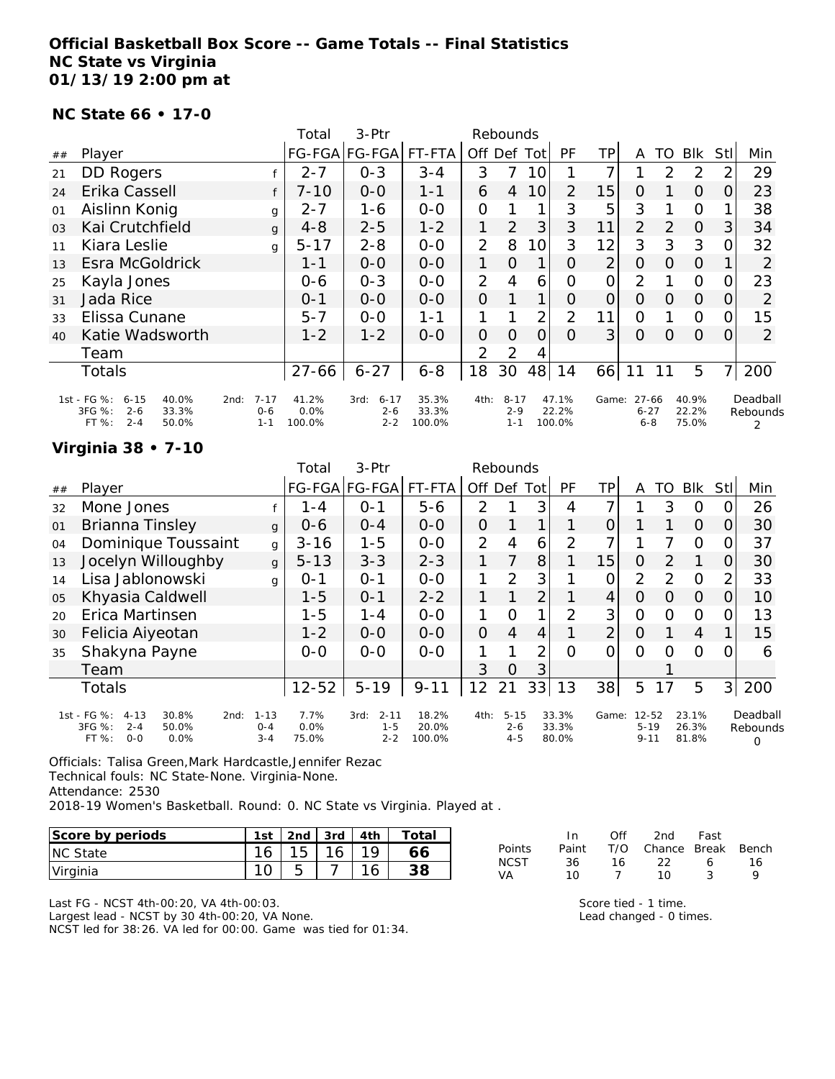### **Official Basketball Box Score -- Game Totals -- Final Statistics NC State vs Virginia 01/13/19 2:00 pm at**

#### **NC State 66 • 17-0**

|                |                                                                                           |                                        | Total                   | 3-Ptr                                  |                          |                | Rebounds                       |                |                          |                |                              |               |                         |                |                           |
|----------------|-------------------------------------------------------------------------------------------|----------------------------------------|-------------------------|----------------------------------------|--------------------------|----------------|--------------------------------|----------------|--------------------------|----------------|------------------------------|---------------|-------------------------|----------------|---------------------------|
| ##             | Player                                                                                    |                                        |                         | FG-FGA FG-FGA                          | FT-FTA                   | Off.           | Def                            | Totl           | <b>PF</b>                | TР             | A                            | TO            | <b>BIK</b>              | Stll           | Min                       |
| 21             | <b>DD Rogers</b>                                                                          |                                        | $2 - 7$                 | $0 - 3$                                | $3 - 4$                  | 3              |                                | 10             |                          | 7              |                              | $\mathcal{P}$ | 2                       | 2              | 29                        |
| 24             | Erika Cassell                                                                             |                                        | $7 - 10$                | $O-O$                                  | $1 - 1$                  | 6              | $\overline{4}$                 | 10             | 2                        | 15             | O                            |               | $\Omega$                | 0              | 23                        |
| 01             | Aislinn Konig                                                                             | $\mathbf{q}$                           | $2 - 7$                 | 1-6                                    | $0-0$                    | $\overline{O}$ |                                |                | 3                        | 5              | 3                            |               | $\Omega$                |                | 38                        |
| 0 <sub>3</sub> | Kai Crutchfield                                                                           | $\mathbf{q}$                           | $4 - 8$                 | $2 - 5$                                | $1 - 2$                  | 1              | 2                              | 3              | 3                        | 11             | 2                            | $\mathcal{P}$ | $\Omega$                | 3              | 34                        |
| 11             | Kiara Leslie                                                                              | $\mathbf{q}$                           | $5 - 17$                | $2 - 8$                                | $0-0$                    | $\overline{2}$ | 8                              | 10             | 3                        | 12             | 3                            | 3             | 3                       | 0              | 32                        |
| 13             | Esra McGoldrick                                                                           |                                        | $1 - 1$                 | $0 - 0$                                | $0 - 0$                  | 1              | $\Omega$                       | 1              | $\Omega$                 | $\overline{2}$ | 0                            | 0             | O                       |                | 2                         |
| 25             | Kayla Jones                                                                               |                                        | $0 - 6$                 | $0 - 3$                                | $0 - 0$                  | $\overline{2}$ | 4                              | 6              | 0                        | O              | 2                            |               | $\Omega$                | 0              | 23                        |
| 31             | Jada Rice                                                                                 |                                        | $0 - 1$                 | $0 - 0$                                | $0 - 0$                  | 0              |                                | 1              | O                        | 0              | $\Omega$                     | 0             | $\Omega$                | O              | 2                         |
| 33             | Elissa Cunane                                                                             |                                        | $5 - 7$                 | $0-0$                                  | 1-1                      |                |                                | $\overline{2}$ | $\overline{2}$           | 11             | O                            |               | $\Omega$                | 0              | 15                        |
| 40             | Katie Wadsworth                                                                           |                                        | $1 - 2$                 | $1 - 2$                                | $0 - 0$                  | $\mathcal{O}$  | 0                              | $\Omega$       | $\Omega$                 | 3              | $\Omega$                     | $\Omega$      | $\Omega$                | $\Omega$       | $\overline{2}$            |
|                | Team                                                                                      |                                        |                         |                                        |                          | $\overline{2}$ | 2                              | 4              |                          |                |                              |               |                         |                |                           |
|                | Totals                                                                                    |                                        | 27-66                   | $6 - 27$                               | $6 - 8$                  | 18             | 30                             | 48             | 14                       | 66             |                              | 11            | 5                       | $\overline{7}$ | 200                       |
|                | 1st - FG %:<br>$6 - 15$<br>40.0%<br>3FG %:<br>$2 - 6$<br>33.3%<br>$2 - 4$<br>FT%<br>50.0% | $7 - 17$<br>2nd:<br>$0 - 6$<br>$1 - 1$ | 41.2%<br>0.0%<br>100.0% | $6 - 17$<br>3rd:<br>$2 - 6$<br>$2 - 2$ | 35.3%<br>33.3%<br>100.0% | 4th:           | $8 - 17$<br>$2 - 9$<br>$1 - 1$ |                | 47.1%<br>22.2%<br>100.0% | Game:          | 27-66<br>$6 - 27$<br>$6 - 8$ |               | 40.9%<br>22.2%<br>75.0% |                | Deadball<br>Rebounds<br>2 |

#### **Virginia 38 • 7-10**

|    |                                                                                                |                                | Total                 | $3-Ptr$                                |                          |                | Rebounds                       |                |                         |                |                                   |               |                         |                |                           |
|----|------------------------------------------------------------------------------------------------|--------------------------------|-----------------------|----------------------------------------|--------------------------|----------------|--------------------------------|----------------|-------------------------|----------------|-----------------------------------|---------------|-------------------------|----------------|---------------------------|
| ## | Player                                                                                         |                                |                       | FG-FGA FG-FGA                          | FT-FTA                   | Off Def        |                                | Tot            | <b>PF</b>               | ΤP             | A                                 | TO            | <b>BIK</b>              | Stl            | Min                       |
| 32 | Mone Jones                                                                                     |                                | $1 - 4$               | $O - 1$                                | $5 - 6$                  | 2              |                                | 3              | 4                       | ⇁              |                                   | 3             | O                       | O              | 26                        |
| 01 | Brianna Tinsley                                                                                | $\mathbf{q}$                   | $0 - 6$               | $0 - 4$                                | $0-0$                    | $\overline{O}$ |                                | 1              | 1                       | 0              |                                   |               | $\Omega$                | O.             | 30                        |
| 04 | Dominique Toussaint                                                                            | g                              | $3 - 16$              | $1 - 5$                                | $0-0$                    | $\overline{2}$ | 4                              | 6              | $\overline{2}$          | ⇁              |                                   |               | O                       | 0              | 37                        |
| 13 | Jocelyn Willoughby                                                                             | g                              | $5 - 13$              | $3 - 3$                                | $2 - 3$                  |                | 7                              | 8              |                         | 15             | 0                                 | $\mathcal{P}$ |                         | O              | 30                        |
| 14 | Lisa Jablonowski                                                                               | q                              | $0 - 1$               | $O - 1$                                | $0 - 0$                  |                | 2                              | 3              |                         | O              | 2                                 | 2             | $\mathbf 0$             | 2              | 33                        |
| 05 | Khyasia Caldwell                                                                               |                                | $1 - 5$               | $0 - 1$                                | $2 - 2$                  |                |                                | $\overline{2}$ |                         | $\overline{4}$ | $\overline{O}$                    | Ο             | $\overline{O}$          | 0              | 10                        |
| 20 | Erica Martinsen                                                                                |                                | 1-5                   | $1 - 4$                                | $0-0$                    | 1              | Ω                              | 1              | 2                       | 3              | 0                                 | O             | 0                       | $\Omega$       | 13                        |
| 30 | Felicia Aiyeotan                                                                               |                                | $1 - 2$               | $0 - 0$                                | $0-0$                    | $\overline{O}$ | $\overline{4}$                 | 4              |                         | $\overline{2}$ | $\Omega$                          |               | 4                       |                | 15                        |
| 35 | Shakyna Payne                                                                                  |                                | $0-0$                 | $0 - 0$                                | $0-0$                    |                |                                | 2              | Ω                       | 0              | Ω                                 | Ω             | Ω                       | O              | 6                         |
|    | Team                                                                                           |                                |                       |                                        |                          | 3              | O                              | 3              |                         |                |                                   |               |                         |                |                           |
|    | Totals                                                                                         |                                | $12 - 52$             | $5 - 19$                               | $9 - 11$                 | 12             | 21                             | 33             | 13                      | 38             | 5                                 | 17            | 5                       | 3 <sup>1</sup> | 200                       |
|    | 1st - FG %:<br>30.8%<br>$4 - 13$<br>2nd:<br>3FG %:<br>$2 - 4$<br>50.0%<br>$O-O$<br>FT%<br>0.0% | $1 - 13$<br>$0 - 4$<br>$3 - 4$ | 7.7%<br>0.0%<br>75.0% | $2 - 11$<br>3rd:<br>$1 - 5$<br>$2 - 2$ | 18.2%<br>20.0%<br>100.0% | 4th:           | $5 - 15$<br>$2 - 6$<br>$4 - 5$ |                | 33.3%<br>33.3%<br>80.0% | Game:          | $12 - 52$<br>$5 - 19$<br>$9 - 11$ |               | 23.1%<br>26.3%<br>81.8% |                | Deadball<br>Rebounds<br>Ω |

Officials: Talisa Green,Mark Hardcastle,Jennifer Rezac Technical fouls: NC State-None. Virginia-None. Attendance: 2530 2018-19 Women's Basketball. Round: 0. NC State vs Virginia. Played at .

| Score by periods | 1st | 2 <sub>nd</sub> | 3rd                      | 4th | Totai |
|------------------|-----|-----------------|--------------------------|-----|-------|
| <b>NC State</b>  | 16  | 15              | $\overline{\phantom{a}}$ |     | 66    |
| <u>Virginia</u>  |     |                 |                          |     | າ ດ   |

Last FG - NCST 4th-00:20, VA 4th-00:03. Largest lead - NCST by 30 4th-00:20, VA None. NCST led for 38:26. VA led for 00:00. Game was tied for 01:34.

|        | In.      | Off | 2nd -              | Fast |    |
|--------|----------|-----|--------------------|------|----|
| Points | Paint    | T/O | Chance Break Bench |      |    |
| NCST   | .36      | 16. | -22.               | Ь    | 16 |
| VA     | 1 $\cap$ |     | 1 O                |      | Q  |

Score tied - 1 time. Lead changed - 0 times.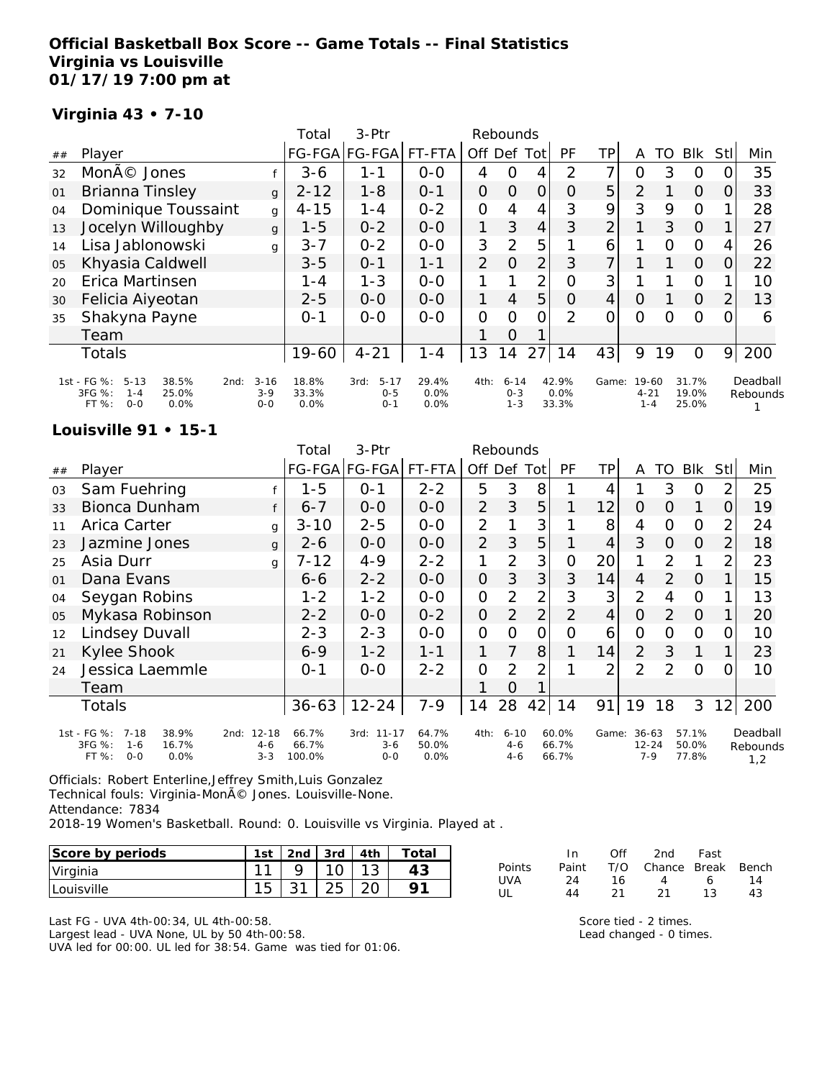### **Official Basketball Box Score -- Game Totals -- Final Statistics Virginia vs Louisville 01/17/19 7:00 pm at**

### **Virginia 43 • 7-10**

|    |                                                                                                  |                              | Total                  | $3-Ptr$                                |                       |                | Rebounds                       |     |                        |                |                              |          |                         |                |                      |
|----|--------------------------------------------------------------------------------------------------|------------------------------|------------------------|----------------------------------------|-----------------------|----------------|--------------------------------|-----|------------------------|----------------|------------------------------|----------|-------------------------|----------------|----------------------|
| ## | Player                                                                                           |                              |                        | FG-FGA FG-FGA                          | FT-FTA                | Off            | Def                            | Tot | PF                     | TP             | A                            | TO       | <b>BIK</b>              | Stll           | Min                  |
| 32 | Moné Jones                                                                                       |                              | $3 - 6$                | 1-1                                    | $0-0$                 | 4              | 0                              | 4   | 2                      | 7              | 0                            | 3        | O                       |                | 35                   |
| 01 | Brianna Tinsley                                                                                  | g                            | $2 - 12$               | $1 - 8$                                | $O - 1$               | 0              | $\Omega$                       | 0   | $\Omega$               | 5 <sup>1</sup> | 2                            |          | $\Omega$                | $\Omega$       | 33                   |
| 04 | Dominique Toussaint                                                                              | g                            | $4 - 15$               | $1 - 4$                                | $0 - 2$               | $\overline{O}$ | $\overline{4}$                 | 4   | 3                      | 9              | 3                            | 9        | $\Omega$                |                | 28                   |
| 13 | Jocelyn Willoughby                                                                               | g                            | $1 - 5$                | $0 - 2$                                | $0 - 0$               | 1              | 3                              | 4   | 3                      | $\overline{2}$ |                              | 3        | $\Omega$                |                | 27                   |
| 14 | Lisa Jablonowski                                                                                 | g                            | $3 - 7$                | $0 - 2$                                | $0-0$                 | 3              | 2                              | 5   |                        | 6              |                              | $\Omega$ | $\Omega$                | 4              | 26                   |
| 05 | Khyasia Caldwell                                                                                 |                              | $3 - 5$                | $0 - 1$                                | $1 - 1$               | $\overline{2}$ | $\Omega$                       | 2   | 3                      | $\overline{7}$ |                              |          | $\Omega$                | O.             | 22                   |
| 20 | Erica Martinsen                                                                                  |                              | 1 - 4                  | $1 - 3$                                | $O-O$                 |                |                                | 2   | 0                      | 3              |                              |          | $\circ$                 |                | 10                   |
| 30 | Felicia Aiyeotan                                                                                 |                              | $2 - 5$                | $0 - 0$                                | $0-0$                 | 1              | $\overline{4}$                 | 5   | $\Omega$               | $\overline{4}$ | $\Omega$                     |          | $\overline{O}$          | $\overline{2}$ | 13                   |
| 35 | Shakyna Payne                                                                                    |                              | $O - 1$                | $0 - 0$                                | $0 - 0$               | $\overline{O}$ | $\Omega$                       | 0   | 2                      | 0              | 0                            | Ω        | $\Omega$                | 0              | 6                    |
|    | Team                                                                                             |                              |                        |                                        |                       |                | $\Omega$                       |     |                        |                |                              |          |                         |                |                      |
|    | Totals                                                                                           |                              | $19 - 60$              | $4 - 21$                               | $1 - 4$               | 13             | $\overline{4}$                 | 27  | 14                     | 43             | 9                            | 19       | $\circ$                 | 9              | 200                  |
|    | 1st - FG %:<br>$5 - 13$<br>38.5%<br>2nd:<br>3FG %:<br>25.0%<br>$1 - 4$<br>$0 - 0$<br>0.0%<br>FT% | $3 - 16$<br>$3-9$<br>$0 - 0$ | 18.8%<br>33.3%<br>0.0% | $5 - 17$<br>3rd:<br>$0 - 5$<br>$0 - 1$ | 29.4%<br>0.0%<br>0.0% | 4th:           | $6 - 14$<br>$0 - 3$<br>$1 - 3$ |     | 42.9%<br>0.0%<br>33.3% | Game:          | 19-60<br>$4 - 21$<br>$1 - 4$ |          | 31.7%<br>19.0%<br>25.0% |                | Deadball<br>Rebounds |

#### **Louisville 91 • 15-1**

|    |                                                                                      |                                  | Total                    | 3-Ptr                          |                        |                     | Rebounds                       |                |                            |                |                                     |    |                         |                |                             |
|----|--------------------------------------------------------------------------------------|----------------------------------|--------------------------|--------------------------------|------------------------|---------------------|--------------------------------|----------------|----------------------------|----------------|-------------------------------------|----|-------------------------|----------------|-----------------------------|
| ## | Player                                                                               |                                  |                          | FG-FGA FG-FGA FT-FTA           |                        | Off Def Tot         |                                |                | PF                         | ΤP             | A                                   | TO | Blk                     | <b>StI</b>     | Min                         |
| 03 | Sam Fuehring                                                                         |                                  | $1 - 5$                  | $0 - 1$                        | $2 - 2$                | 5                   | 3                              | 8              |                            | 4              |                                     | 3  | 0                       | 2              | 25                          |
| 33 | Bionca Dunham                                                                        | f                                | $6 - 7$                  | $0 - 0$                        | $0 - 0$                | $\overline{2}$      | 3                              | 5              |                            | 12             | $\Omega$                            | O  | 1                       | 0              | 19                          |
| 11 | Arica Carter                                                                         | g                                | $3 - 10$                 | $2 - 5$                        | $0 - 0$                | 2                   |                                | 3              |                            | 8              | 4                                   | O  | $\Omega$                | 2              | 24                          |
| 23 | Jazmine Jones                                                                        | g                                | $2 - 6$                  | $0-0$                          | $0-0$                  | $\overline{2}$      | 3                              | 5              |                            | 4              | 3                                   | 0  | $\Omega$                | $\overline{2}$ | 18                          |
| 25 | Asia Durr                                                                            | g                                | $7 - 12$                 | $4 - 9$                        | $2 - 2$                | 1                   | $\overline{2}$                 | 3              | 0                          | 20             | 1                                   | 2  | 1                       | 2              | 23                          |
| 01 | Dana Evans                                                                           |                                  | 6-6                      | $2 - 2$                        | $0 - 0$                | $\overline{O}$      | 3                              | 3              | 3                          | 14             | 4                                   | 2  | $\Omega$                |                | 15                          |
| 04 | Seygan Robins                                                                        |                                  | $1 - 2$                  | $1 - 2$                        | $O-O$                  | O                   | $\overline{2}$                 | 2              | 3                          | 3              | 2                                   | 4  | $\overline{O}$          |                | 13                          |
| 05 | Mykasa Robinson                                                                      |                                  | $2 - 2$                  | $0-0$                          | $0 - 2$                | $\mathsf{O}\xspace$ | 2                              | $\overline{2}$ | $\overline{2}$             | $\overline{4}$ | $\Omega$                            | 2  | $\Omega$                |                | 20                          |
| 12 | Lindsey Duvall                                                                       |                                  | $2 - 3$                  | $2 - 3$                        | $0 - 0$                | $\mathcal{O}$       | $\Omega$                       | 0              | 0                          | 6              | O                                   | O  | 0                       | O              | 10                          |
| 21 | Kylee Shook                                                                          |                                  | $6 - 9$                  | $1 - 2$                        | $1 - 1$                | 1                   |                                | 8              |                            | 14             | $\overline{2}$                      | 3  | 1                       | 1              | 23                          |
| 24 | Jessica Laemmle                                                                      |                                  | $0 - 1$                  | $0 - 0$                        | $2 - 2$                | $\mathcal{O}$       | 2                              | 2              |                            | 2              | $\overline{2}$                      | 2  | $\Omega$                | Ω              | 10                          |
|    | Team                                                                                 |                                  |                          |                                |                        |                     | $\Omega$                       |                |                            |                |                                     |    |                         |                |                             |
|    | Totals                                                                               |                                  | $36 - 63$                | $12 - 24$                      | $7 - 9$                | 14                  | 28                             | 42             | 14                         | 91             | 19                                  | 18 | 3                       | 12             | 200                         |
|    | 1st - FG %:<br>7-18<br>38.9%<br>3FG %:<br>16.7%<br>$1 - 6$<br>FT%<br>$0 - 0$<br>0.0% | 2nd: 12-18<br>$4 - 6$<br>$3 - 3$ | 66.7%<br>66.7%<br>100.0% | 3rd: 11-17<br>$3 - 6$<br>$O-O$ | 64.7%<br>50.0%<br>0.0% | 4th:                | $6 - 10$<br>$4 - 6$<br>$4 - 6$ |                | $60.0\%$<br>66.7%<br>66.7% |                | Game: 36-63<br>$12 - 24$<br>$7 - 9$ |    | 57.1%<br>50.0%<br>77.8% |                | Deadball<br>Rebounds<br>1,2 |

Officials: Robert Enterline,Jeffrey Smith,Luis Gonzalez Technical fouls: Virginia-MonÃ<sup>©</sup> Jones. Louisville-None. Attendance: 7834 2018-19 Women's Basketball. Round: 0. Louisville vs Virginia. Played at .

| Score by periods  | 1st | 2nd | $3rd$   4th | Total |
|-------------------|-----|-----|-------------|-------|
| Virginia          |     |     |             |       |
| <b>Louisville</b> |     |     |             |       |

Last FG - UVA 4th-00:34, UL 4th-00:58. Largest lead - UVA None, UL by 50 4th-00:58. UVA led for 00:00. UL led for 38:54. Game was tied for 01:06.

|        | - In  | Off  | 2nd                    | Fast |    |
|--------|-------|------|------------------------|------|----|
| Points | Paint |      | T/O Chance Break Bench |      |    |
| UVA    | 24    | - 16 | $\overline{4}$         | 6    | 14 |
| UI     | 44    | -21  | - 21                   | 13   | 43 |

Score tied - 2 times. Lead changed - 0 times.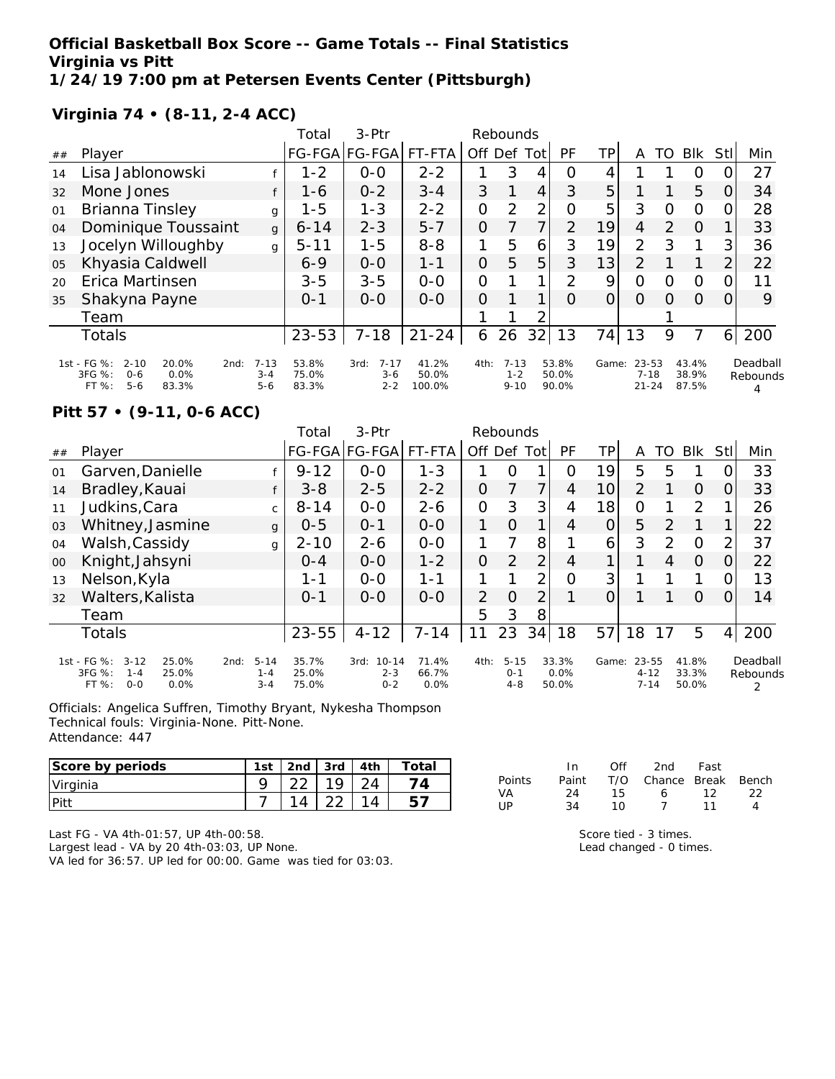#### **Official Basketball Box Score -- Game Totals -- Final Statistics Virginia vs Pitt 1/24/19 7:00 pm at Petersen Events Center (Pittsburgh)**

**Virginia 74 • (8-11, 2-4 ACC)**

|    |                                                                                                    |                                | Total                   | $3-Ptr$                                |                          |                | Rebounds                        |      |                         |       |                                |               |                         |                |                      |
|----|----------------------------------------------------------------------------------------------------|--------------------------------|-------------------------|----------------------------------------|--------------------------|----------------|---------------------------------|------|-------------------------|-------|--------------------------------|---------------|-------------------------|----------------|----------------------|
| ## | Player                                                                                             |                                | <b>FG-FGA</b>           | $FG-FGA$                               | FT-FTA                   | Off Def        |                                 | Totl | PF                      | ΤP    | Α                              | TO            | <b>Blk</b>              | StII           | Min                  |
| 14 | Lisa Jablonowski                                                                                   |                                | $1 - 2$                 | $O-O$                                  | $2 - 2$                  |                | 3                               | 4    | O                       | 4     |                                |               | O                       |                | 27                   |
| 32 | Mone Jones                                                                                         |                                | 1-6                     | $0 - 2$                                | $3 - 4$                  | 3              |                                 | 4    | 3                       | 5     |                                |               | 5                       | O              | 34                   |
| 01 | Brianna Tinsley                                                                                    | g                              | $1 - 5$                 | $1 - 3$                                | $2 - 2$                  | 0              | $\overline{2}$                  | 2    | 0                       | 5     | 3                              | O             | $\circ$                 | 0              | 28                   |
| 04 | Dominique Toussaint                                                                                | g                              | $6 - 14$                | $2 - 3$                                | $5 - 7$                  | $\Omega$       |                                 | 7    | 2                       | 19    | 4                              | $\mathcal{P}$ | $\Omega$                |                | 33                   |
| 13 | Jocelyn Willoughby                                                                                 | q                              | $5 - 11$                | $1 - 5$                                | $8 - 8$                  | 1              | 5                               | 6    | 3                       | 19    | $\overline{2}$                 | 3             | 1                       | 3              | 36                   |
| 05 | Khyasia Caldwell                                                                                   |                                | $6 - 9$                 | $0 - 0$                                | $1 - 1$                  | $\Omega$       | 5                               | 5    | 3                       | 13    | $\overline{2}$                 |               |                         | $\overline{2}$ | 22                   |
| 20 | Erica Martinsen                                                                                    |                                | $3 - 5$                 | $3 - 5$                                | $O - O$                  | $\overline{O}$ |                                 | 1    | $\mathcal{D}$           | 9     | $\mathcal{O}$                  | O             | O                       | 0              | 11                   |
| 35 | Shakyna Payne                                                                                      |                                | $0 - 1$                 | $0 - 0$                                | $O-O$                    | $\Omega$       |                                 | 1    | $\Omega$                | 0     | $\Omega$                       | $\Omega$      | $\Omega$                | $\Omega$       | 9                    |
|    | Team                                                                                               |                                |                         |                                        |                          |                |                                 | 2    |                         |       |                                |               |                         |                |                      |
|    | Totals                                                                                             |                                | $23 - 53$               | $7 - 18$                               | $21 - 24$                | 6              | 26                              | 32   | 13                      | 74    | 13                             | 9             | 7                       | 6              | 200                  |
|    | 1st - FG %:<br>$2 - 10$<br>20.0%<br>2nd:<br>3FG %:<br>0.0%<br>$0 - 6$<br>$5 - 6$<br>FT %:<br>83.3% | $7 - 13$<br>$3 - 4$<br>$5 - 6$ | 53.8%<br>75.0%<br>83.3% | $7 - 17$<br>3rd:<br>$3 - 6$<br>$2 - 2$ | 41.2%<br>50.0%<br>100.0% | 4th:           | $7 - 13$<br>$1 - 2$<br>$9 - 10$ |      | 53.8%<br>50.0%<br>90.0% | Game: | 23-53<br>$7 - 18$<br>$21 - 24$ |               | 43.4%<br>38.9%<br>87.5% |                | Deadball<br>Rebounds |

### **Pitt 57 • (9-11, 0-6 ACC)**

|    |                                                                                            |                                        | Total                   | $3-Ptr$                                 |                           |                | Rebounds                       |                |                        |       |                               |                |                         |                |                           |
|----|--------------------------------------------------------------------------------------------|----------------------------------------|-------------------------|-----------------------------------------|---------------------------|----------------|--------------------------------|----------------|------------------------|-------|-------------------------------|----------------|-------------------------|----------------|---------------------------|
| ## | Player                                                                                     |                                        |                         | FG-FGA FG-FGA                           | FT-FTA                    | Off            | Def                            | Tot            | PF                     | ΤP    | A                             | TO             | Blk                     | Stl            | Min                       |
| 01 | Garven, Danielle                                                                           |                                        | $9 - 12$                | $0 - 0$                                 | $1 - 3$                   |                | Ω                              |                | O                      | 19    | 5                             | 5              |                         | Ω              | 33                        |
| 14 | Bradley, Kauai                                                                             |                                        | $3 - 8$                 | $2 - 5$                                 | $2 - 2$                   | Ο              |                                | 7              | 4                      | 10    | $\overline{2}$                |                | $\Omega$                | 0              | 33                        |
| 11 | Judkins, Cara                                                                              | $\mathsf{C}$                           | $8 - 14$                | $0 - 0$                                 | $2 - 6$                   | 0              | 3                              | 3              | 4                      | 18    | O                             |                | 2                       | 1              | 26                        |
| 03 | Whitney, Jasmine                                                                           | g                                      | $0 - 5$                 | $0 - 1$                                 | $0 - 0$                   | 1              | $\Omega$                       | 1              | 4                      | O     | 5                             | 2              | 1                       |                | 22                        |
| 04 | Walsh, Cassidy                                                                             | g                                      | $2 - 10$                | $2 - 6$                                 | $0 - 0$                   | 1              | 7                              | 8              |                        | 6     | 3                             | $\mathcal{P}$  | $\Omega$                | $\overline{2}$ | 37                        |
| 00 | Knight, Jahsyni                                                                            |                                        | $O - 4$                 | $0 - 0$                                 | $1 - 2$                   | 0              | 2                              | $\overline{2}$ | 4                      |       |                               | $\overline{4}$ | $\Omega$                | 0              | 22                        |
| 13 | Nelson, Kyla                                                                               |                                        | 1-1                     | $0 - 0$                                 | 1-1                       | 1              | 1                              | 2 <sub>1</sub> | $\overline{O}$         | 3     |                               |                |                         | 0              | 13                        |
| 32 | Walters, Kalista                                                                           |                                        | $0 - 1$                 | $0 - 0$                                 | $O-O$                     | $\overline{2}$ | 0                              | $\overline{2}$ |                        | 0     |                               |                | $\Omega$                | 0              | 14                        |
|    | Team                                                                                       |                                        |                         |                                         |                           | 5              | 3                              | 8              |                        |       |                               |                |                         |                |                           |
|    | Totals                                                                                     |                                        | $23 - 55$               | $4 - 12$                                | $7 - 14$                  | 11             | 23                             | 34             | 18                     | 57    | 18                            | 17             | 5                       | $\overline{4}$ | 200                       |
|    | 1st - FG %:<br>$3 - 12$<br>25.0%<br>3FG %:<br>25.0%<br>$1 - 4$<br>$0 - 0$<br>FT %:<br>0.0% | $5 - 14$<br>2nd:<br>$1 - 4$<br>$3 - 4$ | 35.7%<br>25.0%<br>75.0% | $10 - 14$<br>3rd:<br>$2 - 3$<br>$0 - 2$ | 71.4%<br>66.7%<br>$0.0\%$ | 4th:           | $5 - 15$<br>$0 - 1$<br>$4 - 8$ |                | 33.3%<br>0.0%<br>50.0% | Game: | 23-55<br>$4 - 12$<br>$7 - 14$ |                | 41.8%<br>33.3%<br>50.0% |                | Deadball<br>Rebounds<br>2 |

Officials: Angelica Suffren, Timothy Bryant, Nykesha Thompson Technical fouls: Virginia-None. Pitt-None. Attendance: 447

| Score by periods | 1 <sub>ct</sub><br>эι | 2 <sub>nd</sub> | 3rd    | 4th | ™otai |
|------------------|-----------------------|-----------------|--------|-----|-------|
| Virginia         |                       | $\cap$          |        |     |       |
| <b>Pitt</b>      |                       | 14              | $\cap$ |     |       |

|        | In.   | ∩ff | 2nd                    | Fast |     |
|--------|-------|-----|------------------------|------|-----|
| Points | Paint |     | T/O Chance Break Bench |      |     |
| VA.    | 24    | 15. | 6.                     | 12   | -22 |
| 1 IP   | 34    | 1 N | $\overline{ }$         | -11  |     |

Last FG - VA 4th-01:57, UP 4th-00:58. Largest lead - VA by 20 4th-03:03, UP None. VA led for 36:57. UP led for 00:00. Game was tied for 03:03. Score tied - 3 times. Lead changed - 0 times.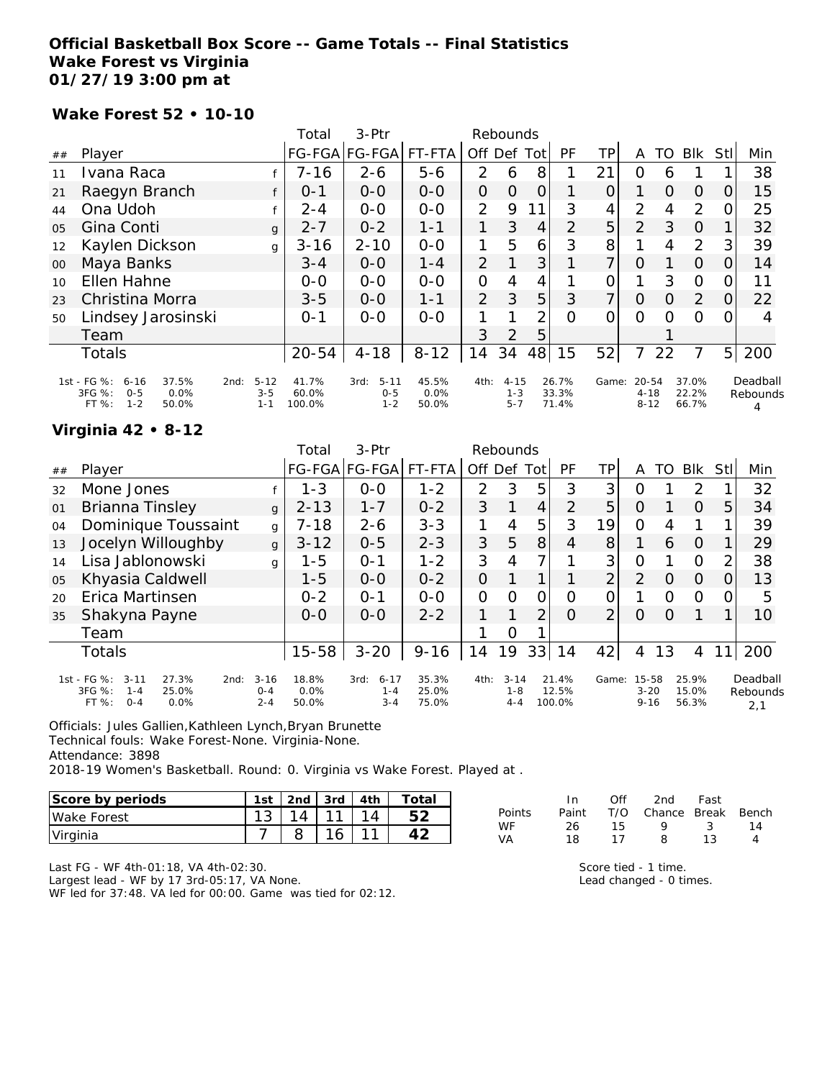### **Official Basketball Box Score -- Game Totals -- Final Statistics Wake Forest vs Virginia 01/27/19 3:00 pm at**

#### **Wake Forest 52 • 10-10**

|                |                                                                                            |                                        | Total                    | 3-Ptr                                  |                        |                | Rebounds                       |                |                         |          |                                   |          |                         |                |                           |
|----------------|--------------------------------------------------------------------------------------------|----------------------------------------|--------------------------|----------------------------------------|------------------------|----------------|--------------------------------|----------------|-------------------------|----------|-----------------------------------|----------|-------------------------|----------------|---------------------------|
| ##             | Player                                                                                     |                                        |                          | FG-FGA FG-FGA                          | FT-FTA                 | Off Def Tot    |                                |                | PF                      | TP       | A                                 | TO       | Blk                     | Stll           | Min                       |
| 11             | Ivana Raca                                                                                 |                                        | $7 - 16$                 | $2 - 6$                                | $5 - 6$                | $\overline{2}$ | 6                              | 8              |                         | 21       | O                                 | 6        |                         |                | 38                        |
| 21             | Raegyn Branch                                                                              |                                        | $0 - 1$                  | $0-0$                                  | $0 - 0$                | $\overline{O}$ | $\overline{O}$                 | $\overline{O}$ |                         | 0        |                                   | $\Omega$ | $\Omega$                | 0              | 15                        |
| 44             | Ona Udoh                                                                                   |                                        | $2 - 4$                  | $0 - 0$                                | $0-0$                  | $\overline{2}$ | 9                              | 1              | 3                       | 4        | $\overline{2}$                    | 4        | 2                       | O.             | 25                        |
| 0 <sub>5</sub> | Gina Conti                                                                                 | $\mathbf{q}$                           | $2 - 7$                  | $0 - 2$                                | $1 - 1$                | 1              | 3                              | 4              | $\mathcal{P}$           | 5        | 2                                 | 3        | $\Omega$                |                | 32                        |
| 12             | Kaylen Dickson                                                                             | g                                      | $3 - 16$                 | $2 - 10$                               | $O-O$                  | 1              | 5                              | 6              | 3                       | 8        |                                   | 4        | $\overline{2}$          | 3              | 39                        |
| 00             | Maya Banks                                                                                 |                                        | $3 - 4$                  | $0 - 0$                                | $1 - 4$                | $\overline{2}$ |                                | 3              |                         | 7        | $\Omega$                          |          | $\Omega$                | $\Omega$       | 14                        |
| 10             | Ellen Hahne                                                                                |                                        | $0-0$                    | $0 - 0$                                | $0 - 0$                | $\overline{O}$ | 4                              | 4              |                         | 0        |                                   | 3        | $\Omega$                | 0              | 11                        |
| 23             | Christina Morra                                                                            |                                        | $3 - 5$                  | $0-0$                                  | $1 - 1$                | $\overline{2}$ | 3                              | 5              | 3                       | 7        | $\Omega$                          | 0        | 2                       | <sup>O</sup>   | 22                        |
| 50             | Lindsey Jarosinski                                                                         |                                        | $O - 1$                  | $0-0$                                  | $0 - 0$                |                |                                | 2              | $\Omega$                | $\Omega$ | $\Omega$                          | O        | $\Omega$                | 0              | 4                         |
|                | Team                                                                                       |                                        |                          |                                        |                        | 3              | 2                              | 5              |                         |          |                                   |          |                         |                |                           |
|                | Totals                                                                                     |                                        | $20 - 54$                | $4 - 18$                               | $8 - 12$               | 14             | 34                             | 48             | 15                      | 52       | 7                                 | 22       | 7                       | 5 <sup>1</sup> | 200                       |
|                | 1st - FG %:<br>37.5%<br>$6 - 16$<br>3FG %:<br>0.0%<br>$O - 5$<br>$1 - 2$<br>FT %:<br>50.0% | $5 - 12$<br>2nd:<br>$3 - 5$<br>$1 - 1$ | 41.7%<br>60.0%<br>100.0% | $5 - 11$<br>3rd:<br>$0 - 5$<br>$1 - 2$ | 45.5%<br>0.0%<br>50.0% | 4th:           | $4 - 15$<br>$1 - 3$<br>$5 - 7$ |                | 26.7%<br>33.3%<br>71.4% | Game:    | $20 - 54$<br>$4 - 18$<br>$8 - 12$ |          | 37.0%<br>22.2%<br>66.7% |                | Deadball<br>Rebounds<br>4 |

### **Virginia 42 • 8-12**

|    |                                                                                                    |                                | Total                  | $3-Ptr$                                |                         |                | Rebounds                       |                |                          |                |                               |          |                         |      |                             |
|----|----------------------------------------------------------------------------------------------------|--------------------------------|------------------------|----------------------------------------|-------------------------|----------------|--------------------------------|----------------|--------------------------|----------------|-------------------------------|----------|-------------------------|------|-----------------------------|
| ## | Player                                                                                             |                                |                        | FG-FGA FG-FGA                          | FT-FTA                  | Off Def Tot    |                                |                | PF                       | TP             | A                             | TO       | <b>BIK</b>              | Stll | Min                         |
| 32 | Mone Jones                                                                                         |                                | $1 - 3$                | $0-0$                                  | $1 - 2$                 | 2              | 3                              | 5              | 3                        | 3              | O                             |          | 2                       |      | 32                          |
| 01 | Brianna Tinsley                                                                                    | $\mathbf{q}$                   | $2 - 13$               | $1 - 7$                                | $0 - 2$                 | 3              |                                | $\overline{4}$ | 2                        | 5              | $\overline{O}$                |          | $\overline{O}$          | 5    | 34                          |
| 04 | Dominique Toussaint                                                                                | g                              | $7 - 18$               | $2 - 6$                                | $3 - 3$                 |                | 4                              | 5              | 3                        | 19             | $\Omega$                      | 4        |                         |      | 39                          |
| 13 | Jocelyn Willoughby                                                                                 | $\mathbf{q}$                   | $3 - 12$               | $0 - 5$                                | $2 - 3$                 | 3              | 5                              | 8              | 4                        | 8              | 1                             | 6        | $\Omega$                |      | 29                          |
| 14 | Lisa Jablonowski                                                                                   | g                              | $1 - 5$                | $O - 1$                                | $1 - 2$                 | 3              | 4                              | 7              |                          | 3 <sup>1</sup> | $\overline{O}$                |          | $\Omega$                | 2    | 38                          |
| 05 | Khyasia Caldwell                                                                                   |                                | $1 - 5$                | $0 - 0$                                | $0 - 2$                 | $\overline{O}$ |                                |                |                          | $\overline{2}$ | 2                             | O        | $\Omega$                | O    | 13                          |
| 20 | Erica Martinsen                                                                                    |                                | $0 - 2$                | $0 - 1$                                | $0-0$                   | $\Omega$       | $\Omega$                       | 0              | O                        | 0              |                               | $\Omega$ | $\Omega$                | 0    | 5                           |
| 35 | Shakyna Payne                                                                                      |                                | $0 - 0$                | $0 - 0$                                | $2 - 2$                 |                |                                | $\overline{2}$ | $\Omega$                 | $\overline{2}$ | $\Omega$                      | O        |                         |      | 10                          |
|    | Team                                                                                               |                                |                        |                                        |                         |                | Ω                              |                |                          |                |                               |          |                         |      |                             |
|    | Totals                                                                                             |                                | $15 - 58$              | $3 - 20$                               | $9 - 16$                | 14             | 19                             | 33             | 14                       | 42             | 4                             | 13       | 4                       |      | 200                         |
|    | 1st - FG %:<br>$3 - 11$<br>27.3%<br>2nd:<br>3FG %:<br>25.0%<br>$1 - 4$<br>FT %:<br>$0 - 4$<br>0.0% | $3 - 16$<br>$O - 4$<br>$2 - 4$ | 18.8%<br>0.0%<br>50.0% | $6 - 17$<br>3rd:<br>$1 - 4$<br>$3 - 4$ | 35.3%<br>25.0%<br>75.0% | 4th:           | $3 - 14$<br>$1 - 8$<br>$4 - 4$ |                | 21.4%<br>12.5%<br>100.0% | Game:          | 15-58<br>$3 - 20$<br>$9 - 16$ |          | 25.9%<br>15.0%<br>56.3% |      | Deadball<br>Rebounds<br>2,1 |

Officials: Jules Gallien,Kathleen Lynch,Bryan Brunette

Technical fouls: Wake Forest-None. Virginia-None.

Attendance: 3898

2018-19 Women's Basketball. Round: 0. Virginia vs Wake Forest. Played at .

| Score by periods    | 1st | 2nd $\sqrt{3}$ 3rd | 4th | $\tau$ otai |
|---------------------|-----|--------------------|-----|-------------|
| <b>IWake Forest</b> |     |                    |     |             |
| Virginia            |     |                    |     |             |

|        | In.   | ∩ff | 2nd                    | Fast |    |
|--------|-------|-----|------------------------|------|----|
| Points | Paint |     | T/O Chance Break Bench |      |    |
| WF     | 26.   | 15. | Q                      | -3   | 14 |
| VA     | 18    | 17  | 8.                     | 13   |    |

Last FG - WF 4th-01:18, VA 4th-02:30.

Largest lead - WF by 17 3rd-05:17, VA None.

WF led for 37:48. VA led for 00:00. Game was tied for 02:12.

Score tied - 1 time.

Lead changed - 0 times.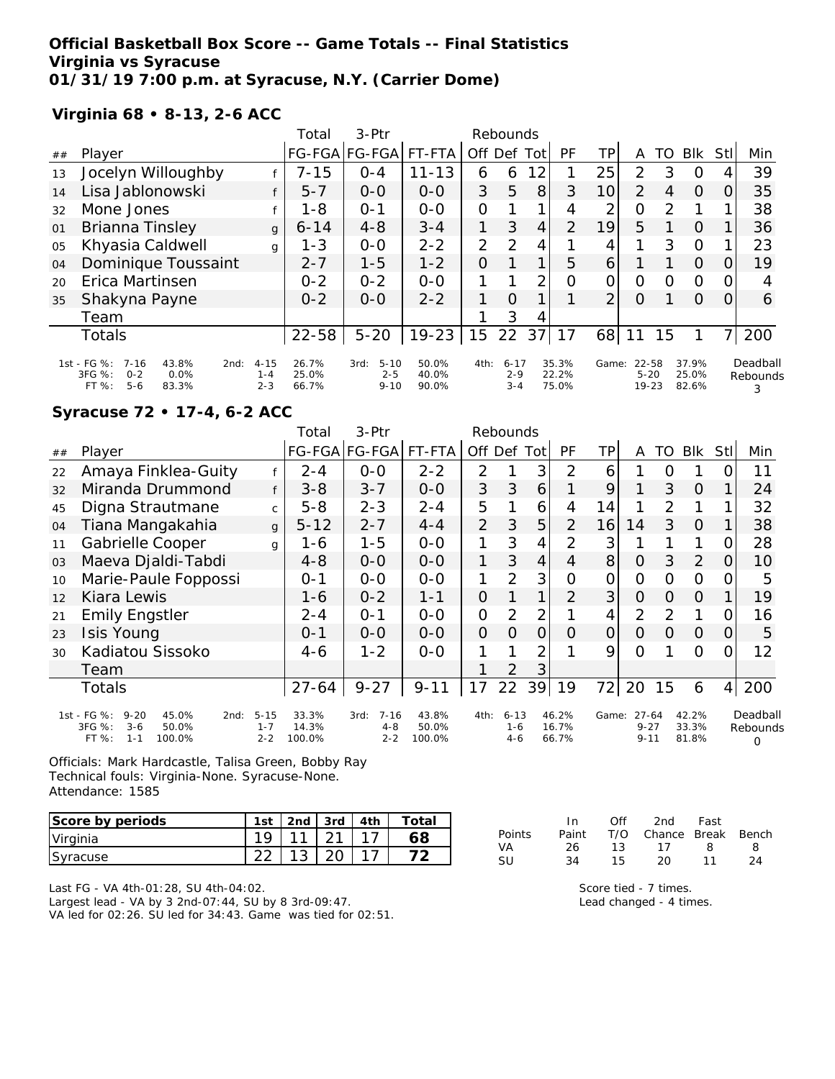### **Official Basketball Box Score -- Game Totals -- Final Statistics Virginia vs Syracuse 01/31/19 7:00 p.m. at Syracuse, N.Y. (Carrier Dome)**

### **Virginia 68 • 8-13, 2-6 ACC**

|    |                                                                                                    |                                | Total                   | 3-Ptr                                   |                         |                      | Rebounds                       |      |                         |                 |                            |    |                         |                |                           |
|----|----------------------------------------------------------------------------------------------------|--------------------------------|-------------------------|-----------------------------------------|-------------------------|----------------------|--------------------------------|------|-------------------------|-----------------|----------------------------|----|-------------------------|----------------|---------------------------|
| ## | Player                                                                                             |                                |                         | FG-FGA FG-FGA                           | FT-FTA                  | Off Def <sup>3</sup> |                                | Totl | PF                      | TP              | Α                          | TO | <b>BIK</b>              | <b>StI</b>     | Min                       |
| 13 | Jocelyn Willoughby                                                                                 |                                | $7 - 15$                | $O - 4$                                 | $11 - 13$               | 6                    | 6                              | 12   |                         | 25              | 2                          | 3  | $\Omega$                | 4              | 39                        |
| 14 | Lisa Jablonowski                                                                                   |                                | $5 - 7$                 | $0 - 0$                                 | $0 - 0$                 | 3                    | 5                              | 8    | 3                       | 10 <sup>1</sup> | 2                          | 4  | $\Omega$                | 0              | 35                        |
| 32 | Mone Jones                                                                                         | $\epsilon$                     | $1 - 8$                 | $O - 1$                                 | $0 - 0$                 | $\overline{O}$       |                                |      | 4                       | 2               | 0                          | 2  |                         |                | 38                        |
| 01 | Brianna Tinsley                                                                                    | $\mathbf{q}$                   | $6 - 14$                | $4 - 8$                                 | $3 - 4$                 |                      | 3                              | 4    | $\overline{2}$          | 19              | 5                          |    | $\Omega$                |                | 36                        |
| 05 | Khyasia Caldwell                                                                                   | g                              | $1 - 3$                 | $0 - 0$                                 | $2 - 2$                 | $\overline{2}$       | 2                              | 4    |                         | 4               |                            | 3  | $\Omega$                |                | 23                        |
| 04 | Dominique Toussaint                                                                                |                                | $2 - 7$                 | $1 - 5$                                 | $1 - 2$                 | O                    |                                |      | 5                       | $\vert 6 \vert$ |                            |    | $\Omega$                | 0              | 19                        |
| 20 | Erica Martinsen                                                                                    |                                | $0 - 2$                 | $0 - 2$                                 | $0 - 0$                 |                      |                                | 2    | 0                       | 0               | $\overline{O}$             | O  | $\circ$                 | 0              |                           |
| 35 | Shakyna Payne                                                                                      |                                | $0 - 2$                 | $0 - 0$                                 | $2 - 2$                 | 1                    | $\Omega$                       |      |                         | $\overline{2}$  | $\circ$                    |    | $\Omega$                | 0              | 6                         |
|    | Team                                                                                               |                                |                         |                                         |                         |                      | 3                              | 4    |                         |                 |                            |    |                         |                |                           |
|    | Totals                                                                                             |                                | $22 - 58$               | $5 - 20$                                | $19 - 23$               | 15                   | 22                             | 37   | 17                      | 68              | 11                         | 15 |                         | 7 <sub>1</sub> | 200                       |
|    | 1st - FG %:<br>$7 - 16$<br>43.8%<br>2nd:<br>3FG %:<br>0.0%<br>$0 - 2$<br>$5 - 6$<br>FT %:<br>83.3% | $4 - 15$<br>$1 - 4$<br>$2 - 3$ | 26.7%<br>25.0%<br>66.7% | $5 - 10$<br>3rd:<br>$2 - 5$<br>$9 - 10$ | 50.0%<br>40.0%<br>90.0% | 4th:                 | $6 - 17$<br>$2 - 9$<br>$3 - 4$ |      | 35.3%<br>22.2%<br>75.0% | Game:           | 22-58<br>$5 - 20$<br>19-23 |    | 37.9%<br>25.0%<br>82.6% |                | Deadball<br>Rebounds<br>3 |

#### **Syracuse 72 • 17-4, 6-2 ACC**

|    |                                                                                                        |                                | Total                    | 3-Ptr                                  |                          |                | Rebounds                       |     |                         |       |                                   |          |                         |                |                           |
|----|--------------------------------------------------------------------------------------------------------|--------------------------------|--------------------------|----------------------------------------|--------------------------|----------------|--------------------------------|-----|-------------------------|-------|-----------------------------------|----------|-------------------------|----------------|---------------------------|
| ## | Player                                                                                                 |                                |                          | FG-FGA FG-FGA                          | FT-FTA                   |                | Off Def                        | Tot | PF                      | TР    | A                                 | TO       | <b>BIK</b>              | Stl            | Min                       |
| 22 | Amaya Finklea-Guity                                                                                    |                                | $2 - 4$                  | $0 - 0$                                | $2 - 2$                  | $\overline{2}$ |                                | 3   | $\overline{2}$          | 6     |                                   | O        |                         | Ω              | 11                        |
| 32 | Miranda Drummond                                                                                       | f                              | $3 - 8$                  | $3 - 7$                                | $0 - 0$                  | 3              | 3                              | 6   | 1                       | 9     |                                   | 3        | $\Omega$                |                | 24                        |
| 45 | Digna Strautmane                                                                                       | $\mathsf{C}$                   | $5 - 8$                  | $2 - 3$                                | $2 - 4$                  | 5              |                                | 6   | 4                       | 14    |                                   | 2        | 1                       |                | 32                        |
| 04 | Tiana Mangakahia                                                                                       | g                              | $5 - 12$                 | $2 - 7$                                | $4 - 4$                  | $\overline{2}$ | 3                              | 5   | $\overline{2}$          | 16    | 14                                | 3        | $\Omega$                |                | 38                        |
| 11 | Gabrielle Cooper                                                                                       | g                              | 1-6                      | $1 - 5$                                | $0-0$                    | 1              | 3                              | 4   | $\overline{2}$          | 3     |                                   |          |                         | Ο              | 28                        |
| 03 | Maeva Djaldi-Tabdi                                                                                     |                                | $4 - 8$                  | $0-0$                                  | $0-0$                    | 1              | 3                              | 4   | 4                       | 8     | 0                                 | 3        | 2                       | 0              | 10                        |
| 10 | Marie-Paule Foppossi                                                                                   |                                | $0 - 1$                  | $0 - 0$                                | $O-O$                    | 1              | $\overline{2}$                 | 3   | 0                       | 0     | 0                                 | 0        | $\overline{O}$          |                | 5                         |
| 12 | Kiara Lewis                                                                                            |                                | 1-6                      | $0 - 2$                                | $1 - 1$                  | 0              |                                | 1   | $\overline{2}$          | 3     | $\overline{O}$                    | 0        | $\Omega$                |                | 19                        |
| 21 | <b>Emily Engstler</b>                                                                                  |                                | $2 - 4$                  | $O - 1$                                | $0-0$                    | 0              | $\overline{2}$                 | 2   |                         | 4     | 2                                 | 2        | 1                       | Ω              | 16                        |
| 23 | <b>Isis Young</b>                                                                                      |                                | $0 - 1$                  | $0 - 0$                                | $0 - 0$                  | 0              | $\Omega$                       | O   | Ο                       | 0     | $\circ$                           | $\Omega$ | $\overline{O}$          | 0              | 5                         |
| 30 | Kadiatou Sissoko                                                                                       |                                | 4-6                      | $1 - 2$                                | $0 - 0$                  | 1              |                                | 2   |                         | 9     | Ω                                 |          | 0                       | ∩              | 12                        |
|    | Team                                                                                                   |                                |                          |                                        |                          |                | 2                              | 3   |                         |       |                                   |          |                         |                |                           |
|    | Totals                                                                                                 |                                | $27 - 64$                | $9 - 27$                               | $9 - 11$                 | 17             | 22                             | 39  | 19                      | 721   | 20                                | 15       | 6                       | $\overline{4}$ | 200                       |
|    | 1st - FG %:<br>$9 - 20$<br>45.0%<br>2nd:<br>3FG %:<br>$3 - 6$<br>50.0%<br>$FT \%$<br>100.0%<br>$1 - 1$ | $5 - 15$<br>$1 - 7$<br>$2 - 2$ | 33.3%<br>14.3%<br>100.0% | $7 - 16$<br>3rd:<br>$4 - 8$<br>$2 - 2$ | 43.8%<br>50.0%<br>100.0% | 4th:           | $6 - 13$<br>$1 - 6$<br>$4 - 6$ |     | 46.2%<br>16.7%<br>66.7% | Game: | $27 - 64$<br>$9 - 27$<br>$9 - 11$ |          | 42.2%<br>33.3%<br>81.8% |                | Deadball<br>Rebounds<br>O |

Officials: Mark Hardcastle, Talisa Green, Bobby Ray Technical fouls: Virginia-None. Syracuse-None. Attendance: 1585

| Score by periods | 1st | 2nd | 3rd i | 4th | Total |
|------------------|-----|-----|-------|-----|-------|
| Virginia         | 1 Q | 111 |       |     |       |
| Syracuse         | ົດ  |     |       |     |       |

|        | ln.   | <b>Off</b> | 2nd Fast               |    |    |
|--------|-------|------------|------------------------|----|----|
| Points | Paint |            | T/O Chance Break Bench |    |    |
| VA.    | 26.   |            | 13 17 R                |    | -8 |
| -SU    | 34.   | 15.        | 20.                    | 11 | 24 |

Last FG - VA 4th-01:28, SU 4th-04:02.

Largest lead - VA by 3 2nd-07:44, SU by 8 3rd-09:47. VA led for 02:26. SU led for 34:43. Game was tied for 02:51. Score tied - 7 times.

Lead changed - 4 times.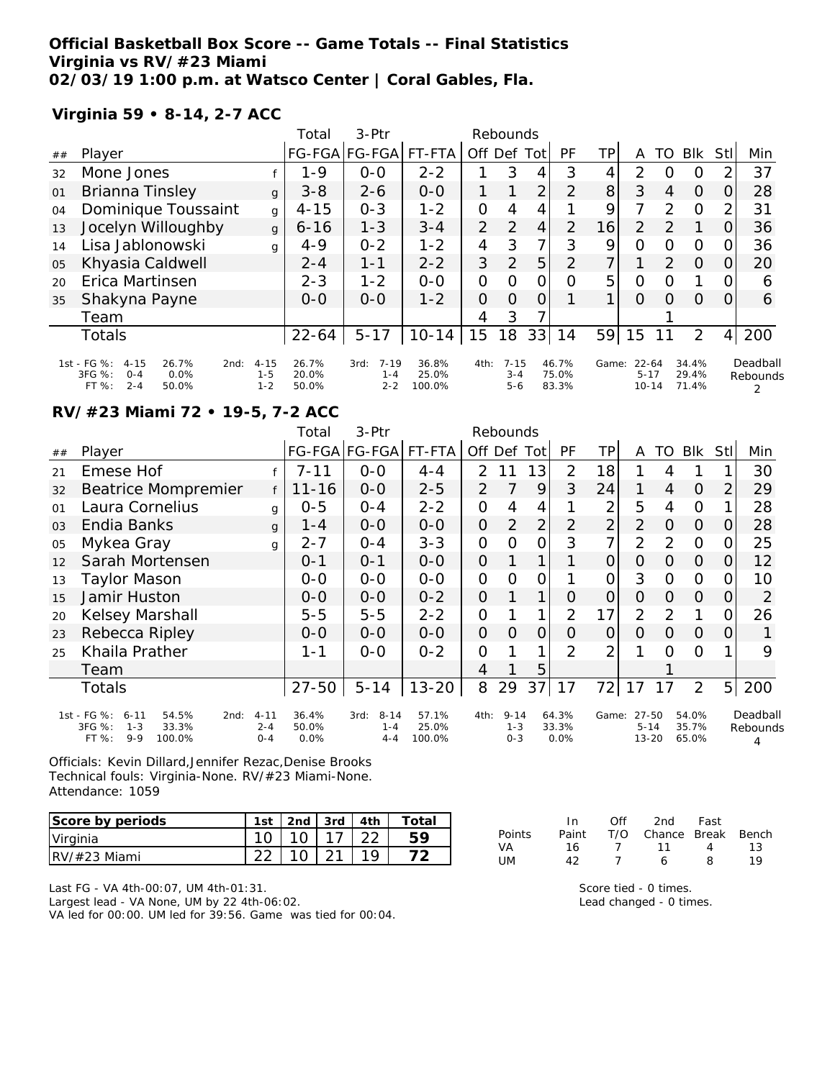### **Official Basketball Box Score -- Game Totals -- Final Statistics Virginia vs RV/#23 Miami 02/03/19 1:00 p.m. at Watsco Center | Coral Gables, Fla.**

#### **Virginia 59 • 8-14, 2-7 ACC**

|    |                                                                                                  |                                | Total                   | $3-$ Ptr                               |                          |                | Rebounds                       |                |                         |                |                                    |               |                         |                |                      |
|----|--------------------------------------------------------------------------------------------------|--------------------------------|-------------------------|----------------------------------------|--------------------------|----------------|--------------------------------|----------------|-------------------------|----------------|------------------------------------|---------------|-------------------------|----------------|----------------------|
| ## | Player                                                                                           |                                |                         | FG-FGA FG-FGA                          | FT-FTA                   | Off Def Tot    |                                |                | PF                      | TPI            | Α                                  | TO            | <b>BIK</b>              | <b>Stl</b>     | Min                  |
| 32 | Mone Jones                                                                                       |                                | $1 - 9$                 | $0 - 0$                                | $2 - 2$                  |                | 3                              | 4              | 3                       | 4              | $\mathcal{P}$                      | Ω             | O                       | 2              | 37                   |
| 01 | <b>Brianna Tinsley</b>                                                                           | $\mathbf{q}$                   | $3 - 8$                 | $2 - 6$                                | $0 - 0$                  |                |                                | 2              | 2                       | 8              | 3                                  | 4             | 0                       | 0              | 28                   |
| 04 | Dominique Toussaint                                                                              | g                              | $4 - 15$                | $0 - 3$                                | $1 - 2$                  | $\overline{O}$ | 4                              | 4              |                         | 9              | 7                                  | $\mathcal{P}$ | $\Omega$                | 2              | 31                   |
| 13 | Jocelyn Willoughby                                                                               | g                              | $6 - 16$                | $1 - 3$                                | $3 - 4$                  | 2              | $\overline{2}$                 | 4              | 2                       | 16             | $\mathcal{P}$                      | 2             |                         | O              | 36                   |
| 14 | Lisa Jablonowski                                                                                 | g                              | $4 - 9$                 | $0 - 2$                                | $1 - 2$                  | 4              | 3                              | 7              | 3                       | 9              | 0                                  | $\Omega$      | O                       | 0              | 36                   |
| 05 | Khyasia Caldwell                                                                                 |                                | $2 - 4$                 | $1 - 1$                                | $2 - 2$                  | 3              | $\overline{2}$                 | 5              | $\overline{2}$          | $\overline{7}$ |                                    | 2             | $\Omega$                | 0              | 20                   |
| 20 | Erica Martinsen                                                                                  |                                | $2 - 3$                 | $1 - 2$                                | $0 - 0$                  | $\Omega$       | $\Omega$                       | 0              | O                       | 5              | 0                                  | Ω             |                         | 0              | 6                    |
| 35 | Shakyna Payne                                                                                    |                                | $0 - 0$                 | $0 - 0$                                | $1 - 2$                  | $\overline{O}$ | $\Omega$                       | $\overline{O}$ |                         | $\mathbf{1}$   | $\Omega$                           | $\Omega$      | $\Omega$                | 0              | 6                    |
|    | Team                                                                                             |                                |                         |                                        |                          | 4              | 3                              | 7              |                         |                |                                    |               |                         |                |                      |
|    | <b>Totals</b>                                                                                    |                                | $22 - 64$               | $5 - 17$                               | $10 - 14$                | 15             | $\overline{8}$                 | 33             | 14                      | 59             | 15                                 |               | 2                       | $\overline{4}$ | 200                  |
|    | 1st - FG %:<br>26.7%<br>$4 - 15$<br>2nd:<br>3FG %:<br>0.0%<br>$O - 4$<br>$2 - 4$<br>FT%<br>50.0% | $4 - 15$<br>$1 - 5$<br>$1 - 2$ | 26.7%<br>20.0%<br>50.0% | $7 - 19$<br>3rd:<br>$1 - 4$<br>$2 - 2$ | 36.8%<br>25.0%<br>100.0% | 4th:           | $7 - 15$<br>$3 - 4$<br>$5 - 6$ |                | 46.7%<br>75.0%<br>83.3% | Game:          | $22 - 64$<br>$5 - 17$<br>$10 - 14$ |               | 34.4%<br>29.4%<br>71.4% |                | Deadball<br>Rebounds |

## **RV/#23 Miami 72 • 19-5, 7-2 ACC**

|                |                                                                                                    |                                | Total                  | 3-Ptr                                  |                          |                | Rebounds                       |                |                        |                |                                |          |                         |                |                      |
|----------------|----------------------------------------------------------------------------------------------------|--------------------------------|------------------------|----------------------------------------|--------------------------|----------------|--------------------------------|----------------|------------------------|----------------|--------------------------------|----------|-------------------------|----------------|----------------------|
| ##             | Player                                                                                             |                                |                        | FG-FGA FG-FGA                          | FT-FTA                   |                | Off Def                        | Tot            | PF                     | TР             | A                              | TO       | <b>BIK</b>              | Stl            | Min                  |
| 21             | Emese Hof                                                                                          |                                | $7 - 11$               | $0 - 0$                                | $4 - 4$                  | $\overline{2}$ | 11                             | 13             | $\overline{2}$         | 18             |                                | 4        |                         |                | 30                   |
| 32             | <b>Beatrice Mompremier</b>                                                                         |                                | $11 - 16$              | $0 - 0$                                | $2 - 5$                  | $\overline{2}$ | 7                              | 9              | 3                      | 24             | 1                              | 4        | $\Omega$                | 2              | 29                   |
| 01             | Laura Cornelius                                                                                    | g                              | $0 - 5$                | $0 - 4$                                | $2 - 2$                  | 0              | 4                              | 4              |                        | $\overline{2}$ | 5                              | 4        | $\overline{O}$          |                | 28                   |
| O <sub>3</sub> | Endia Banks                                                                                        | g                              | 1 - 4                  | $0 - 0$                                | $0 - 0$                  | $\overline{O}$ | $\overline{2}$                 | $\overline{2}$ | $\overline{2}$         | $\overline{2}$ | $\overline{2}$                 | $\Omega$ | $\Omega$                | 0              | 28                   |
| 05             | Mykea Gray                                                                                         | g                              | $2 - 7$                | $0 - 4$                                | $3 - 3$                  | $\mathbf{O}$   | O                              | $\Omega$       | 3                      | 7              | $\overline{2}$                 | 2        | $\Omega$                | O              | 25                   |
| 12             | Sarah Mortensen                                                                                    |                                | $0 - 1$                | $0 - 1$                                | $0-0$                    | $\overline{O}$ |                                |                |                        | 0              | 0                              | 0        | $\overline{O}$          | 0              | 12                   |
| 13             | Taylor Mason                                                                                       |                                | $0-0$                  | $0 - 0$                                | $0-0$                    | 0              | 0                              | Ο              |                        | 0              | 3                              | O        | 0                       |                | 10                   |
| 15             | Jamir Huston                                                                                       |                                | $0 - 0$                | $0-0$                                  | $0 - 2$                  | 0              |                                | 1              | 0                      | $\overline{0}$ | $\overline{O}$                 | 0        | $\Omega$                | 0              | 2                    |
| 20             | Kelsey Marshall                                                                                    |                                | $5 - 5$                | $5-5$                                  | $2 - 2$                  | 0              |                                | 1              | $\overline{2}$         | 17             | 2                              | 2        |                         | 0              | 26                   |
| 23             | Rebecca Ripley                                                                                     |                                | $O-O$                  | $0 - 0$                                | $0 - 0$                  | $\Omega$       | $\Omega$                       | $\Omega$       | Ο                      | 0              | $\Omega$                       | $\Omega$ | $\overline{O}$          | 0              |                      |
| 25             | Khaila Prather                                                                                     |                                | 1-1                    | $0 - 0$                                | $0 - 2$                  | 0              |                                | 1              | $\mathcal{P}$          | $\overline{2}$ |                                | $\Omega$ | $\Omega$                |                | 9                    |
|                | Team                                                                                               |                                |                        |                                        |                          | 4              |                                | 5              |                        |                |                                |          |                         |                |                      |
|                | <b>Totals</b>                                                                                      |                                | $27 - 50$              | $5 - 14$                               | $13 - 20$                | 8              | 29                             | 37             | 17                     | 72             | 17                             | 17       | 2                       | 5 <sup>1</sup> | 200                  |
|                | 1st - FG %:<br>54.5%<br>$6 - 11$<br>2nd:<br>3FG %:<br>$1 - 3$<br>33.3%<br>FT%<br>$9 - 9$<br>100.0% | $4 - 11$<br>$2 - 4$<br>$O - 4$ | 36.4%<br>50.0%<br>0.0% | $8 - 14$<br>3rd:<br>$1 - 4$<br>$4 - 4$ | 57.1%<br>25.0%<br>100.0% | 4th:           | $9 - 14$<br>$1 - 3$<br>$0 - 3$ |                | 64.3%<br>33.3%<br>0.0% | Game:          | 27-50<br>$5 - 14$<br>$13 - 20$ |          | 54.0%<br>35.7%<br>65.0% |                | Deadball<br>Rebounds |

Officials: Kevin Dillard,Jennifer Rezac,Denise Brooks Technical fouls: Virginia-None. RV/#23 Miami-None. Attendance: 1059

| Score by periods | 1st | l 2nd | 3rd   4th | Total |
|------------------|-----|-------|-----------|-------|
| Virginia         |     |       |           |       |
| $IRV/\#23$ Miami |     |       |           |       |

|        | In.   | Off | 2nd                    | Fast              |    |
|--------|-------|-----|------------------------|-------------------|----|
| Points | Paint |     | T/O Chance Break Bench |                   |    |
| VA     | 16.   |     | 11                     | $\mathbf{\Delta}$ | 13 |
| UM.    | 42    |     | А                      | 8                 | 10 |

Last FG - VA 4th-00:07, UM 4th-01:31.

Largest lead - VA None, UM by 22 4th-06:02. VA led for 00:00. UM led for 39:56. Game was tied for 00:04. Score tied - 0 times.

Lead changed - 0 times.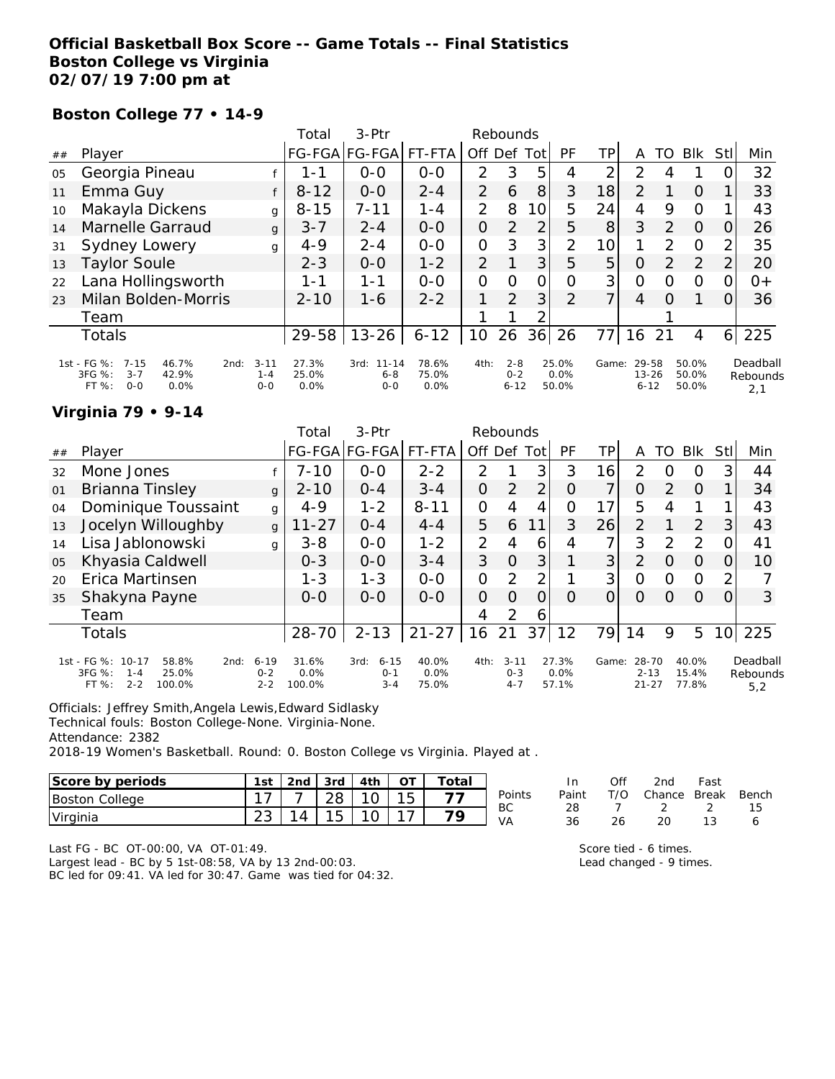### **Official Basketball Box Score -- Game Totals -- Final Statistics Boston College vs Virginia 02/07/19 7:00 pm at**

### **Boston College 77 • 14-9**

|    |                                                                                                  |                                | Total                  | 3-Ptr                                   |                        |                | Rebounds                       |                |                        |                |                                |               |                         |          |                             |
|----|--------------------------------------------------------------------------------------------------|--------------------------------|------------------------|-----------------------------------------|------------------------|----------------|--------------------------------|----------------|------------------------|----------------|--------------------------------|---------------|-------------------------|----------|-----------------------------|
| ## | Player                                                                                           |                                |                        | FG-FGA FG-FGA                           | FT-FTA                 | Off Def        |                                | Totl           | PF                     | TPI            | A                              | TO            | <b>BIK</b>              | Stll     | Min                         |
| 05 | Georgia Pineau                                                                                   |                                | 1 - 1                  | $0 - 0$                                 | $0 - 0$                | $\mathcal{P}$  | 3                              | 5              | 4                      | 2              | $\mathcal{P}$                  | 4             |                         | $\Omega$ | 32                          |
| 11 | Emma Guy                                                                                         |                                | $8 - 12$               | $0-0$                                   | $2 - 4$                | $\overline{2}$ | 6                              | 8              | 3                      | 18             | 2                              |               | 0                       |          | 33                          |
| 10 | Makayla Dickens                                                                                  | g                              | $8 - 15$               | 7-11                                    | $1 - 4$                | 2              | 8                              | 10             | 5                      | 24             | 4                              | 9             | $\circ$                 |          | 43                          |
| 14 | Marnelle Garraud                                                                                 | g                              | $3 - 7$                | $2 - 4$                                 | $0 - 0$                | O              | $\overline{2}$                 | 2              | 5                      | 8              | 3                              | 2             | $\Omega$                | 0        | 26                          |
| 31 | Sydney Lowery                                                                                    | g                              | $4 - 9$                | $2 - 4$                                 | $0 - 0$                | 0              | 3                              | 3              | $\overline{2}$         | 10             | 1                              | $\mathcal{P}$ | $\circ$                 | 2        | 35                          |
| 13 | <b>Taylor Soule</b>                                                                              |                                | $2 - 3$                | $0 - 0$                                 | $1 - 2$                | 2              |                                | 3              | 5                      | 5              | $\Omega$                       | 2             | $\overline{2}$          | 2        | 20                          |
| 22 | Lana Hollingsworth                                                                               |                                | 1-1                    | 1-1                                     | $0 - 0$                | $\Omega$       | O                              | $\overline{O}$ | O                      | 3              | $\Omega$                       | $\Omega$      | $\circ$                 | 0        | 0+                          |
| 23 | Milan Bolden-Morris                                                                              |                                | $2 - 10$               | $1 - 6$                                 | $2 - 2$                |                | $\overline{2}$                 | 3              | 2                      | $\overline{7}$ | $\overline{4}$                 | O             |                         | 0        | 36                          |
|    | Team                                                                                             |                                |                        |                                         |                        |                |                                | ⌒              |                        |                |                                |               |                         |          |                             |
|    | Totals                                                                                           |                                | $29 - 58$              | $13 - 26$                               | $6 - 12$               | 10             | 26                             | 36             | 26                     | 77             | 16                             | 21            | 4                       | 61       | 225                         |
|    | 1st - FG %:<br>$7 - 15$<br>46.7%<br>2nd:<br>3FG %:<br>$3 - 7$<br>42.9%<br>$0 - 0$<br>0.0%<br>FT% | $3 - 11$<br>$1 - 4$<br>$0 - 0$ | 27.3%<br>25.0%<br>0.0% | $11 - 14$<br>3rd:<br>$6 - 8$<br>$0 - 0$ | 78.6%<br>75.0%<br>0.0% | 4th:           | $2 - 8$<br>$0 - 2$<br>$6 - 12$ |                | 25.0%<br>0.0%<br>50.0% | Game:          | 29-58<br>$13 - 26$<br>$6 - 12$ |               | 50.0%<br>50.0%<br>50.0% |          | Deadball<br>Rebounds<br>2,1 |

#### **Virginia 79 • 9-14**

|    |                                                                                                |                                | Total                   | $3-Ptr$                                |                           |                | Rebounds                       |                |                        |       |                                |          |                         |     |                             |
|----|------------------------------------------------------------------------------------------------|--------------------------------|-------------------------|----------------------------------------|---------------------------|----------------|--------------------------------|----------------|------------------------|-------|--------------------------------|----------|-------------------------|-----|-----------------------------|
| ## | Player                                                                                         |                                |                         | FG-FGA FG-FGA                          | FT-FTA                    | Off            | Def                            | Totl           | PF                     | TР    | Α                              | TO       | <b>BIK</b>              | Stl | Min                         |
| 32 | Mone Jones                                                                                     |                                | $7 - 10$                | $0 - 0$                                | $2 - 2$                   | $\mathcal{P}$  |                                | 3              | 3                      | 16    | 2                              | $\Omega$ | 0                       | 3   | 44                          |
| 01 | Brianna Tinsley                                                                                | $\mathbf{q}$                   | $2 - 10$                | $0 - 4$                                | $3 - 4$                   | 0              | 2                              | $\overline{2}$ | O                      | ᄀ     | Ο                              | 2        | $\Omega$                |     | 34                          |
| 04 | Dominique Toussaint                                                                            | g                              | $4 - 9$                 | $1 - 2$                                | $8 - 11$                  | O              | 4                              | 4              | Ω                      | 17    | 5                              | 4        | 1                       |     | 43                          |
| 13 | Jocelyn Willoughby                                                                             | $\mathsf{q}$                   | $11 - 27$               | $0 - 4$                                | $4 - 4$                   | 5              | 6                              | 11             | 3                      | 26    | $\overline{2}$                 |          | 2                       | 3   | 43                          |
| 14 | Lisa Jablonowski                                                                               | q                              | $3 - 8$                 | $0 - 0$                                | $1 - 2$                   | $\overline{2}$ | 4                              | 6              | 4                      | ᄀ     | 3                              | 2        | 2                       |     | 41                          |
| 05 | Khyasia Caldwell                                                                               |                                | $0 - 3$                 | $0 - 0$                                | $3 - 4$                   | 3              | $\Omega$                       | 3              |                        | 3     | $\overline{2}$                 | O        | $\Omega$                | O   | 10                          |
| 20 | Erica Martinsen                                                                                |                                | $1 - 3$                 | $1 - 3$                                | $0-0$                     | 0              | 2                              | $\overline{2}$ |                        | 3     | O                              | $\Omega$ | $\Omega$                | 2   |                             |
| 35 | Shakyna Payne                                                                                  |                                | $O-O$                   | $0 - 0$                                | $O-O$                     | $\Omega$       | $\Omega$                       | O              | O                      |       | O                              | $\Omega$ | $\Omega$                | 0   | 3                           |
|    | Team                                                                                           |                                |                         |                                        |                           | 4              | 2                              | 6              |                        |       |                                |          |                         |     |                             |
|    | <b>Totals</b>                                                                                  |                                | $28 - 70$               | $2 - 13$                               | $21 - 27$                 | 16             | 21                             | 37             | 12                     | 79    | 14                             | 9        | 5                       | 10  | 225                         |
|    | 1st - FG %: 10-17<br>58.8%<br>2nd:<br>3FG %:<br>25.0%<br>$1 - 4$<br>$2 - 2$<br>FT %:<br>100.0% | $6 - 19$<br>$0 - 2$<br>$2 - 2$ | 31.6%<br>0.0%<br>100.0% | $6 - 15$<br>3rd:<br>$0 - 1$<br>$3 - 4$ | 40.0%<br>$0.0\%$<br>75.0% | 4th:           | $3 - 11$<br>$0 - 3$<br>$4 - 7$ |                | 27.3%<br>0.0%<br>57.1% | Game: | 28-70<br>$2 - 13$<br>$21 - 27$ |          | 40.0%<br>15.4%<br>77.8% |     | Deadball<br>Rebounds<br>5,2 |

Officials: Jeffrey Smith,Angela Lewis,Edward Sidlasky

Technical fouls: Boston College-None. Virginia-None.

Attendance: 2382

2018-19 Women's Basketball. Round: 0. Boston College vs Virginia. Played at .

| Score by periods | 1st | 3rd |        | Total |        |
|------------------|-----|-----|--------|-------|--------|
| Boston College   |     |     | $\sim$ |       | Point: |
| Virginia         |     |     |        | 70    | ВC     |

Last FG - BC OT-00:00, VA OT-01:49.

Largest lead - BC by 5 1st-08:58, VA by 13 2nd-00:03. BC led for 09:41. VA led for 30:47. Game was tied for 04:32.

|        | In In |     | Off 2nd Fast                 |     |    |
|--------|-------|-----|------------------------------|-----|----|
| Points |       |     | Paint T/O Chance Break Bench |     |    |
| ВC     | 28.   |     | $7 \quad 2 \quad 2$          |     | 15 |
| VA     | 36.   | 26. | 20.                          | -13 | 6  |
|        |       |     |                              |     |    |

Score tied - 6 times. Lead changed - 9 times.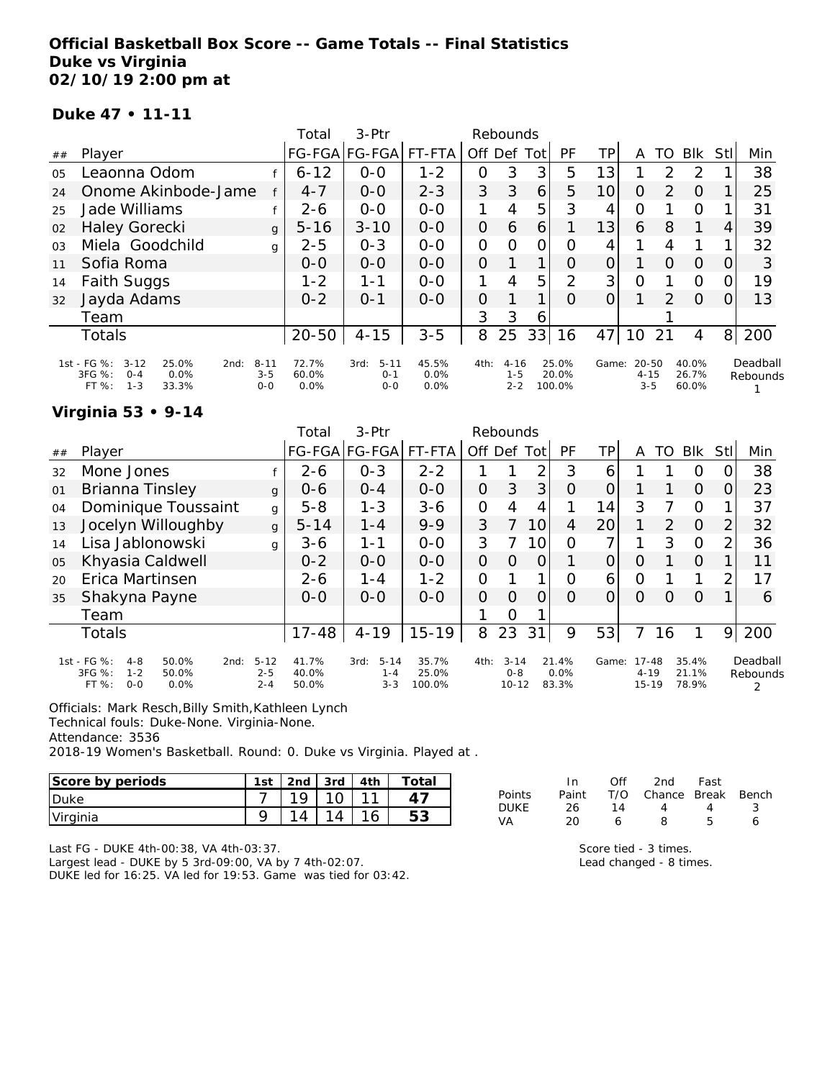### **Official Basketball Box Score -- Game Totals -- Final Statistics Duke vs Virginia 02/10/19 2:00 pm at**

#### **Duke 47 • 11-11**

|                |                                                                                           |                                | Total                  | 3-Ptr                                  |                       |               | Rebounds                       |      |                          |       |                                  |               |                         |                |                      |
|----------------|-------------------------------------------------------------------------------------------|--------------------------------|------------------------|----------------------------------------|-----------------------|---------------|--------------------------------|------|--------------------------|-------|----------------------------------|---------------|-------------------------|----------------|----------------------|
| ##             | Player                                                                                    |                                |                        | FG-FGA FG-FGA                          | FT-FTA                | Off Def       |                                | Totl | PF                       | ΤP    | A                                | TO            | <b>BIK</b>              | Stll           | Min                  |
| 0 <sub>5</sub> | Leaonna Odom                                                                              |                                | $6 - 12$               | $0 - 0$                                | $1 - 2$               | 0             | 3                              | 3    | 5                        | 13    |                                  | $\mathcal{P}$ | $\mathcal{P}$           |                | 38                   |
| 24             | Onome Akinbode-Jame                                                                       |                                | $4 - 7$                | $0 - 0$                                | $2 - 3$               | 3             | 3                              | 6    | 5                        | 10    | 0                                | 2             | 0                       |                | 25                   |
| 25             | Jade Williams                                                                             |                                | $2 - 6$                | $0 - 0$                                | $0 - 0$               | 1             | 4                              | 5    | 3                        | 4     | 0                                |               | 0                       |                | 31                   |
| 02             | <b>Haley Gorecki</b>                                                                      | $\mathbf{q}$                   | $5 - 16$               | $3 - 10$                               | $0 - 0$               | $\mathcal{O}$ | 6                              | 6    |                          | 13    | 6                                | 8             | 1                       | 4              | 39                   |
| 0 <sub>3</sub> | Miela Goodchild                                                                           | g                              | $2 - 5$                | $0 - 3$                                | $0 - 0$               | O             | $\Omega$                       | 0    | Ω                        | 4     |                                  | 4             |                         |                | 32                   |
| 11             | Sofia Roma                                                                                |                                | $0 - 0$                | $0 - 0$                                | $0 - 0$               | $\Omega$      |                                |      | 0                        | 0     |                                  | $\Omega$      | $\Omega$                | O              | 3                    |
| 14             | Faith Suggs                                                                               |                                | $1 - 2$                | 1-1                                    | $0-0$                 | 1             | 4                              | 5    | 2                        | 3     | 0                                |               | $\Omega$                |                | 19                   |
| 32             | Jayda Adams                                                                               |                                | $0 - 2$                | $O - 1$                                | $0 - 0$               | $\Omega$      |                                |      | $\Omega$                 | 0     |                                  | $\mathcal{P}$ | $\Omega$                | O              | 13                   |
|                | Team                                                                                      |                                |                        |                                        |                       | 3             | 3                              | 6    |                          |       |                                  |               |                         |                |                      |
|                | <b>Totals</b>                                                                             |                                | $20 - 50$              | $4 - 15$                               | $3 - 5$               | 8             | 25                             | 33   | 16                       | 47    | 10                               | 21            | 4                       | 8 <sup>1</sup> | 200                  |
|                | 1st - FG %: 3-12<br>25.0%<br>2nd:<br>3FG %:<br>0.0%<br>$O - 4$<br>$1 - 3$<br>FT%<br>33.3% | $8 - 11$<br>$3 - 5$<br>$0 - 0$ | 72.7%<br>60.0%<br>0.0% | $5 - 11$<br>3rd:<br>$0 - 1$<br>$O - O$ | 45.5%<br>0.0%<br>0.0% | 4th:          | $4 - 16$<br>$1 - 5$<br>$2 - 2$ |      | 25.0%<br>20.0%<br>100.0% | Game: | $20 - 50$<br>$4 - 15$<br>$3 - 5$ |               | 40.0%<br>26.7%<br>60.0% |                | Deadball<br>Rebounds |

#### **Virginia 53 • 9-14**

|    |                                                                                                   |                                | Total                   | 3-Ptr                                  |                          |          | Rebounds                         |      |                        |       |                                    |          |                         |                |                      |
|----|---------------------------------------------------------------------------------------------------|--------------------------------|-------------------------|----------------------------------------|--------------------------|----------|----------------------------------|------|------------------------|-------|------------------------------------|----------|-------------------------|----------------|----------------------|
| ## | Player                                                                                            |                                |                         | FG-FGA FG-FGA                          | FT-FTA                   | Off      | Def                              | Totl | PF                     | ΤP    | Α                                  | TO       | <b>BIK</b>              | Stl            | Min                  |
| 32 | Mone Jones                                                                                        |                                | $2 - 6$                 | $0 - 3$                                | $2 - 2$                  |          |                                  | ⌒    | 3                      | 6     |                                    |          | 0                       |                | 38                   |
| 01 | Brianna Tinsley                                                                                   | $\mathbf{q}$                   | $0 - 6$                 | $0 - 4$                                | $0 - 0$                  | 0        | 3                                | 3    | $\Omega$               |       |                                    |          | $\Omega$                | 0              | 23                   |
| 04 | Dominique Toussaint                                                                               | g                              | $5 - 8$                 | $1 - 3$                                | $3-6$                    | O        | 4                                | 4    |                        | 14    | 3                                  |          | $\Omega$                |                | 37                   |
| 13 | Jocelyn Willoughby                                                                                | $\mathsf{g}$                   | $5 - 14$                | $1 - 4$                                | $9 - 9$                  | 3        | 7                                | 10   | 4                      | 20    |                                    | 2        | $\Omega$                | $\overline{2}$ | 32                   |
| 14 | Lisa Jablonowski                                                                                  | g                              | $3 - 6$                 | 1-1                                    | $0 - 0$                  | 3        |                                  | 10   | $\Omega$               | ᄀ     |                                    | 3        | $\Omega$                | 2              | 36                   |
| 05 | Khyasia Caldwell                                                                                  |                                | $0 - 2$                 | $0 - 0$                                | $0 - 0$                  | O        | 0                                | 0    |                        |       | 0                                  |          | $\Omega$                |                | 11                   |
| 20 | Erica Martinsen                                                                                   |                                | $2 - 6$                 | $1 - 4$                                | $1 - 2$                  | O        |                                  | ◀    | Ω                      | 6     | O                                  |          | 1                       | ⌒              | 17                   |
| 35 | Shakyna Payne                                                                                     |                                | $0 - 0$                 | $0 - 0$                                | $O-O$                    | $\Omega$ | $\Omega$                         | 0    | O                      |       | O                                  | $\Omega$ | $\Omega$                |                | 6                    |
|    | Team                                                                                              |                                |                         |                                        |                          |          | Ω                                |      |                        |       |                                    |          |                         |                |                      |
|    | <b>Totals</b>                                                                                     |                                | $17 - 48$               | $4 - 19$                               | $15 - 19$                | 8        | 23                               | 31   | 9                      | 53    | 7                                  | 16       |                         | 9              | 200                  |
|    | 1st - FG %:<br>50.0%<br>$4 - 8$<br>2nd:<br>3FG %:<br>$1 - 2$<br>50.0%<br>$0 - 0$<br>FT %:<br>0.0% | $5 - 12$<br>$2 - 5$<br>$2 - 4$ | 41.7%<br>40.0%<br>50.0% | $5 - 14$<br>3rd:<br>$1 - 4$<br>$3 - 3$ | 35.7%<br>25.0%<br>100.0% | 4th:     | $3 - 14$<br>$0 - 8$<br>$10 - 12$ |      | 21.4%<br>0.0%<br>83.3% | Game: | $17 - 48$<br>$4 - 19$<br>$15 - 19$ |          | 35.4%<br>21.1%<br>78.9% |                | Deadball<br>Rebounds |

Officials: Mark Resch,Billy Smith,Kathleen Lynch

Technical fouls: Duke-None. Virginia-None.

Attendance: 3536

2018-19 Women's Basketball. Round: 0. Duke vs Virginia. Played at .

| Score by periods | 1st | 2 <sub>nd</sub> | 3rd | 4th | $\tau$ otai |
|------------------|-----|-----------------|-----|-----|-------------|
| <b>Duke</b>      |     |                 |     |     |             |
| Virginia         |     |                 |     |     | 53          |

Last FG - DUKE 4th-00:38, VA 4th-03:37.

Largest lead - DUKE by 5 3rd-09:00, VA by 7 4th-02:07. DUKE led for 16:25. VA led for 19:53. Game was tied for 03:42.

|        | In    | ∩ff | 2nd                    | Fast |    |
|--------|-------|-----|------------------------|------|----|
| Points | Paint |     | T/O Chance Break Bench |      |    |
| DUKE   | 26    | 14  | Δ.                     | Δ    | -3 |
| VA     | 20    | Ь   | я                      | Б.   | 6  |
|        |       |     |                        |      |    |

Score tied - 3 times. Lead changed - 8 times.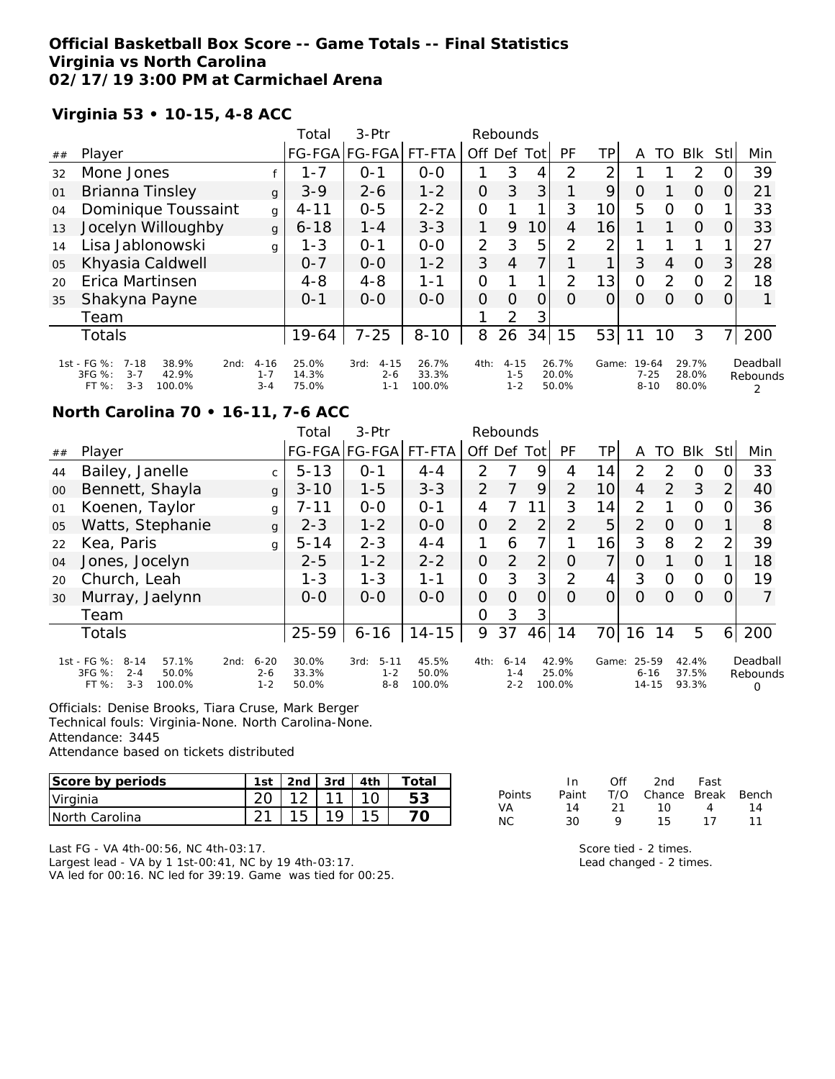### **Official Basketball Box Score -- Game Totals -- Final Statistics Virginia vs North Carolina 02/17/19 3:00 PM at Carmichael Arena**

### **Virginia 53 • 10-15, 4-8 ACC**

|    |                                                                                                    |                                | Total                   | $3-Ptr$                                |                          |                | Rebounds                       |     |                         |       |                               |                |                         |                |                      |
|----|----------------------------------------------------------------------------------------------------|--------------------------------|-------------------------|----------------------------------------|--------------------------|----------------|--------------------------------|-----|-------------------------|-------|-------------------------------|----------------|-------------------------|----------------|----------------------|
| ## | Player                                                                                             |                                | <b>FG-FGA</b>           | FG-FGA                                 | FT-FTA                   | Off Def        |                                | Tot | PF                      | ΤP    | Α                             | TO             | <b>BIK</b>              | Stll           | Min                  |
| 32 | Mone Jones                                                                                         |                                | $1 - 7$                 | $O - 1$                                | $0-0$                    | 1              | 3                              | 4   | 2                       | 2     |                               |                | 2                       |                | 39                   |
| 01 | Brianna Tinsley                                                                                    | g                              | $3 - 9$                 | $2 - 6$                                | $1 - 2$                  | 0              | 3                              | 3   |                         | 9     | 0                             |                | $\Omega$                | 0              | 21                   |
| 04 | Dominique Toussaint                                                                                | g                              | $4 - 11$                | $0 - 5$                                | $2 - 2$                  | 0              |                                | 1   | 3                       | 10    | 5                             | O              | $\Omega$                |                | 33                   |
| 13 | Jocelyn Willoughby                                                                                 | $\mathbf{q}$                   | $6 - 18$                | $1 - 4$                                | $3 - 3$                  | 1              | 9                              | 10  | 4                       | 16    |                               |                | $\Omega$                | 0              | 33                   |
| 14 | Lisa Jablonowski                                                                                   | g                              | $1 - 3$                 | $O - 1$                                | $0-0$                    | $\overline{2}$ | 3                              | 5   | 2                       | 2     |                               |                |                         |                | 27                   |
| 05 | Khyasia Caldwell                                                                                   |                                | $0 - 7$                 | $0-0$                                  | $1 - 2$                  | 3              | 4                              |     |                         |       | 3                             | $\overline{4}$ | $\Omega$                | 3              | 28                   |
| 20 | Erica Martinsen                                                                                    |                                | $4 - 8$                 | $4 - 8$                                | $1 - 1$                  | $\overline{O}$ |                                | 1   | 2                       | 13    | $\overline{O}$                | 2              | $\Omega$                | $\overline{2}$ | 18                   |
| 35 | Shakyna Payne                                                                                      |                                | $0 - 1$                 | $0 - 0$                                | $O-O$                    | 0              | $\Omega$                       | O   | $\Omega$                | 0     | 0                             | Ω              | $\Omega$                | 0              |                      |
|    | Team                                                                                               |                                |                         |                                        |                          |                | $\overline{2}$                 | 3   |                         |       |                               |                |                         |                |                      |
|    | <b>Totals</b>                                                                                      |                                | 19-64                   | $7 - 25$                               | $8 - 10$                 | 8              | 26                             | 34  | 15                      | 53    |                               | 10             | 3                       | 7              | 200                  |
|    | 1st - FG %:<br>7-18<br>38.9%<br>2nd:<br>$3FG \%$ :<br>42.9%<br>$3 - 7$<br>$3 - 3$<br>FT%<br>100.0% | $4 - 16$<br>$1 - 7$<br>$3 - 4$ | 25.0%<br>14.3%<br>75.0% | $4 - 15$<br>3rd:<br>$2 - 6$<br>$1 - 1$ | 26.7%<br>33.3%<br>100.0% | 4th:           | $4 - 15$<br>$1 - 5$<br>$1 - 2$ |     | 26.7%<br>20.0%<br>50.0% | Game: | 19-64<br>$7 - 25$<br>$8 - 10$ |                | 29.7%<br>28.0%<br>80.0% |                | Deadball<br>Rebounds |

# **North Carolina 70 • 16-11, 7-6 ACC**

|    |                                                                                              |                                        | Total                   | $3-Ptr$                                |                          |                | Rebounds                       |                |                          |                |                            |               |                         |          |                           |
|----|----------------------------------------------------------------------------------------------|----------------------------------------|-------------------------|----------------------------------------|--------------------------|----------------|--------------------------------|----------------|--------------------------|----------------|----------------------------|---------------|-------------------------|----------|---------------------------|
| ## | Player                                                                                       |                                        |                         | FG-FGA FG-FGA FT-FTA                   |                          | Off Def        |                                | Totl           | PF                       | ΤP             | A                          | TO            | <b>BIK</b>              | Stl      | Min                       |
| 44 | Bailey, Janelle                                                                              | $\mathsf{C}$                           | $5 - 13$                | $0 - 1$                                | $4 - 4$                  | $\mathcal{P}$  |                                | 9              | 4                        | 14             | $\mathcal{P}$              | $\mathcal{D}$ | $\Omega$                |          | 33                        |
| 00 | Bennett, Shayla                                                                              | $\mathsf{q}$                           | $3 - 10$                | $1 - 5$                                | $3 - 3$                  | $\overline{2}$ |                                | 9              | 2                        | 10             | 4                          | 2             | 3                       | 2        | 40                        |
| 01 | Koenen, Taylor                                                                               | g                                      | 7-11                    | $0 - 0$                                | $O - 1$                  | 4              |                                | 11             | 3                        | 14             | 2                          |               | $\Omega$                |          | 36                        |
| 05 | Watts, Stephanie                                                                             | $\mathbf{q}$                           | $2 - 3$                 | $1 - 2$                                | $O-O$                    | 0              | 2                              | $\overline{2}$ | 2                        | 5              | 2                          | $\Omega$      | $\Omega$                |          | 8                         |
| 22 | Kea, Paris                                                                                   | g                                      | $5 - 14$                | $2 - 3$                                | $4 - 4$                  | 1              | 6                              | 7 <sub>1</sub> |                          | 16             | 3                          | 8             | 2                       | 2        | 39                        |
| 04 | Jones, Jocelyn                                                                               |                                        | $2 - 5$                 | $1 - 2$                                | $2 - 2$                  | 0              | 2                              | 2 <sub>1</sub> | $\Omega$                 | 7 <sub>1</sub> | O                          |               | $\Omega$                |          | 18                        |
| 20 | Church, Leah                                                                                 |                                        | $1 - 3$                 | $1 - 3$                                | 1-1                      | $\overline{O}$ | 3                              | 3 <sub>l</sub> | $\overline{2}$           | $\overline{4}$ | 3                          | $\Omega$      | $\Omega$                |          | 19                        |
| 30 | Murray, Jaelynn                                                                              |                                        | $O-O$                   | $0 - 0$                                | $0 - 0$                  | 0              | $\Omega$                       | $\Omega$       | $\Omega$                 | $\Omega$       | $\Omega$                   | $\Omega$      | $\Omega$                | $\Omega$ | $\overline{7}$            |
|    | Team                                                                                         |                                        |                         |                                        |                          | 0              | 3                              | 3 <sub>l</sub> |                          |                |                            |               |                         |          |                           |
|    | Totals                                                                                       |                                        | $25 - 59$               | $6 - 16$                               | $14 - 15$                | 9              | 37                             | 46             | 14                       | 70l            | 16                         | 14            | 5                       | 6        | 200                       |
|    | 1st - FG %:<br>$8 - 14$<br>57.1%<br>3FG %:<br>$2 - 4$<br>50.0%<br>FT %:<br>$3 - 3$<br>100.0% | $6 - 20$<br>2nd:<br>$2 - 6$<br>$1 - 2$ | 30.0%<br>33.3%<br>50.0% | $5 - 11$<br>3rd:<br>$1 - 2$<br>$8 - 8$ | 45.5%<br>50.0%<br>100.0% | 4th:           | $6 - 14$<br>$1 - 4$<br>$2 - 2$ |                | 42.9%<br>25.0%<br>100.0% | Game:          | 25-59<br>$6 - 16$<br>14-15 |               | 42.4%<br>37.5%<br>93.3% |          | Deadball<br>Rebounds<br>0 |

Officials: Denise Brooks, Tiara Cruse, Mark Berger

Technical fouls: Virginia-None. North Carolina-None.

Attendance: 3445

Attendance based on tickets distributed

| Score by periods | 1st    | 2 <sub>nd</sub> | 3rd    | Totai |
|------------------|--------|-----------------|--------|-------|
| Virginia         |        | 12              | $\sim$ |       |
| INorth Carolina  | $\sim$ | 1 15            |        |       |

Last FG - VA 4th-00:56, NC 4th-03:17.

Largest lead - VA by 1 1st-00:41, NC by 19 4th-03:17. VA led for 00:16. NC led for 39:19. Game was tied for 00:25.

|               | In.   | ∩ff  | 2nd                    | Fast |    |
|---------------|-------|------|------------------------|------|----|
| <b>Points</b> | Paint |      | T/O Chance Break Bench |      |    |
| VA.           | 14    | - 21 | 1ດ                     | 4    | 14 |
| NC.           | 30    | Q    | 15.                    | 17   | 11 |

Score tied - 2 times. Lead changed - 2 times.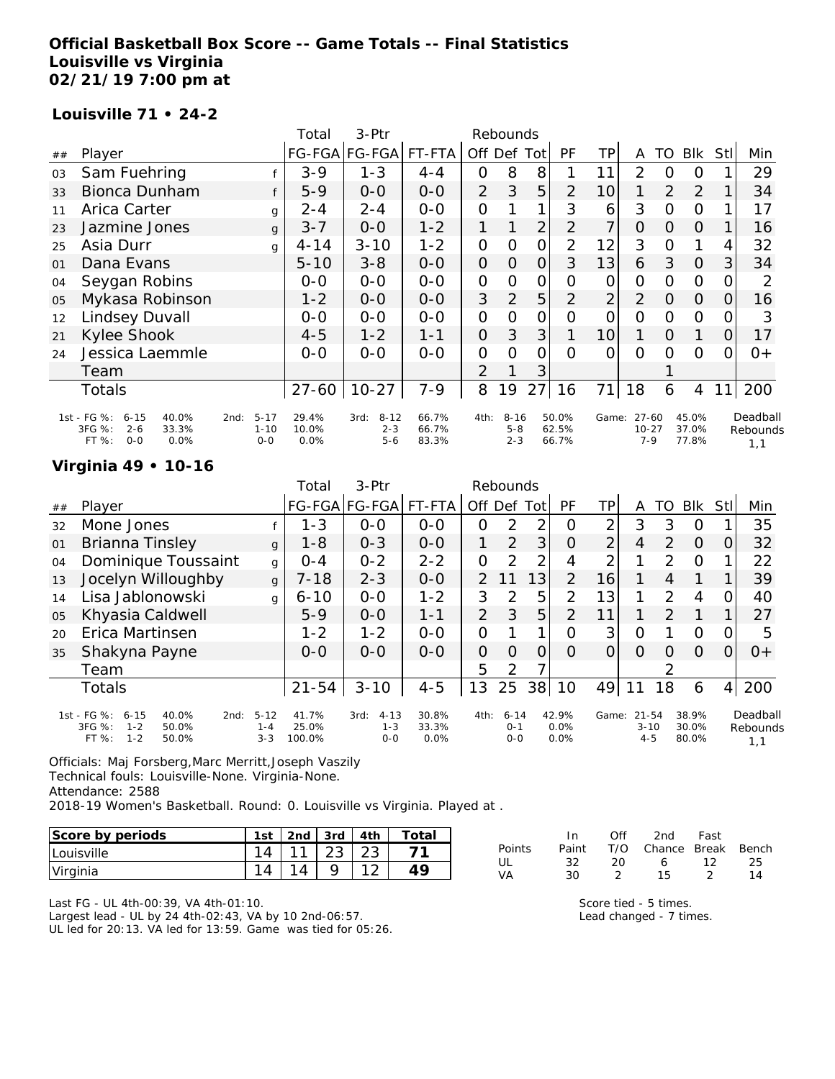### **Official Basketball Box Score -- Game Totals -- Final Statistics Louisville vs Virginia 02/21/19 7:00 pm at**

#### **Louisville 71 • 24-2**

|    |                                                                                          |                                         | Total                  | 3-Ptr                                  |                         |                | Rebounds                       |                |                         |                |                                     |          |                         |          |                             |
|----|------------------------------------------------------------------------------------------|-----------------------------------------|------------------------|----------------------------------------|-------------------------|----------------|--------------------------------|----------------|-------------------------|----------------|-------------------------------------|----------|-------------------------|----------|-----------------------------|
| ## | Player                                                                                   |                                         |                        | FG-FGA FG-FGA FT-FTA                   |                         | Off Def        |                                | Totl           | <b>PF</b>               | ΤP             | A                                   | TO       | <b>Blk</b>              | Stl      | Min                         |
| 03 | Sam Fuehring                                                                             |                                         | $3 - 9$                | $1 - 3$                                | $4 - 4$                 | 0              | 8                              | 8              |                         | 11             | $\overline{2}$                      | O        | O                       |          | 29                          |
| 33 | Bionca Dunham                                                                            | f                                       | $5-9$                  | $0 - 0$                                | $O-O$                   | $\overline{2}$ | 3                              | 5              | 2                       | 10             |                                     | 2        | 2                       |          | 34                          |
| 11 | Arica Carter                                                                             | g                                       | $2 - 4$                | $2 - 4$                                | $O-O$                   | 0              |                                | 1              | 3                       | 6              | 3                                   | $\Omega$ | $\Omega$                |          | 17                          |
| 23 | Jazmine Jones                                                                            | $\mathbf{q}$                            | $3 - 7$                | $0 - 0$                                | $1 - 2$                 |                |                                | $\overline{2}$ | $\overline{2}$          | 7              | $\Omega$                            | $\Omega$ | $\Omega$                |          | 16                          |
| 25 | Asia Durr                                                                                | q                                       | $4 - 14$               | $3 - 10$                               | $1 - 2$                 | 0              | O                              | $\mathcal{O}$  | 2                       | 12             | 3                                   | $\Omega$ |                         | 4        | 32                          |
| 01 | Dana Evans                                                                               |                                         | $5 - 10$               | $3 - 8$                                | $0 - 0$                 | 0              | 0                              | $\Omega$       | 3                       | 13             | 6                                   | 3        | $\overline{0}$          | 3        | 34                          |
| 04 | Seygan Robins                                                                            |                                         | $O-O$                  | $0 - 0$                                | $0 - 0$                 | $\mathcal{O}$  | O                              | $\mathcal{O}$  | Ο                       | O              | $\mathcal{O}$                       | $\Omega$ | $\overline{O}$          | O        | 2                           |
| 05 | Mykasa Robinson                                                                          |                                         | $1 - 2$                | $0 - 0$                                | $O-O$                   | 3              | 2                              | 5              | 2                       | $\overline{2}$ | 2                                   | $\Omega$ | $\overline{0}$          | 0        | 16                          |
| 12 | Lindsey Duvall                                                                           |                                         | $O-O$                  | $O-O$                                  | $0 - 0$                 | 0              | $\Omega$                       | $\overline{O}$ | Ω                       | $\Omega$       | 0                                   | $\Omega$ | $\Omega$                |          | 3                           |
| 21 | Kylee Shook                                                                              |                                         | $4 - 5$                | $1 - 2$                                | $1 - 1$                 | 0              | 3                              | 3              |                         | 10             |                                     | $\Omega$ | 1                       | $\Omega$ | 17                          |
| 24 | Jessica Laemmle                                                                          |                                         | $0 - 0$                | $0 - 0$                                | $0-0$                   | 0              | $\Omega$                       | O              | ∩                       | O              | $\Omega$                            | $\Omega$ | $\Omega$                |          | $0+$                        |
|    | Team                                                                                     |                                         |                        |                                        |                         | $\overline{2}$ |                                | 3              |                         |                |                                     |          |                         |          |                             |
|    | Totals                                                                                   |                                         | $27 - 60$              | $10 - 27$                              | 7-9                     | 8              | 19                             | 27             | 16                      | 71             | 18                                  | 6        | 4                       |          | 200                         |
|    | 1st - FG %:<br>40.0%<br>$6 - 15$<br>3FG %:<br>$2 - 6$<br>33.3%<br>$O - O$<br>FT%<br>0.0% | $5 - 17$<br>2nd:<br>$1 - 10$<br>$0 - 0$ | 29.4%<br>10.0%<br>0.0% | $8 - 12$<br>3rd:<br>$2 - 3$<br>$5 - 6$ | 66.7%<br>66.7%<br>83.3% | 4th:           | $8 - 16$<br>$5 - 8$<br>$2 - 3$ |                | 50.0%<br>62.5%<br>66.7% |                | Game: 27-60<br>$10 - 27$<br>$7 - 9$ |          | 45.0%<br>37.0%<br>77.8% |          | Deadball<br>Rebounds<br>1,1 |

### **Virginia 49 • 10-16**

|    |                                                                                               |                                | Total                    | $3-$ Ptr                               |                        |                | Rebounds                       |     |                       |       |                                  |               |                         |                |                             |
|----|-----------------------------------------------------------------------------------------------|--------------------------------|--------------------------|----------------------------------------|------------------------|----------------|--------------------------------|-----|-----------------------|-------|----------------------------------|---------------|-------------------------|----------------|-----------------------------|
| ## | Player                                                                                        |                                | FG-FGA FG-FGA            |                                        | FT-FTA                 | Off Def        |                                | Tot | PF                    | ΤP    | A                                | TO            | <b>BIK</b>              | Stll           | Min                         |
| 32 | Mone Jones                                                                                    |                                | $1 - 3$                  | $0 - 0$                                | $0 - 0$                | $\Omega$       | 2                              | 2   | O                     | 2     | 3                                | 3             | O                       |                | 35                          |
| 01 | Brianna Tinsley                                                                               | $\mathbf{q}$                   | $1 - 8$                  | $0 - 3$                                | $0 - 0$                | 1              | $\overline{2}$                 | 3   | O                     | 2     | 4                                | 2             | $\Omega$                | 0              | 32                          |
| 04 | Dominique Toussaint                                                                           | g                              | $0 - 4$                  | $0 - 2$                                | $2 - 2$                | $\Omega$       | $\mathcal{P}$                  | 2   | 4                     | 2     |                                  | $\mathcal{D}$ | $\circ$                 |                | 22                          |
| 13 | Jocelyn Willoughby                                                                            | $\mathbf{q}$                   | $7 - 18$                 | $2 - 3$                                | $0 - 0$                | $\mathcal{P}$  | 11                             | 13  | $\overline{2}$        | 16    |                                  | 4             |                         |                | 39                          |
| 14 | Lisa Jablonowski                                                                              | g                              | $6 - 10$                 | $0-0$                                  | $1 - 2$                | 3              | 2                              | 5   | 2                     | 13    |                                  | $\mathcal{P}$ | 4                       | 0              | 40                          |
| 05 | Khyasia Caldwell                                                                              |                                | $5-9$                    | $0 - 0$                                | $1 - 1$                | 2              | 3                              | 5   | 2                     | 11    |                                  | $\mathcal{P}$ |                         |                | 27                          |
| 20 | Erica Martinsen                                                                               |                                | $1 - 2$                  | $1 - 2$                                | $0-0$                  | $\Omega$       |                                | 1   | Ω                     | 3     | O                                |               | $\circ$                 | 0              | 5                           |
| 35 | Shakyna Payne                                                                                 |                                | $0 - 0$                  | $0 - 0$                                | $0-0$                  | $\overline{O}$ | $\Omega$                       | 0   | $\Omega$              | 0     | O                                | Ő             | O                       | 0              | $0+$                        |
|    | Team                                                                                          |                                |                          |                                        |                        | 5              | 2                              | ⇁   |                       |       |                                  | っ             |                         |                |                             |
|    | <b>Totals</b>                                                                                 |                                | $21 - 54$                | $3 - 10$                               | $4 - 5$                | 13             | 25                             | 38  | 10                    | 49    |                                  | 18            | 6                       | $\overline{4}$ | 200                         |
|    | 1st - FG %:<br>6-15<br>40.0%<br>2nd:<br>3FG %:<br>$1 - 2$<br>50.0%<br>$1 - 2$<br>FT%<br>50.0% | $5 - 12$<br>$1 - 4$<br>$3 - 3$ | 41.7%<br>25.0%<br>100.0% | $4 - 13$<br>3rd:<br>$1 - 3$<br>$0 - 0$ | 30.8%<br>33.3%<br>0.0% | 4th:           | $6 - 14$<br>$0 - 1$<br>$0 - 0$ |     | 42.9%<br>0.0%<br>0.0% | Game: | $21 - 54$<br>$3 - 10$<br>$4 - 5$ |               | 38.9%<br>30.0%<br>80.0% |                | Deadball<br>Rebounds<br>1,1 |

Officials: Maj Forsberg,Marc Merritt,Joseph Vaszily Technical fouls: Louisville-None. Virginia-None. Attendance: 2588 2018-19 Women's Basketball. Round: 0. Louisville vs Virginia. Played at .

| Score by periods | 1 <sub>ct</sub> | 2nd | 3rd | ⊤otai |
|------------------|-----------------|-----|-----|-------|
| Louisville       |                 |     |     |       |
| Virginia         |                 |     |     |       |

Last FG - UL 4th-00:39, VA 4th-01:10. Largest lead - UL by 24 4th-02:43, VA by 10 2nd-06:57. UL led for 20:13. VA led for 13:59. Game was tied for 05:26.

|        | In. | Off  | 2nd                          | Fast          |    |
|--------|-----|------|------------------------------|---------------|----|
| Points |     |      | Paint T/O Chance Break Bench |               |    |
| UГ     | 32. | -20. |                              | 6 12          | 25 |
| VA     | 30  |      | 15.                          | $\mathcal{D}$ | 14 |

Score tied - 5 times. Lead changed - 7 times.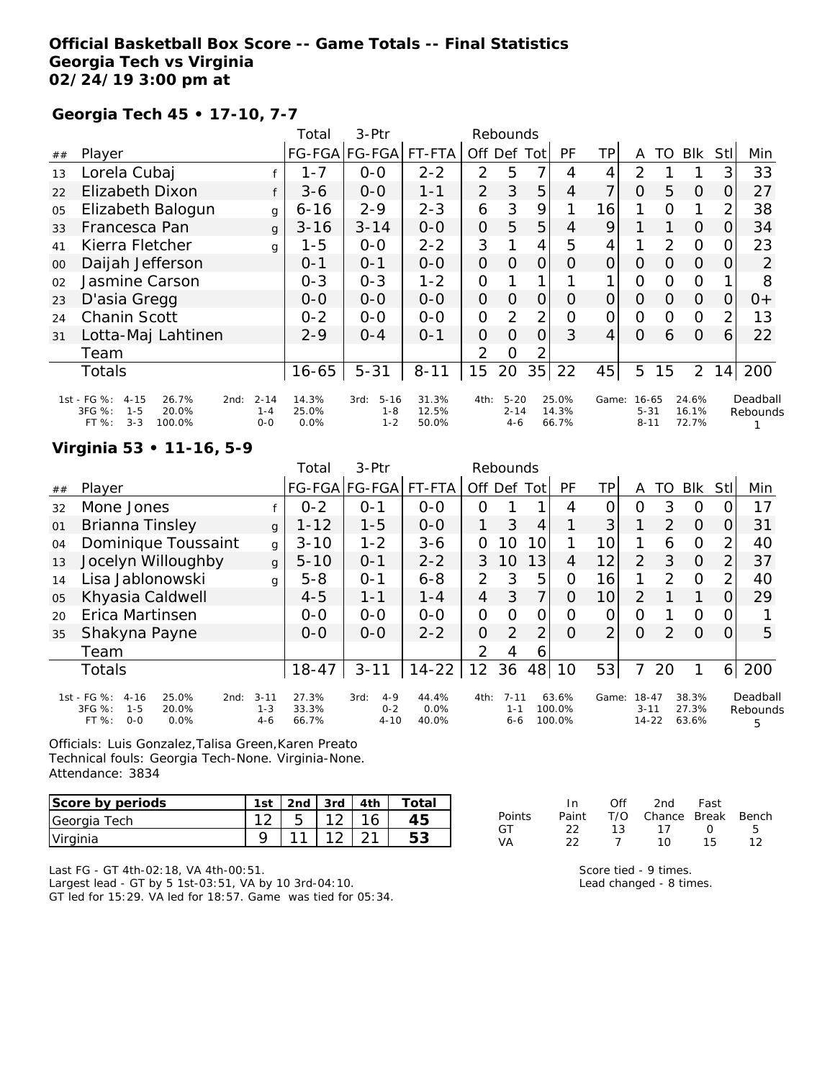### **Official Basketball Box Score -- Game Totals -- Final Statistics Georgia Tech vs Virginia 02/24/19 3:00 pm at**

### **Georgia Tech 45 • 17-10, 7-7**

|    |                                                                                                      |                                | Total                  | 3-Ptr                                  |                         |                | Rebounds                        |                |                         |       |                                   |               |                         |                |                      |
|----|------------------------------------------------------------------------------------------------------|--------------------------------|------------------------|----------------------------------------|-------------------------|----------------|---------------------------------|----------------|-------------------------|-------|-----------------------------------|---------------|-------------------------|----------------|----------------------|
| ## | Player                                                                                               |                                |                        | FG-FGA FG-FGA                          | FT-FTA                  | Off Def        |                                 | Tot            | <b>PF</b>               | TPI   | A                                 | TO            | <b>BIK</b>              | Stll           | Min                  |
| 13 | Lorela Cubaj                                                                                         |                                | 1-7                    | $0 - 0$                                | $2 - 2$                 | $\overline{2}$ | 5                               | 7              | 4                       | 4     | 2                                 |               |                         | 3              | 33                   |
| 22 | <b>Elizabeth Dixon</b>                                                                               |                                | $3 - 6$                | $0-0$                                  | $1 - 1$                 | $\overline{2}$ | 3                               | 5              | 4                       | 7     | $\Omega$                          | 5             | O                       | $\Omega$       | 27                   |
| 05 | Elizabeth Balogun                                                                                    | g                              | $6 - 16$               | $2 - 9$                                | $2 - 3$                 | 6              | 3                               | 9              | 1                       | 16    |                                   | O             |                         | 2              | 38                   |
| 33 | Francesca Pan                                                                                        | $\mathbf{q}$                   | $3 - 16$               | $3 - 14$                               | $O - O$                 | $\Omega$       | 5                               | 5              | $\overline{4}$          | 9     |                                   |               | $\overline{O}$          | $\Omega$       | 34                   |
| 41 | Kierra Fletcher                                                                                      | g                              | $1 - 5$                | $0 - 0$                                | $2 - 2$                 | 3              |                                 | $\overline{4}$ | 5                       | 4     |                                   | $\mathcal{P}$ | $\circ$                 | 0              | 23                   |
| 00 | Daijah Jefferson                                                                                     |                                | $0 - 1$                | $0 - 1$                                | $0 - 0$                 | $\overline{O}$ | $\Omega$                        | 0              | Ο                       | 0     | $\Omega$                          | 0             | 0                       | O              | 2                    |
| 02 | Jasmine Carson                                                                                       |                                | $0 - 3$                | $0 - 3$                                | $1 - 2$                 | $\mathcal{O}$  |                                 |                |                         |       | O                                 | O             | O                       |                | 8                    |
| 23 | D'asia Gregg                                                                                         |                                | $O - O$                | $0 - 0$                                | $0-0$                   | $\overline{O}$ | $\Omega$                        | 0              | O                       | 0     | 0                                 | 0             | $\Omega$                | 0              | $0+$                 |
| 24 | Chanin Scott                                                                                         |                                | $0 - 2$                | $O-O$                                  | $0-0$                   | $\Omega$       | 2                               | $\overline{2}$ | O                       | 0     | O                                 | $\Omega$      | $\circ$                 | $\overline{2}$ | 13                   |
| 31 | Lotta-Maj Lahtinen                                                                                   |                                | $2 - 9$                | $O - 4$                                | $0 - 1$                 | $\Omega$       | $\Omega$                        | $\Omega$       | 3                       | 4     | $\Omega$                          | 6             | $\Omega$                | 6              | 22                   |
|    | Team                                                                                                 |                                |                        |                                        |                         | 2              | O                               |                |                         |       |                                   |               |                         |                |                      |
|    | <b>Totals</b>                                                                                        |                                | $16 - 65$              | $5 - 31$                               | $8 - 11$                | 15             | 20                              | 35             | 22                      | 45    | 5                                 | 15            | $\overline{2}$          | 14             | 200                  |
|    | 1st - FG %:<br>$4 - 15$<br>26.7%<br>2nd:<br>3FG %:<br>$1 - 5$<br>20.0%<br>$3 - 3$<br>100.0%<br>FT %: | $2 - 14$<br>$1 - 4$<br>$0 - 0$ | 14.3%<br>25.0%<br>0.0% | $5 - 16$<br>3rd:<br>$1 - 8$<br>$1 - 2$ | 31.3%<br>12.5%<br>50.0% | 4th:           | $5 - 20$<br>$2 - 14$<br>$4 - 6$ |                | 25.0%<br>14.3%<br>66.7% | Game: | $16 - 65$<br>$5 - 31$<br>$8 - 11$ |               | 24.6%<br>16.1%<br>72.7% |                | Deadball<br>Rebounds |

#### **Virginia 53 • 11-16, 5-9**

|    |                                                                                                      |                                | Total                   | 3-Ptr                                  |                        |                | Rebounds                       |      |                           |                |                                    |               |                         |     |                           |
|----|------------------------------------------------------------------------------------------------------|--------------------------------|-------------------------|----------------------------------------|------------------------|----------------|--------------------------------|------|---------------------------|----------------|------------------------------------|---------------|-------------------------|-----|---------------------------|
| ## | Player                                                                                               |                                |                         | FG-FGA FG-FGA FT-FTA                   |                        | Off Def        |                                | Totl | PF                        | ΤP             | Α                                  | TO            | <b>BIK</b>              | Stl | Min                       |
| 32 | Mone Jones                                                                                           |                                | $0 - 2$                 | $O - 1$                                | $O-O$                  | O              |                                |      | 4                         |                | Ω                                  | 3             | $\circ$                 |     | 17                        |
| 01 | Brianna Tinsley                                                                                      | $\mathbf{q}$                   | $1 - 12$                | $1 - 5$                                | $0 - 0$                |                | 3                              | 4    |                           | 3              |                                    | 2             | $\Omega$                |     | 31                        |
| 04 | Dominique Toussaint                                                                                  | $\mathbf{q}$                   | $3 - 10$                | $1 - 2$                                | $3 - 6$                | 0              | 10                             | 10   |                           | 10             |                                    | 6             | $\overline{O}$          | 2   | 40                        |
| 13 | Jocelyn Willoughby                                                                                   | $\mathbf{q}$                   | $5 - 10$                | $0 - 1$                                | $2 - 2$                | 3              | 10                             | 13   | 4                         | 12             | $\overline{2}$                     | 3             | $\Omega$                | 2   | 37                        |
| 14 | Lisa Jablonowski                                                                                     | $\mathbf{q}$                   | $5 - 8$                 | $O - 1$                                | $6 - 8$                | $\overline{2}$ | 3                              | 5    | 0                         | 16             | 1                                  | $\mathcal{P}$ | $\Omega$                | っ   | 40                        |
| 05 | Khyasia Caldwell                                                                                     |                                | $4 - 5$                 | $1 - 1$                                | $1 - 4$                | $\overline{4}$ | 3                              | 7    | 0                         | 10             | 2                                  |               |                         |     | 29                        |
| 20 | Erica Martinsen                                                                                      |                                | $0 - 0$                 | $0 - 0$                                | $O-O$                  | 0              | $\Omega$                       | ი    | Ω                         |                | Ω                                  |               | $\Omega$                |     |                           |
| 35 | Shakyna Payne                                                                                        |                                | $0 - 0$                 | $0 - 0$                                | $2 - 2$                | 0              | $\overline{2}$                 | 2    | Ω                         | $\overline{2}$ | 0                                  | 2             | $\Omega$                | Ω   | 5                         |
|    | Team                                                                                                 |                                |                         |                                        |                        | 2              | 4                              | 6    |                           |                |                                    |               |                         |     |                           |
|    | <b>Totals</b>                                                                                        |                                | $18 - 47$               | $3 - 11$                               | $14 - 22$              | 12             | 36                             | 48   | 10                        | 53             |                                    | 20            |                         | 6   | 200                       |
|    | 1st - FG %:<br>$4 - 16$<br>25.0%<br>2nd:<br>$1 - 5$<br>$3FG \%$ :<br>20.0%<br>$0 - 0$<br>FT%<br>0.0% | $3 - 11$<br>$1 - 3$<br>$4 - 6$ | 27.3%<br>33.3%<br>66.7% | $4 - 9$<br>3rd:<br>$0 - 2$<br>$4 - 10$ | 44.4%<br>0.0%<br>40.0% | 4th:           | $7 - 11$<br>$1 - 1$<br>$6 - 6$ |      | 63.6%<br>100.0%<br>100.0% | Game:          | $18 - 47$<br>$3 - 11$<br>$14 - 22$ |               | 38.3%<br>27.3%<br>63.6% |     | Deadball<br>Rebounds<br>5 |

Officials: Luis Gonzalez,Talisa Green,Karen Preato Technical fouls: Georgia Tech-None. Virginia-None. Attendance: 3834

| Score by periods | 1st |      | 2nd $\sqrt{3}$ rd $\sqrt{4}$ th $\sqrt{2}$ | Total |
|------------------|-----|------|--------------------------------------------|-------|
| Georgia Tech     |     | 12.5 |                                            |       |
| Virginia         |     |      |                                            |       |

In Off 2nd Fast Points Paint T/O Chance Break Bench GT 22 13 17 0 5 VA 22 7 10 15 12

Last FG - GT 4th-02:18, VA 4th-00:51.

Largest lead - GT by 5 1st-03:51, VA by 10 3rd-04:10. GT led for 15:29. VA led for 18:57. Game was tied for 05:34. Score tied - 9 times.

Lead changed - 8 times.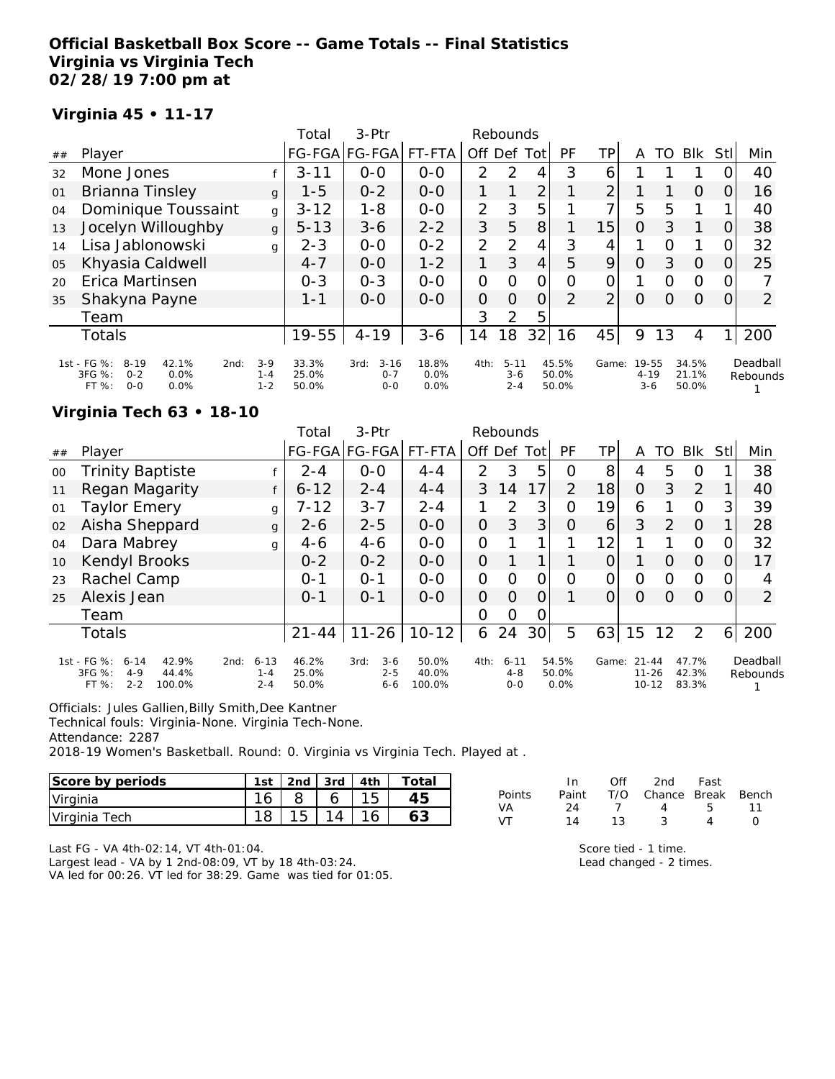### **Official Basketball Box Score -- Game Totals -- Final Statistics Virginia vs Virginia Tech 02/28/19 7:00 pm at**

### **Virginia 45 • 11-17**

|    |                                                                                                 |                             | Total                   | 3-Ptr                                  |                       |                | Rebounds                       |                |                         |                |                              |          |                         |            |                      |
|----|-------------------------------------------------------------------------------------------------|-----------------------------|-------------------------|----------------------------------------|-----------------------|----------------|--------------------------------|----------------|-------------------------|----------------|------------------------------|----------|-------------------------|------------|----------------------|
| ## | Player                                                                                          |                             | <b>FG-FGA</b>           | FG-FGA                                 | FT-FTA                | Off Def        |                                | Tot            | PF                      | ΤP             | Α                            | TO       | <b>BIK</b>              | <b>StI</b> | Min                  |
| 32 | Mone Jones                                                                                      |                             | $3 - 11$                | $O-O$                                  | $0-0$                 | $\mathcal{P}$  | $\mathcal{P}$                  | 4              | 3                       | 6              |                              |          |                         |            | 40                   |
| 01 | Brianna Tinsley                                                                                 | $\mathbf{q}$                | $1 - 5$                 | $0 - 2$                                | $0 - 0$               | 1              |                                | $\overline{2}$ |                         | $\overline{2}$ |                              |          | $\Omega$                | 0          | 16                   |
| 04 | Dominique Toussaint                                                                             | g                           | $3 - 12$                | $1 - 8$                                | $0-0$                 | $\overline{2}$ | 3                              | 5              |                         | ᄀ              | 5                            | 5        |                         |            | 40                   |
| 13 | Jocelyn Willoughby                                                                              | $\mathbf{q}$                | $5 - 13$                | $3 - 6$                                | $2 - 2$               | 3              | 5                              | 8              |                         | 15             | $\Omega$                     | 3        | 1                       | O          | 38                   |
| 14 | Lisa Jablonowski                                                                                | g                           | $2 - 3$                 | $0 - 0$                                | $0 - 2$               | 2              | 2                              | 4              | 3                       | 4              |                              | $\Omega$ |                         | 0          | 32                   |
| 05 | Khyasia Caldwell                                                                                |                             | $4 - 7$                 | $0 - 0$                                | $1 - 2$               | 1              | 3                              | 4              | 5                       | 9              | $\overline{O}$               | 3        | $\Omega$                | 0          | 25                   |
| 20 | Erica Martinsen                                                                                 |                             | $0 - 3$                 | $0 - 3$                                | $O - O$               | 0              | $\Omega$                       | $\overline{O}$ | O                       | 0              |                              | $\Omega$ | $\Omega$                | $\Omega$   |                      |
| 35 | Shakyna Payne                                                                                   |                             | $1 - 1$                 | $0 - 0$                                | $0 - 0$               | $\overline{O}$ | $\Omega$                       | $\overline{O}$ | 2                       | $\overline{2}$ | $\Omega$                     | $\Omega$ | $\Omega$                | 0          | $\overline{2}$       |
|    | Team                                                                                            |                             |                         |                                        |                       | 3              | 2                              | 5              |                         |                |                              |          |                         |            |                      |
|    | <b>Totals</b>                                                                                   |                             | 19-55                   | $4 - 19$                               | $3 - 6$               | 14             | 18                             | 32             | 16                      | 45             | 9                            | 13       | 4                       | 1          | 200                  |
|    | 1st - FG %:<br>$8 - 19$<br>42.1%<br>2nd:<br>3FG %:<br>0.0%<br>$0 - 2$<br>FT%<br>$0 - 0$<br>0.0% | $3-9$<br>$1 - 4$<br>$1 - 2$ | 33.3%<br>25.0%<br>50.0% | $3 - 16$<br>3rd:<br>$0 - 7$<br>$0 - 0$ | 18.8%<br>0.0%<br>0.0% | 4th:           | $5 - 11$<br>$3 - 6$<br>$2 - 4$ |                | 45.5%<br>50.0%<br>50.0% | Game:          | 19-55<br>$4 - 19$<br>$3 - 6$ |          | 34.5%<br>21.1%<br>50.0% |            | Deadball<br>Rebounds |

#### **Virginia Tech 63 • 18-10**

|        |                                                                                              |                                        | Total                   | $3-Ptr$                               |                          |               | Rebounds                   |                 |                        |       |                                     |          |                         |          |                      |
|--------|----------------------------------------------------------------------------------------------|----------------------------------------|-------------------------|---------------------------------------|--------------------------|---------------|----------------------------|-----------------|------------------------|-------|-------------------------------------|----------|-------------------------|----------|----------------------|
| ##     | Player                                                                                       |                                        |                         | FG-FGA FG-FGA                         | FT-FTA                   | Off           | Def Tot                    |                 | PF                     | ТP    | Α                                   | TO       | <b>BIK</b>              | Stl      | Min                  |
| $00\,$ | <b>Trinity Baptiste</b>                                                                      |                                        | $2 - 4$                 | $0 - 0$                               | $4 - 4$                  | $\mathcal{P}$ | 3                          | 5               | O                      | 8     | 4                                   | 5        | $\Omega$                |          | 38                   |
| 11     | Regan Magarity                                                                               | f                                      | $6 - 12$                | $2 - 4$                               | $4 - 4$                  | 3             | 14                         | 17              | 2                      | 18    | $\Omega$                            | 3        | 2                       |          | 40                   |
| 01     | Taylor Emery                                                                                 | g                                      | $7 - 12$                | $3 - 7$                               | $2 - 4$                  |               | $\mathcal{P}$              | 3               | $\Omega$               | 19    | 6                                   |          | $\Omega$                | 3        | 39                   |
| 02     | Aisha Sheppard                                                                               | $\mathbf{q}$                           | $2 - 6$                 | $2 - 5$                               | $0 - 0$                  | 0             | 3                          | 3               | O                      | 6     | 3                                   | 2        | $\Omega$                |          | 28                   |
| 04     | Dara Mabrey                                                                                  | g                                      | $4-6$                   | $4 - 6$                               | $0 - 0$                  | O             |                            | ◀               |                        | 12    | 1                                   |          | $\Omega$                |          | 32                   |
| 10     | Kendyl Brooks                                                                                |                                        | $0 - 2$                 | $0 - 2$                               | $0 - 0$                  | O             |                            |                 |                        |       |                                     | $\Omega$ | $\Omega$                | $\Omega$ | 17                   |
| 23     | Rachel Camp                                                                                  |                                        | $O - 1$                 | $O - 1$                               | $0-0$                    | O             | Ω                          | 0               | Ο                      | O     | O                                   | $\Omega$ | $\Omega$                |          | 4                    |
| 25     | Alexis Jean                                                                                  |                                        | $0 - 1$                 | $O - 1$                               | $O-O$                    | O             | $\Omega$                   | O               |                        |       | O                                   | $\Omega$ | $\Omega$                | 0        | $\overline{2}$       |
|        | Team                                                                                         |                                        |                         |                                       |                          | Ω             | 0                          | 0               |                        |       |                                     |          |                         |          |                      |
|        | <b>Totals</b>                                                                                |                                        | $21 - 44$               | $11 - 26$                             | $10 - 12$                | 6             | 24                         | 30 <sup>1</sup> | 5                      | 63    | 15                                  | 12       | 2                       | 61       | 200                  |
|        | 1st - FG %:<br>$6 - 14$<br>42.9%<br>3FG %:<br>$4 - 9$<br>44.4%<br>$2 - 2$<br>FT %:<br>100.0% | $6 - 13$<br>2nd:<br>$1 - 4$<br>$2 - 4$ | 46.2%<br>25.0%<br>50.0% | $3 - 6$<br>3rd:<br>$2 - 5$<br>$6 - 6$ | 50.0%<br>40.0%<br>100.0% | 4th:          | $6 - 11$<br>4-8<br>$0 - 0$ |                 | 54.5%<br>50.0%<br>0.0% | Game: | $21 - 44$<br>$11 - 26$<br>$10 - 12$ |          | 47.7%<br>42.3%<br>83.3% |          | Deadball<br>Rebounds |

Officials: Jules Gallien,Billy Smith,Dee Kantner

Technical fouls: Virginia-None. Virginia Tech-None.

Attendance: 2287

2018-19 Women's Basketball. Round: 0. Virginia vs Virginia Tech. Played at .

| Score by periods | 1 <sub>ct</sub> | 2 <sub>nd</sub> | 3rd | Ath | Total |
|------------------|-----------------|-----------------|-----|-----|-------|
| Virginia         | $\sim$          |                 |     |     |       |
| Virginia Tech    |                 | J               | ◢   |     |       |

|  |  | Last FG - VA 4th-02:14, VT 4th-01:04. |
|--|--|---------------------------------------|
|  |  |                                       |

Largest lead - VA by 1 2nd-08:09, VT by 18 4th-03:24.

VA led for 00:26. VT led for 38:29. Game was tied for 01:05.

| Paint T/O Chance Break Bench |
|------------------------------|
| -11                          |
|                              |
|                              |

Score tied - 1 time. Lead changed - 2 times.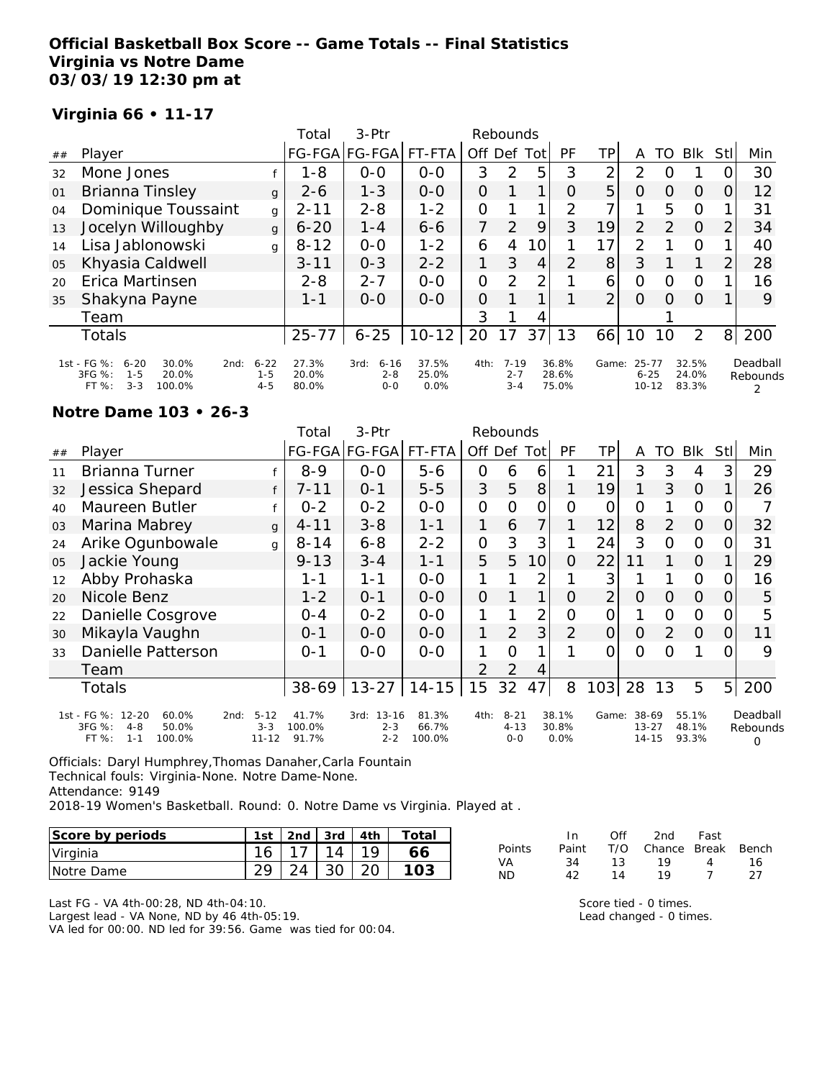### **Official Basketball Box Score -- Game Totals -- Final Statistics Virginia vs Notre Dame 03/03/19 12:30 pm at**

### **Virginia 66 • 11-17**

|    |                                                                                                    |                                | Total                   | $3-Ptr$                                |                        |                | Rebounds                       |      |                         |                |                                |               |                         |                |                      |
|----|----------------------------------------------------------------------------------------------------|--------------------------------|-------------------------|----------------------------------------|------------------------|----------------|--------------------------------|------|-------------------------|----------------|--------------------------------|---------------|-------------------------|----------------|----------------------|
| ## | Player                                                                                             |                                |                         | FG-FGA FG-FGA                          | FT-FTA                 | Off Def        |                                | Totl | PF                      | TP             | Α                              | TO            | <b>BIK</b>              | <b>StI</b>     | Min                  |
| 32 | Mone Jones                                                                                         |                                | 1-8                     | $0-0$                                  | $0-0$                  | 3              | $\mathcal{P}$                  | 5    | 3                       | 2              | $\mathcal{P}$                  | Ω             |                         |                | 30                   |
| 01 | <b>Brianna Tinsley</b>                                                                             | $\mathbf{q}$                   | $2 - 6$                 | $1 - 3$                                | $0-0$                  | 0              |                                |      | $\Omega$                | 5              | $\overline{O}$                 | O             | 0                       | $\Omega$       | 12                   |
| 04 | Dominique Toussaint                                                                                | g                              | $2 - 11$                | $2 - 8$                                | $1 - 2$                | $\Omega$       |                                | 1    | $\overline{2}$          | 7 <sub>1</sub> |                                | 5             | $\circ$                 | 1              | 31                   |
| 13 | Jocelyn Willoughby                                                                                 | $\mathbf{q}$                   | $6 - 20$                | $1 - 4$                                | $6 - 6$                | 7              | $\mathcal{P}$                  | 9    | 3                       | 19             | 2                              | $\mathcal{P}$ | $\Omega$                | $\overline{2}$ | 34                   |
| 14 | Lisa Jablonowski                                                                                   | g                              | $8 - 12$                | $0 - 0$                                | $1 - 2$                | 6              | 4                              | 10   |                         | 17             | $\mathcal{P}$                  |               | $\circ$                 |                | 40                   |
| 05 | Khyasia Caldwell                                                                                   |                                | $3 - 11$                | $0 - 3$                                | $2 - 2$                |                | 3                              | 4    | $\overline{2}$          | 8 <sup>1</sup> | 3                              |               |                         | $\overline{2}$ | 28                   |
| 20 | Erica Martinsen                                                                                    |                                | $2 - 8$                 | $2 - 7$                                | $0 - 0$                | $\overline{O}$ | 2                              | 2    |                         | 6              | $\Omega$                       | Ω             | $\circ$                 |                | 16                   |
| 35 | Shakyna Payne                                                                                      |                                | 1-1                     | $0 - 0$                                | $O-O$                  | $\overline{O}$ |                                |      |                         | $\overline{2}$ | $\Omega$                       | Ω             | $\Omega$                |                | 9                    |
|    | Team                                                                                               |                                |                         |                                        |                        | 3              |                                | 4    |                         |                |                                |               |                         |                |                      |
|    | <b>Totals</b>                                                                                      |                                | $25 - 77$               | $6 - 25$                               | $10 - 12$              | 20             | 17                             | 37   | 13                      | 66             | 10                             | 10            | 2                       | 8 <sup>1</sup> | 200                  |
|    | 1st - FG %:<br>$6 - 20$<br>30.0%<br>2nd:<br>3FG %:<br>$1 - 5$<br>20.0%<br>$3 - 3$<br>FT%<br>100.0% | $6 - 22$<br>$1 - 5$<br>$4 - 5$ | 27.3%<br>20.0%<br>80.0% | $6 - 16$<br>3rd:<br>$2 - 8$<br>$0 - 0$ | 37.5%<br>25.0%<br>0.0% | 4th:           | $7 - 19$<br>$2 - 7$<br>$3 - 4$ |      | 36.8%<br>28.6%<br>75.0% | Game:          | 25-77<br>$6 - 25$<br>$10 - 12$ |               | 32.5%<br>24.0%<br>83.3% |                | Deadball<br>Rebounds |

#### **Notre Dame 103 • 26-3**

|    |                                                                                              |                                  | Total                    | 3-Ptr                                   |                          |                | Rebounds                      |                 |                        |                |                                 |                |                         |                |                           |
|----|----------------------------------------------------------------------------------------------|----------------------------------|--------------------------|-----------------------------------------|--------------------------|----------------|-------------------------------|-----------------|------------------------|----------------|---------------------------------|----------------|-------------------------|----------------|---------------------------|
| ## | Player                                                                                       |                                  |                          | FG-FGA FG-FGA                           | FT-FTA                   |                | Off Def Tot                   |                 | <b>PF</b>              | ΤP             | A                               | TO             | <b>BIK</b>              | Stll           | Min                       |
| 11 | <b>Brianna Turner</b>                                                                        |                                  | $8 - 9$                  | $0 - 0$                                 | $5 - 6$                  | $\mathcal{O}$  | 6                             | 6               |                        | 21             | 3                               | 3              | 4                       | 3              | 29                        |
| 32 | Jessica Shepard                                                                              | f                                | $7 - 11$                 | $O - 1$                                 | $5 - 5$                  | 3              | 5                             | 8               |                        | 19             |                                 | 3              | $\Omega$                |                | 26                        |
| 40 | Maureen Butler                                                                               |                                  | $0 - 2$                  | $0 - 2$                                 | $0-0$                    | $\mathbf{O}$   | $\Omega$                      | 0               | $\Omega$               | O              | O                               |                | $\Omega$                | 0              |                           |
| 03 | Marina Mabrey                                                                                | $\mathbf{q}$                     | $4 - 11$                 | $3 - 8$                                 | $1 - 1$                  | 1              | 6                             | $\overline{7}$  |                        | 12             | 8                               | $\overline{2}$ | $\Omega$                | 0              | 32                        |
| 24 | Arike Ogunbowale                                                                             | q                                | $8 - 14$                 | $6 - 8$                                 | $2 - 2$                  | $\mathcal{O}$  | 3                             | 3               |                        | 24             | 3                               | $\Omega$       | $\Omega$                | O.             | 31                        |
| 05 | Jackie Young                                                                                 |                                  | $9 - 13$                 | $3 - 4$                                 | $1 - 1$                  | 5              | 5                             | 10 <sup>1</sup> | 0                      | 22             | 11                              |                | $\Omega$                |                | 29                        |
| 12 | Abby Prohaska                                                                                |                                  | 1-1                      | $1 - 1$                                 | $O-O$                    |                |                               | 2               |                        | 3              |                                 |                | $\Omega$                | 0              | 16                        |
| 20 | Nicole Benz                                                                                  |                                  | $1 - 2$                  | $0 - 1$                                 | $O-O$                    | $\overline{O}$ |                               | 1               | 0                      | $\overline{2}$ | $\Omega$                        | 0              | $\Omega$                | $\Omega$       | 5                         |
| 22 | Danielle Cosgrove                                                                            |                                  | $0 - 4$                  | $0 - 2$                                 | $0-0$                    | 1              |                               | $\overline{2}$  | 0                      | 0              | 1                               | 0              | $\Omega$                | 0              | 5                         |
| 30 | Mikayla Vaughn                                                                               |                                  | $0 - 1$                  | $0 - 0$                                 | $0 - 0$                  | 1              | 2                             | 3               | 2                      | $\Omega$       | $\Omega$                        | 2              | $\Omega$                | 0              | 11                        |
| 33 | Danielle Patterson                                                                           |                                  | $0 - 1$                  | $0 - 0$                                 | $0 - 0$                  | 1              | $\Omega$                      | 1               |                        | 0              | $\Omega$                        | Ω              |                         | 0              | 9                         |
|    | Team                                                                                         |                                  |                          |                                         |                          | $\mathcal{P}$  | $\overline{2}$                | 4               |                        |                |                                 |                |                         |                |                           |
|    | Totals                                                                                       |                                  | 38-69                    | $13 - 27$                               | $14 - 15$                | 15             | 32                            | 47              | 8                      | 103            | 28                              | 13             | 5                       | 5 <sup>1</sup> | 200                       |
|    | 1st - FG %: 12-20<br>60.0%<br>2nd:<br>3FG %:<br>$4 - 8$<br>50.0%<br>FT%<br>$1 - 1$<br>100.0% | $5 - 12$<br>$3 - 3$<br>$11 - 12$ | 41.7%<br>100.0%<br>91.7% | $13 - 16$<br>3rd:<br>$2 - 3$<br>$2 - 2$ | 81.3%<br>66.7%<br>100.0% | 4th:           | $8 - 21$<br>$4 - 13$<br>$O-O$ |                 | 38.1%<br>30.8%<br>0.0% | Game:          | 38-69<br>$13 - 27$<br>$14 - 15$ |                | 55.1%<br>48.1%<br>93.3% |                | Deadball<br>Rebounds<br>Ω |

Officials: Daryl Humphrey,Thomas Danaher,Carla Fountain Technical fouls: Virginia-None. Notre Dame-None. Attendance: 9149

2018-19 Women's Basketball. Round: 0. Notre Dame vs Virginia. Played at .

| Score by periods | 1st | 2 <sub>nd</sub> | 3rd | 4th | Total |
|------------------|-----|-----------------|-----|-----|-------|
| Virginia         | 16  |                 | 14  | 1 Q |       |
| INotre Dame      | ററ  |                 |     |     |       |

Last FG - VA 4th-00:28, ND 4th-04:10.

Largest lead - VA None, ND by 46 4th-05:19.

VA led for 00:00. ND led for 39:56. Game was tied for 00:04.

|        | In.   | Off | 2nd                    | Fast |     |
|--------|-------|-----|------------------------|------|-----|
| Points | Paint |     | T/O Chance Break Bench |      |     |
| VA     | 34    | 13. | 1 Q                    | 4    | 16  |
| ND     | 42    | 14  | 19                     |      | -27 |

Score tied - 0 times. Lead changed - 0 times.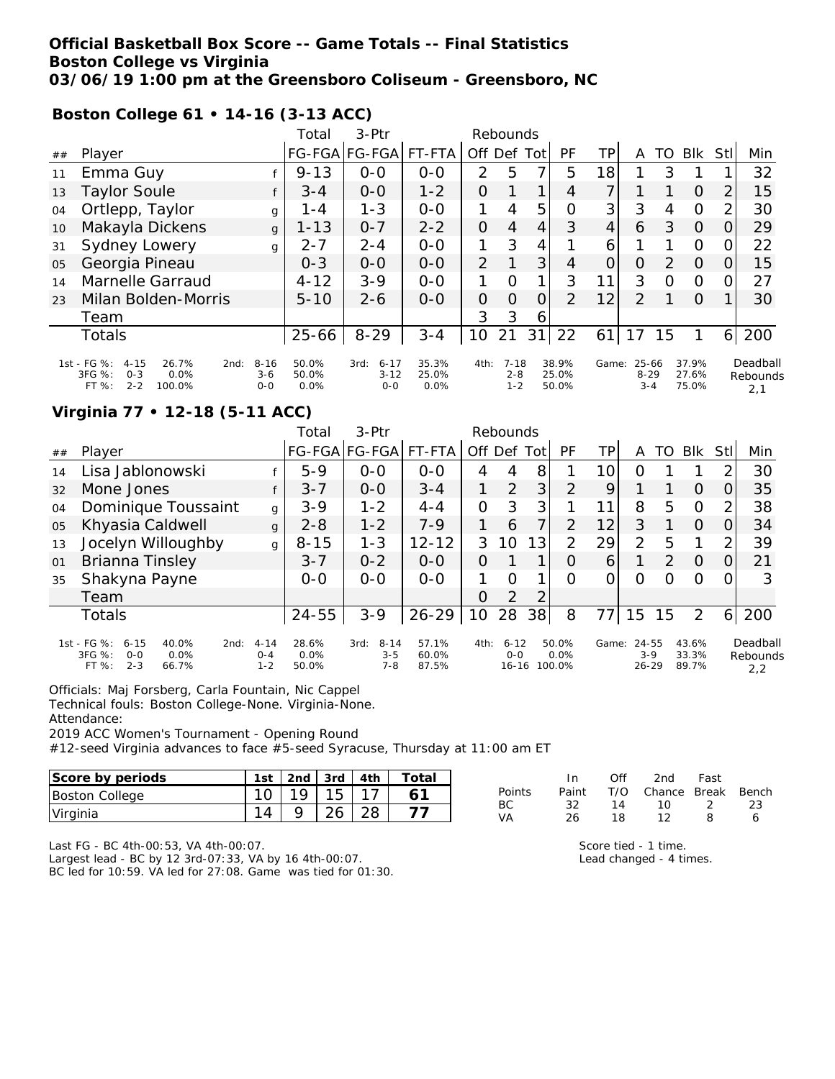### **Official Basketball Box Score -- Game Totals -- Final Statistics Boston College vs Virginia 03/06/19 1:00 pm at the Greensboro Coliseum - Greensboro, NC**

**Boston College 61 • 14-16 (3-13 ACC)**

|    |                                                                                                                              |       | Total                  | $3-Ptr$                                 |                        |               | Rebounds                       |                |                         |                |                              |          |                         |                |                             |
|----|------------------------------------------------------------------------------------------------------------------------------|-------|------------------------|-----------------------------------------|------------------------|---------------|--------------------------------|----------------|-------------------------|----------------|------------------------------|----------|-------------------------|----------------|-----------------------------|
| ## | Player                                                                                                                       |       |                        | FG-FGA FG-FGA                           | FT-FTA                 | Off Def       |                                | Tot            | PF                      | TP             | A                            | TO       | <b>BIK</b>              | Stll           | Min                         |
| 11 | Emma Guy                                                                                                                     |       | $9 - 13$               | $0 - 0$                                 | $0 - 0$                | $\mathcal{P}$ | 5                              | $\overline{ }$ | 5                       | 18             |                              | 3        |                         |                | 32                          |
| 13 | <b>Taylor Soule</b>                                                                                                          |       | $3 - 4$                | $0-0$                                   | $1 - 2$                | 0             |                                |                | 4                       | 7              |                              |          | $\Omega$                | $\overline{2}$ | 15                          |
| 04 | Ortlepp, Taylor                                                                                                              | g     | 1-4                    | $1 - 3$                                 | $0-0$                  | 1             | 4                              | 5              | O                       | 3 <sup>1</sup> | 3                            | 4        | $\Omega$                | $\overline{2}$ | 30                          |
| 10 | Makayla Dickens                                                                                                              | g     | $1 - 13$               | $0 - 7$                                 | $2 - 2$                | 0             | 4                              | $\overline{4}$ | 3                       | $\overline{4}$ | 6                            | 3        | $\Omega$                | O              | 29                          |
| 31 | Sydney Lowery                                                                                                                | g     | $2 - 7$                | $2 - 4$                                 | $0 - 0$                | 1             | 3                              | 4              |                         | 6              |                              |          | $\Omega$                | $\Omega$       | 22                          |
| 05 | Georgia Pineau                                                                                                               |       | $0 - 3$                | $0 - 0$                                 | $0 - 0$                | 2             |                                | 3              | $\overline{4}$          | 0              | $\overline{O}$               | 2        | $\Omega$                | 0              | 15                          |
| 14 | Marnelle Garraud                                                                                                             |       | $4 - 12$               | $3 - 9$                                 | $0 - 0$                |               | $\Omega$                       | 1              | 3                       | 11             | 3                            | $\Omega$ | $\circ$                 | 0              | 27                          |
| 23 | Milan Bolden-Morris                                                                                                          |       | $5 - 10$               | $2 - 6$                                 | $O-O$                  | 0             | 0                              | $\overline{O}$ | $\mathcal{P}$           | 12             | 2                            |          | $\Omega$                |                | 30                          |
|    | Team                                                                                                                         |       |                        |                                         |                        | 3             | 3                              | 6              |                         |                |                              |          |                         |                |                             |
|    | Totals                                                                                                                       |       | 25-66                  | $8 - 29$                                | $3 - 4$                | 10            | 21                             | 31             | 22                      | 61             | 17                           | 15       |                         | 61             | 200                         |
|    | 1st - FG %:<br>26.7%<br>$8 - 16$<br>$4 - 15$<br>2nd:<br>$3FG \%$ :<br>0.0%<br>$0 - 3$<br>$2 - 2$<br>FT%<br>100.0%<br>$0 - 0$ | $3-6$ | 50.0%<br>50.0%<br>0.0% | $6 - 17$<br>3rd:<br>$3 - 12$<br>$0 - 0$ | 35.3%<br>25.0%<br>0.0% | 4th:          | $7 - 18$<br>$2 - 8$<br>$1 - 2$ |                | 38.9%<br>25.0%<br>50.0% | Game:          | 25-66<br>$8 - 29$<br>$3 - 4$ |          | 37.9%<br>27.6%<br>75.0% |                | Deadball<br>Rebounds<br>2,1 |

### **Virginia 77 • 12-18 (5-11 ACC)**

|    |                                                                                                  |                                | Total                  | $3-Ptr$                                |                         |                | Rebounds                         |          |                         |       |                             |                  |                         |     |                             |
|----|--------------------------------------------------------------------------------------------------|--------------------------------|------------------------|----------------------------------------|-------------------------|----------------|----------------------------------|----------|-------------------------|-------|-----------------------------|------------------|-------------------------|-----|-----------------------------|
| ## | Player                                                                                           |                                |                        | FG-FGA FG-FGA  FT-FTA                  |                         | Off            |                                  | Def Totl | PF                      | TР    | A                           | TO               | Blk                     | Stl | Min                         |
| 14 | Lisa Jablonowski                                                                                 |                                | $5 - 9$                | $0 - 0$                                | $0 - 0$                 | 4              | 4                                | 8        |                         | 10    | Ο                           |                  |                         |     | 30                          |
| 32 | Mone Jones                                                                                       | f                              | $3 - 7$                | $0 - 0$                                | $3 - 4$                 |                | $\overline{2}$                   | 3        | 2                       | 9     |                             |                  | $\Omega$                |     | 35                          |
| 04 | Dominique Toussaint                                                                              | g                              | $3 - 9$                | $1 - 2$                                | $4 - 4$                 | $\overline{O}$ | 3                                | 3        |                         | 11    | 8                           | 5                | $\Omega$                | 2   | 38                          |
| 05 | Khyasia Caldwell                                                                                 | $\mathbf{q}$                   | $2 - 8$                | $1 - 2$                                | $7 - 9$                 |                | 6                                | 7        | $\overline{2}$          | 12    | 3                           |                  | $\Omega$                |     | 34                          |
| 13 | Jocelyn Willoughby                                                                               | $\mathbf{q}$                   | $8 - 15$               | $1 - 3$                                | $12 - 12$               | 3              | 10                               | 13       | 2                       | 29    | 2                           | 5                |                         |     | 39                          |
| 01 | Brianna Tinsley                                                                                  |                                | $3 - 7$                | $0 - 2$                                | $0 - 0$                 | 0              |                                  | 1        | $\Omega$                | 6     |                             | 2                | $\Omega$                |     | 21                          |
| 35 | Shakyna Payne                                                                                    |                                | $O-O$                  | $0 - 0$                                | $0 - 0$                 |                | $\Omega$                         |          | 0                       | 0     | 0                           | $\left( \right)$ | $\Omega$                |     | 3                           |
|    | Team                                                                                             |                                |                        |                                        |                         | 0              | 2                                | 2        |                         |       |                             |                  |                         |     |                             |
|    | <b>Totals</b>                                                                                    |                                | $24 - 55$              | $3 - 9$                                | $26 - 29$               | 10             | 28                               | 38       | 8                       |       | 15                          | 15               | $\overline{2}$          | 6   | 200                         |
|    | 1st - FG %:<br>$6 - 15$<br>40.0%<br>2nd:<br>3FG %:<br>0.0%<br>$O-O$<br>$2 - 3$<br>FT %:<br>66.7% | $4 - 14$<br>$0 - 4$<br>$1 - 2$ | 28.6%<br>0.0%<br>50.0% | $8 - 14$<br>3rd:<br>$3 - 5$<br>$7 - 8$ | 57.1%<br>60.0%<br>87.5% | 4th:           | $6 - 12$<br>$0 - 0$<br>$16 - 16$ |          | 50.0%<br>0.0%<br>100.0% | Game: | 24-55<br>$3-9$<br>$26 - 29$ |                  | 43.6%<br>33.3%<br>89.7% |     | Deadball<br>Rebounds<br>2,2 |

Officials: Maj Forsberg, Carla Fountain, Nic Cappel

Technical fouls: Boston College-None. Virginia-None.

Attendance:

2019 ACC Women's Tournament - Opening Round

#12-seed Virginia advances to face #5-seed Syracuse, Thursday at 11:00 am ET

| Score by periods      | 1st | 2nd | 3rd | 4th | Total |
|-----------------------|-----|-----|-----|-----|-------|
| <b>Boston College</b> |     |     |     |     |       |
| Virginia              |     |     |     |     |       |

|               | In.   | ∩ff | 2nd                    | Fast          |    |
|---------------|-------|-----|------------------------|---------------|----|
| <b>Points</b> | Paint |     | T/O Chance Break Bench |               |    |
| BC.           | 32.   | 14  | 1ດ                     | $\mathcal{L}$ | 23 |
| VA            | 26.   | 18. | 12                     | 8             | 6  |

Last FG - BC 4th-00:53, VA 4th-00:07.

Largest lead - BC by 12 3rd-07:33, VA by 16 4th-00:07. BC led for 10:59. VA led for 27:08. Game was tied for 01:30.

| Score tied - 1 time.    |  |
|-------------------------|--|
| Lead changed - 4 times. |  |